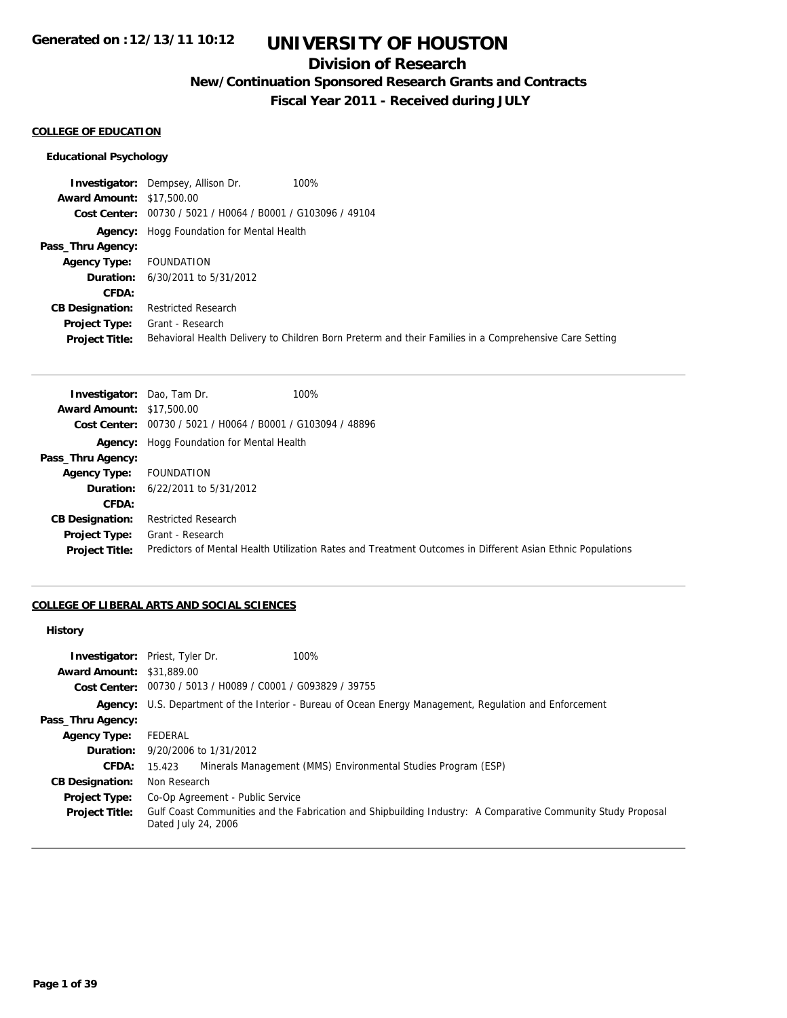## **Division of Research**

**New/Continuation Sponsored Research Grants and Contracts**

**Fiscal Year 2011 - Received during JULY**

## **COLLEGE OF EDUCATION**

#### **Educational Psychology**

**Investigator:** Dempsey, Allison Dr. 100% **Award Amount:** \$17,500.00 **Cost Center:** 00730 / 5021 / H0064 / B0001 / G103096 / 49104 **Agency:** Hogg Foundation for Mental Health **Pass\_Thru Agency: Agency Type:** FOUNDATION **Duration:** 6/30/2011 to 5/31/2012 **CFDA: CB Designation:** Restricted Research **Project Type:** Grant - Research **Project Title:** Behavioral Health Delivery to Children Born Preterm and their Families in a Comprehensive Care Setting

| <b>Investigator:</b> Dao, Tam Dr. | 100%                                                                                                       |
|-----------------------------------|------------------------------------------------------------------------------------------------------------|
| <b>Award Amount: \$17,500.00</b>  |                                                                                                            |
|                                   | Cost Center: 00730 / 5021 / H0064 / B0001 / G103094 / 48896                                                |
|                                   | <b>Agency:</b> Hogg Foundation for Mental Health                                                           |
| Pass_Thru Agency:                 |                                                                                                            |
| <b>Agency Type:</b>               | FOUNDATION                                                                                                 |
|                                   | <b>Duration:</b> 6/22/2011 to 5/31/2012                                                                    |
| CFDA:                             |                                                                                                            |
| <b>CB Designation:</b>            | <b>Restricted Research</b>                                                                                 |
| Project Type:                     | Grant - Research                                                                                           |
| <b>Project Title:</b>             | Predictors of Mental Health Utilization Rates and Treatment Outcomes in Different Asian Ethnic Populations |

## **COLLEGE OF LIBERAL ARTS AND SOCIAL SCIENCES**

#### **History**

|                                  | <b>Investigator:</b> Priest, Tyler Dr.<br>100%                                                                                      |
|----------------------------------|-------------------------------------------------------------------------------------------------------------------------------------|
| <b>Award Amount: \$31,889.00</b> |                                                                                                                                     |
|                                  | Cost Center: 00730 / 5013 / H0089 / C0001 / G093829 / 39755                                                                         |
|                                  | Agency: U.S. Department of the Interior - Bureau of Ocean Energy Management, Regulation and Enforcement                             |
| Pass_Thru Agency:                |                                                                                                                                     |
| <b>Agency Type:</b>              | FEDERAL                                                                                                                             |
|                                  | <b>Duration:</b> 9/20/2006 to 1/31/2012                                                                                             |
| <b>CFDA:</b>                     | Minerals Management (MMS) Environmental Studies Program (ESP)<br>15.423                                                             |
| <b>CB Designation:</b>           | Non Research                                                                                                                        |
| <b>Project Type:</b>             | Co-Op Agreement - Public Service                                                                                                    |
| <b>Project Title:</b>            | Gulf Coast Communities and the Fabrication and Shipbuilding Industry: A Comparative Community Study Proposal<br>Dated July 24, 2006 |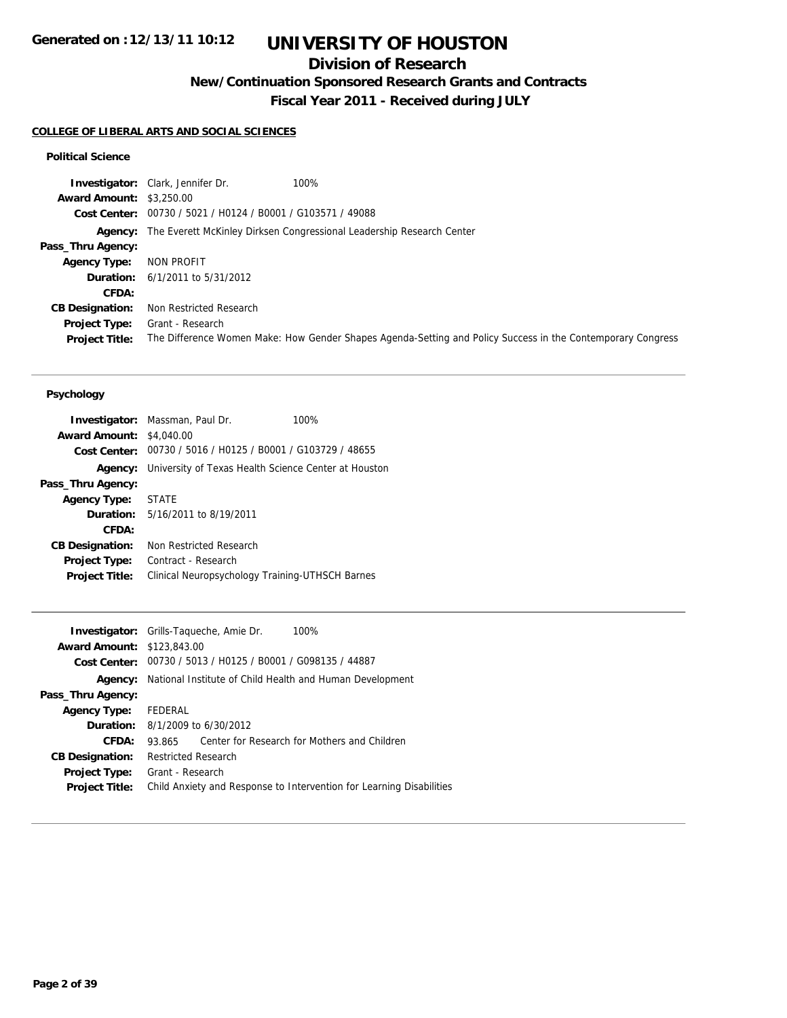# **UNIVERSITY OF HOUSTON**

## **Division of Research**

**New/Continuation Sponsored Research Grants and Contracts**

**Fiscal Year 2011 - Received during JULY**

#### **COLLEGE OF LIBERAL ARTS AND SOCIAL SCIENCES**

### **Political Science**

**Investigator:** Clark, Jennifer Dr. 100% **Award Amount:** \$3,250.00 **Cost Center:** 00730 / 5021 / H0124 / B0001 / G103571 / 49088 **Agency:** The Everett McKinley Dirksen Congressional Leadership Research Center **Pass\_Thru Agency: Agency Type:** NON PROFIT **Duration:** 6/1/2011 to 5/31/2012 **CFDA: CB Designation:** Non Restricted Research **Project Type:** Grant - Research **Project Title:** The Difference Women Make: How Gender Shapes Agenda-Setting and Policy Success in the Contemporary Congress

### **Psychology**

|                        | <b>Investigator:</b> Massman, Paul Dr.                      | 100% |
|------------------------|-------------------------------------------------------------|------|
| <b>Award Amount:</b>   | \$4,040.00                                                  |      |
|                        | Cost Center: 00730 / 5016 / H0125 / B0001 / G103729 / 48655 |      |
| Agency:                | University of Texas Health Science Center at Houston        |      |
| Pass_Thru Agency:      |                                                             |      |
| <b>Agency Type:</b>    | <b>STATE</b>                                                |      |
|                        | <b>Duration:</b> $5/16/2011$ to $8/19/2011$                 |      |
| CFDA:                  |                                                             |      |
| <b>CB Designation:</b> | Non Restricted Research                                     |      |
| <b>Project Type:</b>   | Contract - Research                                         |      |
| <b>Project Title:</b>  | Clinical Neuropsychology Training-UTHSCH Barnes             |      |
|                        |                                                             |      |

|                                   | 100%<br><b>Investigator:</b> Grills-Taqueche, Amie Dr.               |
|-----------------------------------|----------------------------------------------------------------------|
| <b>Award Amount: \$123,843.00</b> |                                                                      |
|                                   | Cost Center: 00730 / 5013 / H0125 / B0001 / G098135 / 44887          |
| Agency:                           | National Institute of Child Health and Human Development             |
| Pass_Thru Agency:                 |                                                                      |
| <b>Agency Type:</b>               | FEDERAL                                                              |
|                                   | <b>Duration:</b> $8/1/2009$ to $6/30/2012$                           |
| CFDA:                             | Center for Research for Mothers and Children<br>93.865               |
| <b>CB Designation:</b>            | <b>Restricted Research</b>                                           |
| <b>Project Type:</b>              | Grant - Research                                                     |
| <b>Project Title:</b>             | Child Anxiety and Response to Intervention for Learning Disabilities |
|                                   |                                                                      |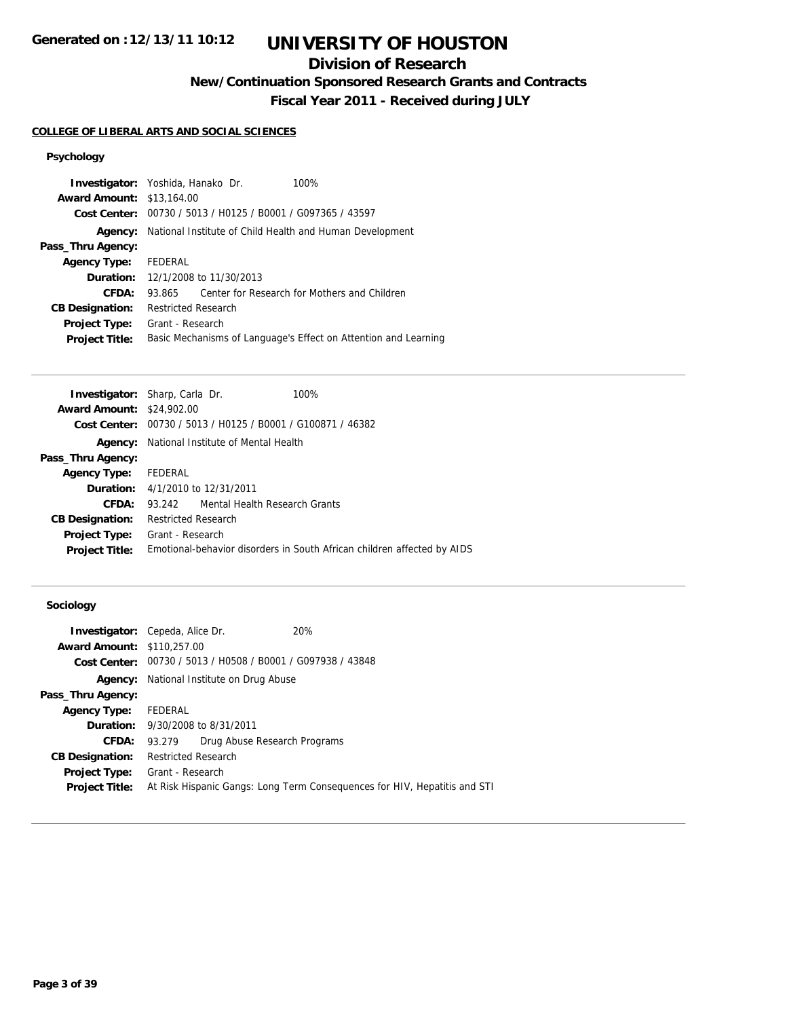# **UNIVERSITY OF HOUSTON**

## **Division of Research**

**New/Continuation Sponsored Research Grants and Contracts**

**Fiscal Year 2011 - Received during JULY**

## **COLLEGE OF LIBERAL ARTS AND SOCIAL SCIENCES**

## **Psychology**

|                                  | Investigator: Yoshida, Hanako Dr.<br>$100\%$                    |
|----------------------------------|-----------------------------------------------------------------|
| <b>Award Amount: \$13,164.00</b> |                                                                 |
|                                  | Cost Center: 00730 / 5013 / H0125 / B0001 / G097365 / 43597     |
| Agency:                          | National Institute of Child Health and Human Development        |
| Pass_Thru Agency:                |                                                                 |
| <b>Agency Type:</b>              | FEDERAL                                                         |
|                                  | <b>Duration:</b> 12/1/2008 to 11/30/2013                        |
| CFDA:                            | Center for Research for Mothers and Children<br>93.865          |
| <b>CB Designation:</b>           | <b>Restricted Research</b>                                      |
| <b>Project Type:</b>             | Grant - Research                                                |
| <b>Project Title:</b>            | Basic Mechanisms of Language's Effect on Attention and Learning |

| <b>Investigator:</b> Sharp, Carla Dr. |                                         |                                                             | 100%                                                                    |
|---------------------------------------|-----------------------------------------|-------------------------------------------------------------|-------------------------------------------------------------------------|
| <b>Award Amount: \$24,902.00</b>      |                                         |                                                             |                                                                         |
|                                       |                                         | Cost Center: 00730 / 5013 / H0125 / B0001 / G100871 / 46382 |                                                                         |
| Agency:                               |                                         | National Institute of Mental Health                         |                                                                         |
| Pass_Thru Agency:                     |                                         |                                                             |                                                                         |
| Agency Type:                          | FEDERAL                                 |                                                             |                                                                         |
|                                       | <b>Duration:</b> 4/1/2010 to 12/31/2011 |                                                             |                                                                         |
| CFDA:                                 | 93.242                                  | Mental Health Research Grants                               |                                                                         |
| <b>CB Designation:</b>                | <b>Restricted Research</b>              |                                                             |                                                                         |
| Project Type:                         | Grant - Research                        |                                                             |                                                                         |
| <b>Project Title:</b>                 |                                         |                                                             | Emotional-behavior disorders in South African children affected by AIDS |
|                                       |                                         |                                                             |                                                                         |

## **Sociology**

| <b>Investigator:</b> Cepeda, Alice Dr. |                            |                                                             | <b>20%</b>                                                                |
|----------------------------------------|----------------------------|-------------------------------------------------------------|---------------------------------------------------------------------------|
| <b>Award Amount: \$110,257.00</b>      |                            |                                                             |                                                                           |
|                                        |                            | Cost Center: 00730 / 5013 / H0508 / B0001 / G097938 / 43848 |                                                                           |
| Agency:                                |                            | National Institute on Drug Abuse                            |                                                                           |
| Pass_Thru Agency:                      |                            |                                                             |                                                                           |
| <b>Agency Type:</b>                    | FEDERAL                    |                                                             |                                                                           |
|                                        |                            | <b>Duration:</b> 9/30/2008 to 8/31/2011                     |                                                                           |
| CFDA:                                  | 93.279                     | Drug Abuse Research Programs                                |                                                                           |
| <b>CB Designation:</b>                 | <b>Restricted Research</b> |                                                             |                                                                           |
| Project Type:                          | Grant - Research           |                                                             |                                                                           |
| <b>Project Title:</b>                  |                            |                                                             | At Risk Hispanic Gangs: Long Term Consequences for HIV, Hepatitis and STI |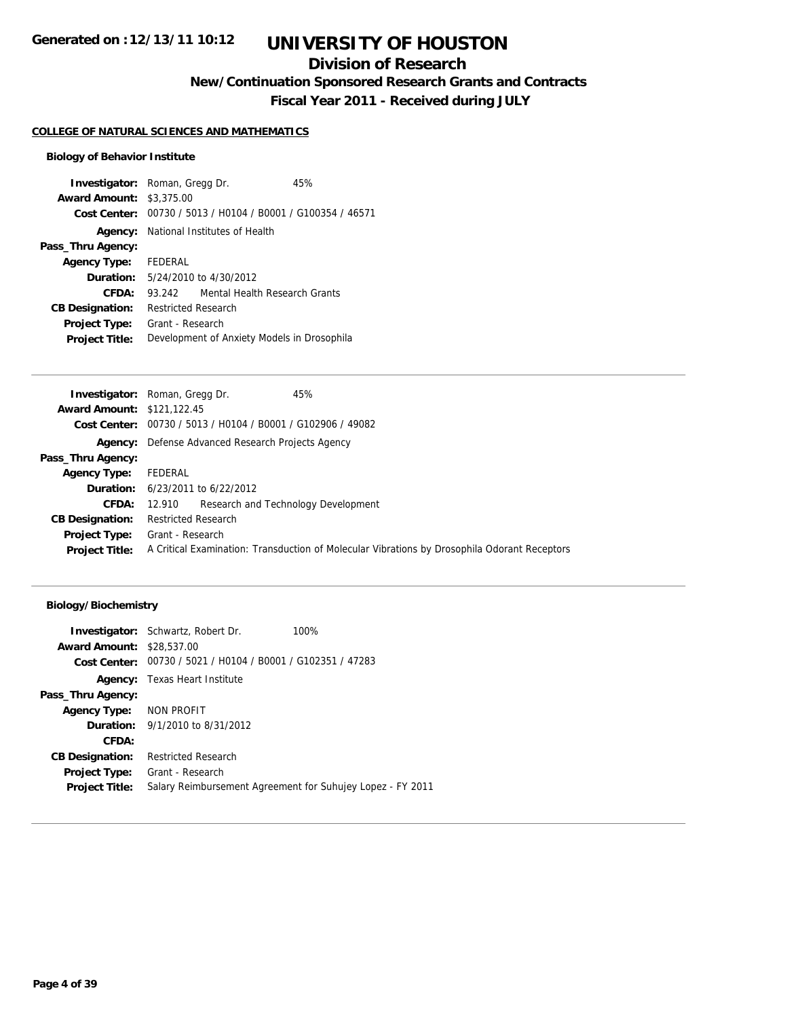## **Division of Research**

**New/Continuation Sponsored Research Grants and Contracts**

**Fiscal Year 2011 - Received during JULY**

## **COLLEGE OF NATURAL SCIENCES AND MATHEMATICS**

## **Biology of Behavior Institute**

| <b>Investigator:</b> Roman, Gregg Dr. |                                             |                                                             | 45% |
|---------------------------------------|---------------------------------------------|-------------------------------------------------------------|-----|
| <b>Award Amount: \$3,375.00</b>       |                                             |                                                             |     |
|                                       |                                             | Cost Center: 00730 / 5013 / H0104 / B0001 / G100354 / 46571 |     |
|                                       |                                             | <b>Agency:</b> National Institutes of Health                |     |
| Pass_Thru Agency:                     |                                             |                                                             |     |
| <b>Agency Type:</b> FEDERAL           |                                             |                                                             |     |
|                                       |                                             | <b>Duration:</b> 5/24/2010 to 4/30/2012                     |     |
| CFDA:                                 | 93 242                                      | Mental Health Research Grants                               |     |
| <b>CB Designation:</b>                | <b>Restricted Research</b>                  |                                                             |     |
| <b>Project Type:</b>                  | Grant - Research                            |                                                             |     |
| <b>Project Title:</b>                 | Development of Anxiety Models in Drosophila |                                                             |     |

|                                   | 45%<br><b>Investigator:</b> Roman, Gregg Dr.                                                 |
|-----------------------------------|----------------------------------------------------------------------------------------------|
| <b>Award Amount: \$121,122.45</b> |                                                                                              |
|                                   | Cost Center: 00730 / 5013 / H0104 / B0001 / G102906 / 49082                                  |
|                                   | <b>Agency:</b> Defense Advanced Research Projects Agency                                     |
| Pass_Thru Agency:                 |                                                                                              |
| <b>Agency Type:</b>               | FEDERAL                                                                                      |
|                                   | <b>Duration:</b> $6/23/2011$ to $6/22/2012$                                                  |
| <b>CFDA:</b>                      | 12.910 Research and Technology Development                                                   |
| <b>CB Designation:</b>            | <b>Restricted Research</b>                                                                   |
|                                   | <b>Project Type:</b> Grant - Research                                                        |
| <b>Project Title:</b>             | A Critical Examination: Transduction of Molecular Vibrations by Drosophila Odorant Receptors |
|                                   |                                                                                              |

|                                                             | 100%                                                                                                                                                                                       |
|-------------------------------------------------------------|--------------------------------------------------------------------------------------------------------------------------------------------------------------------------------------------|
|                                                             |                                                                                                                                                                                            |
| Cost Center: 00730 / 5021 / H0104 / B0001 / G102351 / 47283 |                                                                                                                                                                                            |
|                                                             |                                                                                                                                                                                            |
|                                                             |                                                                                                                                                                                            |
|                                                             |                                                                                                                                                                                            |
|                                                             |                                                                                                                                                                                            |
|                                                             |                                                                                                                                                                                            |
| Restricted Research                                         |                                                                                                                                                                                            |
| Grant - Research                                            |                                                                                                                                                                                            |
| Salary Reimbursement Agreement for Suhujey Lopez - FY 2011  |                                                                                                                                                                                            |
|                                                             | <b>Investigator:</b> Schwartz, Robert Dr.<br><b>Award Amount: \$28,537,00</b><br><b>Agency:</b> Texas Heart Institute<br>Agency Type: NON PROFIT<br><b>Duration:</b> 9/1/2010 to 8/31/2012 |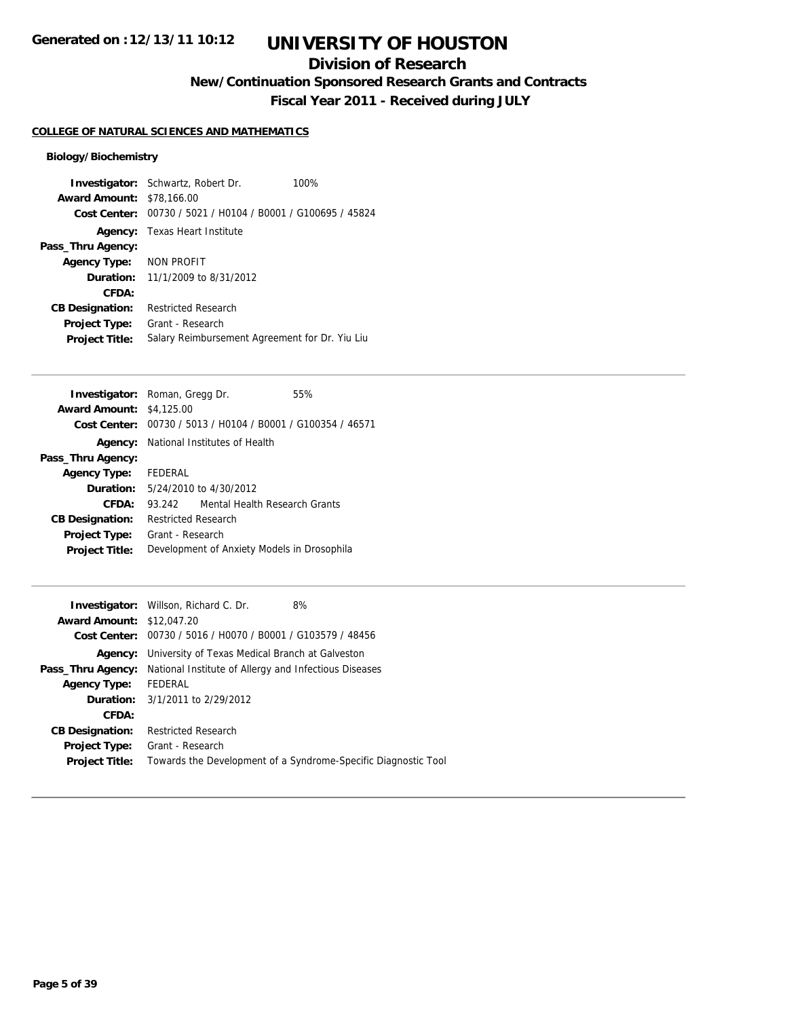## **Division of Research**

**New/Continuation Sponsored Research Grants and Contracts**

**Fiscal Year 2011 - Received during JULY**

## **COLLEGE OF NATURAL SCIENCES AND MATHEMATICS**

|                                  | <b>Investigator:</b> Schwartz, Robert Dr.<br>100%           |  |
|----------------------------------|-------------------------------------------------------------|--|
| <b>Award Amount: \$78,166.00</b> |                                                             |  |
|                                  | Cost Center: 00730 / 5021 / H0104 / B0001 / G100695 / 45824 |  |
|                                  | <b>Agency:</b> Texas Heart Institute                        |  |
| Pass_Thru Agency:                |                                                             |  |
| Agency Type: NON PROFIT          |                                                             |  |
|                                  | <b>Duration:</b> $11/1/2009$ to $8/31/2012$                 |  |
| CFDA:                            |                                                             |  |
| <b>CB Designation:</b>           | <b>Restricted Research</b>                                  |  |
| <b>Project Type:</b>             | Grant - Research                                            |  |
| <b>Project Title:</b>            | Salary Reimbursement Agreement for Dr. Yiu Liu              |  |

| <b>Investigator:</b> Roman, Gregg Dr. |                            |                                                             | 55% |
|---------------------------------------|----------------------------|-------------------------------------------------------------|-----|
| <b>Award Amount: \$4,125.00</b>       |                            |                                                             |     |
|                                       |                            | Cost Center: 00730 / 5013 / H0104 / B0001 / G100354 / 46571 |     |
|                                       |                            | <b>Agency:</b> National Institutes of Health                |     |
| Pass_Thru Agency:                     |                            |                                                             |     |
| <b>Agency Type:</b> FEDERAL           |                            |                                                             |     |
|                                       |                            | <b>Duration:</b> 5/24/2010 to 4/30/2012                     |     |
| CFDA:                                 | 93.242                     | Mental Health Research Grants                               |     |
| <b>CB Designation:</b>                | <b>Restricted Research</b> |                                                             |     |
| <b>Project Type:</b>                  | Grant - Research           |                                                             |     |
| <b>Project Title:</b>                 |                            | Development of Anxiety Models in Drosophila                 |     |

| <b>Investigator:</b> Willson, Richard C. Dr.<br>8%             |
|----------------------------------------------------------------|
| <b>Award Amount: \$12,047.20</b>                               |
| Cost Center: 00730 / 5016 / H0070 / B0001 / G103579 / 48456    |
| <b>Agency:</b> University of Texas Medical Branch at Galveston |
| National Institute of Allergy and Infectious Diseases          |
| Agency Type: FEDERAL                                           |
| <b>Duration:</b> 3/1/2011 to 2/29/2012                         |
|                                                                |
| <b>Restricted Research</b>                                     |
| Grant - Research                                               |
| Towards the Development of a Syndrome-Specific Diagnostic Tool |
|                                                                |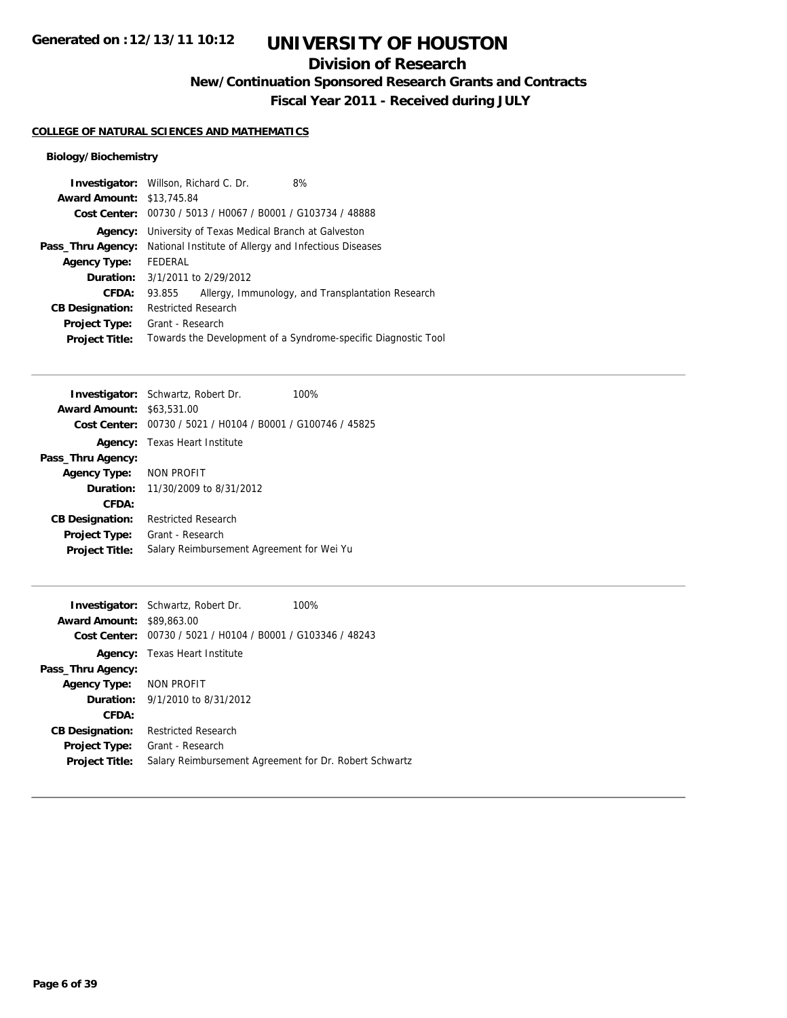## **Division of Research**

**New/Continuation Sponsored Research Grants and Contracts**

**Fiscal Year 2011 - Received during JULY**

## **COLLEGE OF NATURAL SCIENCES AND MATHEMATICS**

|                                  | <b>Investigator:</b> Willson, Richard C. Dr.<br>8%             |
|----------------------------------|----------------------------------------------------------------|
| <b>Award Amount: \$13,745.84</b> |                                                                |
| Cost Center:                     | 00730 / 5013 / H0067 / B0001 / G103734 / 48888                 |
| Agency:                          | University of Texas Medical Branch at Galveston                |
| Pass_Thru Agency:                | National Institute of Allergy and Infectious Diseases          |
| <b>Agency Type:</b>              | FEDERAL                                                        |
|                                  | <b>Duration:</b> $3/1/2011$ to $2/29/2012$                     |
| CFDA:                            | Allergy, Immunology, and Transplantation Research<br>93.855    |
| <b>CB Designation:</b>           | <b>Restricted Research</b>                                     |
| Project Type:                    | Grant - Research                                               |
| <b>Project Title:</b>            | Towards the Development of a Syndrome-specific Diagnostic Tool |
|                                  |                                                                |

|                                  | <b>Investigator:</b> Schwartz, Robert Dr.                   | 100% |
|----------------------------------|-------------------------------------------------------------|------|
| <b>Award Amount: \$63,531.00</b> |                                                             |      |
|                                  | Cost Center: 00730 / 5021 / H0104 / B0001 / G100746 / 45825 |      |
|                                  | <b>Agency:</b> Texas Heart Institute                        |      |
| Pass_Thru Agency:                |                                                             |      |
| Agency Type: NON PROFIT          |                                                             |      |
|                                  | <b>Duration:</b> 11/30/2009 to 8/31/2012                    |      |
| CFDA:                            |                                                             |      |
| <b>CB Designation:</b>           | Restricted Research                                         |      |
| <b>Project Type:</b>             | Grant - Research                                            |      |
| <b>Project Title:</b>            | Salary Reimbursement Agreement for Wei Yu                   |      |
|                                  |                                                             |      |

|                         | <b>Investigator:</b> Schwartz, Robert Dr.<br>100%           |
|-------------------------|-------------------------------------------------------------|
| <b>Award Amount:</b>    | \$89,863,00                                                 |
|                         | Cost Center: 00730 / 5021 / H0104 / B0001 / G103346 / 48243 |
|                         | <b>Agency:</b> Texas Heart Institute                        |
| Pass_Thru Agency:       |                                                             |
| Agency Type: NON PROFIT |                                                             |
|                         | <b>Duration:</b> $9/1/2010$ to $8/31/2012$                  |
| CFDA:                   |                                                             |
| <b>CB Designation:</b>  | <b>Restricted Research</b>                                  |
| Project Type:           | Grant - Research                                            |
| <b>Project Title:</b>   | Salary Reimbursement Agreement for Dr. Robert Schwartz      |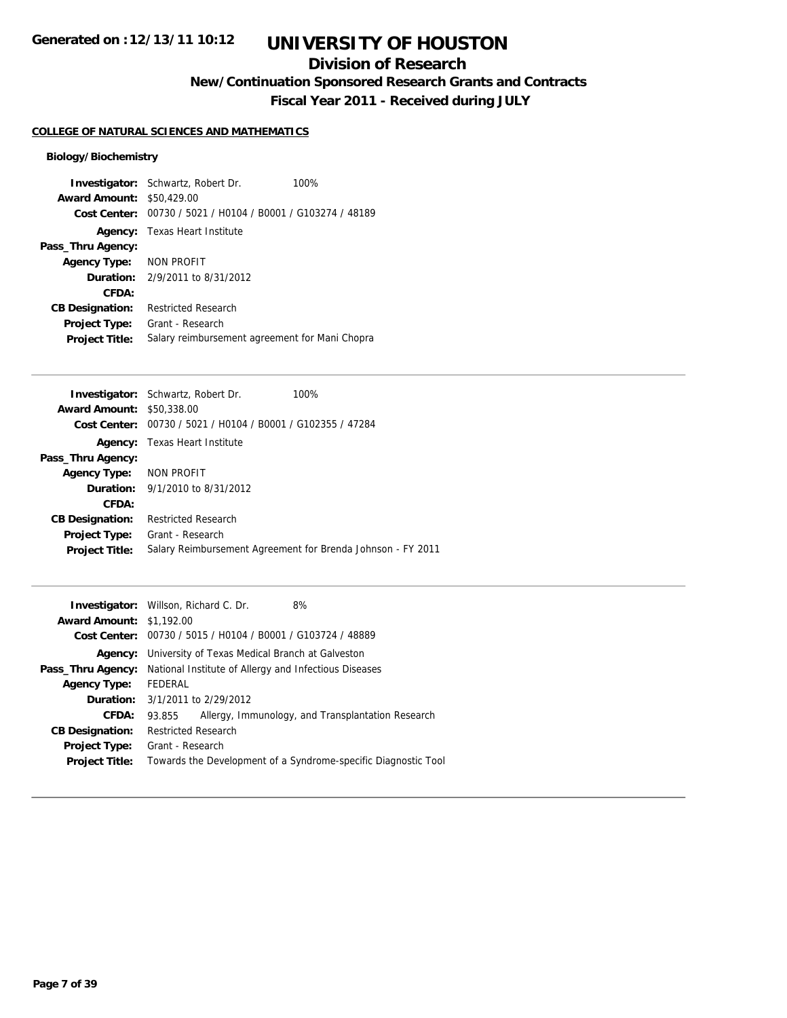## **Division of Research**

**New/Continuation Sponsored Research Grants and Contracts**

**Fiscal Year 2011 - Received during JULY**

## **COLLEGE OF NATURAL SCIENCES AND MATHEMATICS**

|                        | <b>Investigator:</b> Schwartz, Robert Dr.      | 100% |
|------------------------|------------------------------------------------|------|
| <b>Award Amount:</b>   | \$50,429.00                                    |      |
| Cost Center:           | 00730 / 5021 / H0104 / B0001 / G103274 / 48189 |      |
|                        | <b>Agency:</b> Texas Heart Institute           |      |
| Pass_Thru Agency:      |                                                |      |
| <b>Agency Type:</b>    | NON PROFIT                                     |      |
|                        | <b>Duration:</b> 2/9/2011 to 8/31/2012         |      |
| CFDA:                  |                                                |      |
| <b>CB Designation:</b> | <b>Restricted Research</b>                     |      |
| <b>Project Type:</b>   | Grant - Research                               |      |
| <b>Project Title:</b>  | Salary reimbursement agreement for Mani Chopra |      |

|                                  | <b>Investigator:</b> Schwartz, Robert Dr.                   | 100%                                                        |
|----------------------------------|-------------------------------------------------------------|-------------------------------------------------------------|
| <b>Award Amount: \$50,338,00</b> |                                                             |                                                             |
|                                  | Cost Center: 00730 / 5021 / H0104 / B0001 / G102355 / 47284 |                                                             |
|                                  | <b>Agency:</b> Texas Heart Institute                        |                                                             |
| Pass_Thru Agency:                |                                                             |                                                             |
| Agency Type: NON PROFIT          |                                                             |                                                             |
|                                  | <b>Duration:</b> $9/1/2010$ to $8/31/2012$                  |                                                             |
| CFDA:                            |                                                             |                                                             |
| <b>CB Designation:</b>           | <b>Restricted Research</b>                                  |                                                             |
| <b>Project Type:</b>             | Grant - Research                                            |                                                             |
| <b>Project Title:</b>            |                                                             | Salary Reimbursement Agreement for Brenda Johnson - FY 2011 |
|                                  |                                                             |                                                             |

| <b>Award Amount: \$1,192.00</b><br>Cost Center: 00730 / 5015 / H0104 / B0001 / G103724 / 48889<br><b>Agency:</b> University of Texas Medical Branch at Galveston<br>National Institute of Allergy and Infectious Diseases<br>Pass_Thru Agency:<br>FEDERAL<br><b>Agency Type:</b><br><b>Duration:</b> 3/1/2011 to 2/29/2012 |  |
|----------------------------------------------------------------------------------------------------------------------------------------------------------------------------------------------------------------------------------------------------------------------------------------------------------------------------|--|
|                                                                                                                                                                                                                                                                                                                            |  |
|                                                                                                                                                                                                                                                                                                                            |  |
|                                                                                                                                                                                                                                                                                                                            |  |
|                                                                                                                                                                                                                                                                                                                            |  |
|                                                                                                                                                                                                                                                                                                                            |  |
|                                                                                                                                                                                                                                                                                                                            |  |
| Allergy, Immunology, and Transplantation Research<br><b>CFDA:</b><br>93.855                                                                                                                                                                                                                                                |  |
| <b>Restricted Research</b><br><b>CB Designation:</b>                                                                                                                                                                                                                                                                       |  |
| Grant - Research<br><b>Project Type:</b>                                                                                                                                                                                                                                                                                   |  |
| Towards the Development of a Syndrome-specific Diagnostic Tool<br><b>Project Title:</b>                                                                                                                                                                                                                                    |  |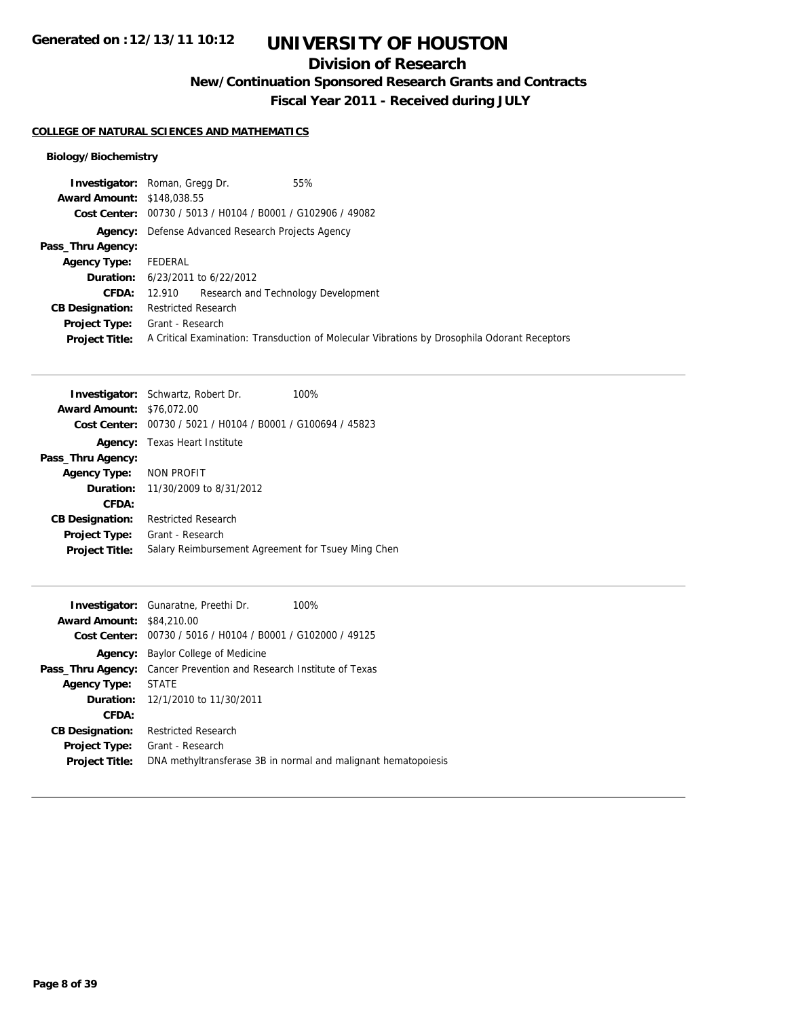# **UNIVERSITY OF HOUSTON**

## **Division of Research**

**New/Continuation Sponsored Research Grants and Contracts**

**Fiscal Year 2011 - Received during JULY**

### **COLLEGE OF NATURAL SCIENCES AND MATHEMATICS**

| 55%<br><b>Investigator:</b> Roman, Gregg Dr.                                                 |
|----------------------------------------------------------------------------------------------|
| <b>Award Amount: \$148,038.55</b>                                                            |
| Cost Center: 00730 / 5013 / H0104 / B0001 / G102906 / 49082                                  |
| <b>Agency:</b> Defense Advanced Research Projects Agency                                     |
|                                                                                              |
| FEDERAL                                                                                      |
| <b>Duration:</b> $6/23/2011$ to $6/22/2012$                                                  |
| Research and Technology Development<br>12.910                                                |
| <b>Restricted Research</b>                                                                   |
| <b>Project Type:</b> Grant - Research                                                        |
| A Critical Examination: Transduction of Molecular Vibrations by Drosophila Odorant Receptors |
|                                                                                              |

|                                  | <b>Investigator:</b> Schwartz, Robert Dr.                   | 100% |
|----------------------------------|-------------------------------------------------------------|------|
| <b>Award Amount: \$76,072.00</b> |                                                             |      |
|                                  | Cost Center: 00730 / 5021 / H0104 / B0001 / G100694 / 45823 |      |
|                                  | <b>Agency:</b> Texas Heart Institute                        |      |
| Pass_Thru Agency:                |                                                             |      |
| <b>Agency Type:</b>              | NON PROFIT                                                  |      |
|                                  | <b>Duration:</b> 11/30/2009 to 8/31/2012                    |      |
| CFDA:                            |                                                             |      |
| <b>CB Designation:</b>           | <b>Restricted Research</b>                                  |      |
| <b>Project Type:</b>             | Grant - Research                                            |      |
| <b>Project Title:</b>            | Salary Reimbursement Agreement for Tsuey Ming Chen          |      |

|                                  | <b>Investigator:</b> Gunaratne, Preethi Dr.                         | $100\%$                                                        |
|----------------------------------|---------------------------------------------------------------------|----------------------------------------------------------------|
| <b>Award Amount: \$84,210.00</b> |                                                                     |                                                                |
|                                  | Cost Center: 00730 / 5016 / H0104 / B0001 / G102000 / 49125         |                                                                |
| Agency:                          | Baylor College of Medicine                                          |                                                                |
|                                  | Pass_Thru Agency: Cancer Prevention and Research Institute of Texas |                                                                |
| <b>Agency Type:</b>              | <b>STATE</b>                                                        |                                                                |
|                                  | <b>Duration:</b> 12/1/2010 to 11/30/2011                            |                                                                |
| CFDA:                            |                                                                     |                                                                |
| <b>CB Designation:</b>           | <b>Restricted Research</b>                                          |                                                                |
| <b>Project Type:</b>             | Grant - Research                                                    |                                                                |
| <b>Project Title:</b>            |                                                                     | DNA methyltransferase 3B in normal and malignant hematopoiesis |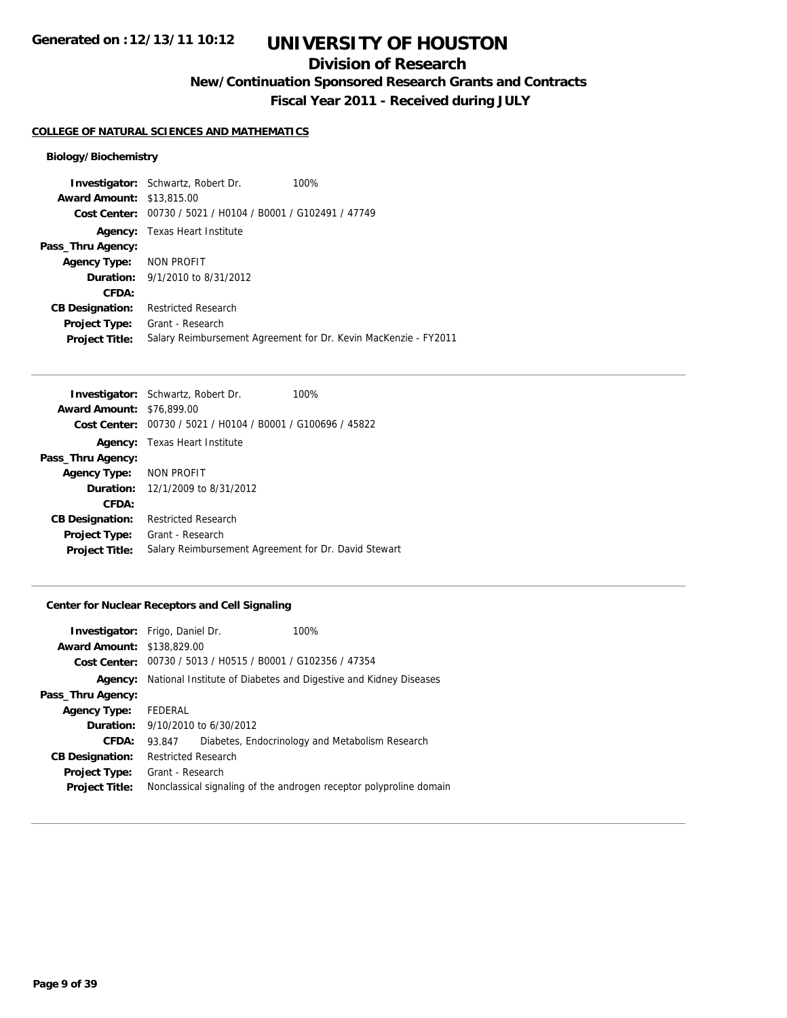## **Division of Research**

**New/Continuation Sponsored Research Grants and Contracts**

**Fiscal Year 2011 - Received during JULY**

#### **COLLEGE OF NATURAL SCIENCES AND MATHEMATICS**

## **Biology/Biochemistry**

|                                  | <b>Investigator:</b> Schwartz, Robert Dr.      | 100%                                                            |
|----------------------------------|------------------------------------------------|-----------------------------------------------------------------|
| <b>Award Amount: \$13,815,00</b> |                                                |                                                                 |
| Cost Center:                     | 00730 / 5021 / H0104 / B0001 / G102491 / 47749 |                                                                 |
| Agency:                          | Texas Heart Institute                          |                                                                 |
| Pass_Thru Agency:                |                                                |                                                                 |
| Agency Type: NON PROFIT          |                                                |                                                                 |
|                                  | <b>Duration:</b> $9/1/2010$ to $8/31/2012$     |                                                                 |
| <b>CFDA:</b>                     |                                                |                                                                 |
| <b>CB Designation:</b>           | <b>Restricted Research</b>                     |                                                                 |
| <b>Project Type:</b>             | Grant - Research                               |                                                                 |
| <b>Project Title:</b>            |                                                | Salary Reimbursement Agreement for Dr. Kevin MacKenzie - FY2011 |

| <b>Investigator:</b> Schwartz, Robert Dr.<br>100%           |
|-------------------------------------------------------------|
| <b>Award Amount: \$76,899.00</b>                            |
| Cost Center: 00730 / 5021 / H0104 / B0001 / G100696 / 45822 |
| <b>Agency:</b> Texas Heart Institute                        |
|                                                             |
| Agency Type: NON PROFIT                                     |
| <b>Duration:</b> 12/1/2009 to 8/31/2012                     |
|                                                             |
| <b>Restricted Research</b>                                  |
| Grant - Research                                            |
| Salary Reimbursement Agreement for Dr. David Stewart        |
|                                                             |

## **Center for Nuclear Receptors and Cell Signaling**

| <b>Investigator:</b> Frigo, Daniel Dr. |                                             | 100%                                                                 |
|----------------------------------------|---------------------------------------------|----------------------------------------------------------------------|
| <b>Award Amount: \$138,829.00</b>      |                                             |                                                                      |
|                                        |                                             | <b>Cost Center:</b> $00730 / 5013 / 40515 / 80001 / 6102356 / 47354$ |
| Agency:                                |                                             | National Institute of Diabetes and Digestive and Kidney Diseases     |
| Pass_Thru Agency:                      |                                             |                                                                      |
| <b>Agency Type:</b>                    | FEDERAL                                     |                                                                      |
|                                        | <b>Duration:</b> $9/10/2010$ to $6/30/2012$ |                                                                      |
| CFDA:                                  | 93.847                                      | Diabetes, Endocrinology and Metabolism Research                      |
| <b>CB Designation:</b>                 | Restricted Research                         |                                                                      |
| <b>Project Type:</b>                   | Grant - Research                            |                                                                      |
| <b>Project Title:</b>                  |                                             | Nonclassical signaling of the androgen receptor polyproline domain   |
|                                        |                                             |                                                                      |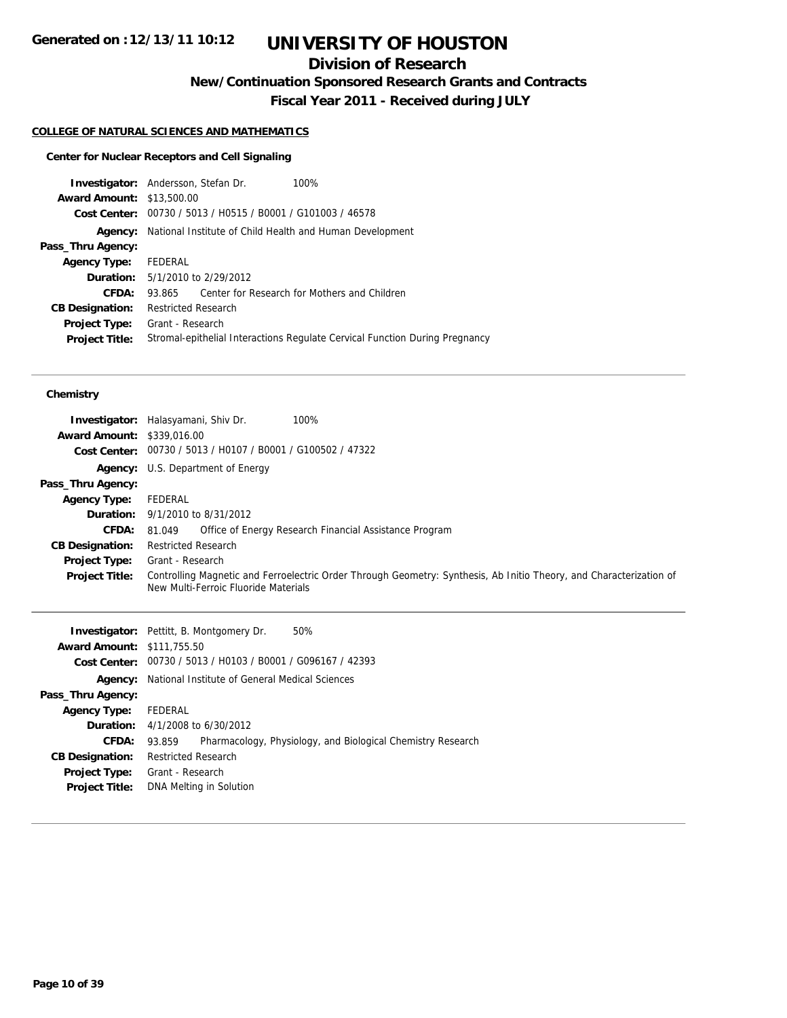## **Division of Research**

**New/Continuation Sponsored Research Grants and Contracts**

**Fiscal Year 2011 - Received during JULY**

#### **COLLEGE OF NATURAL SCIENCES AND MATHEMATICS**

## **Center for Nuclear Receptors and Cell Signaling**

| <b>Investigator:</b> Andersson, Stefan Dr. |                            |                                                | 100%                                                                        |
|--------------------------------------------|----------------------------|------------------------------------------------|-----------------------------------------------------------------------------|
| <b>Award Amount: \$13,500.00</b>           |                            |                                                |                                                                             |
| Cost Center:                               |                            | 00730 / 5013 / H0515 / B0001 / G101003 / 46578 |                                                                             |
| Agency:                                    |                            |                                                | National Institute of Child Health and Human Development                    |
| Pass_Thru Agency:                          |                            |                                                |                                                                             |
| <b>Agency Type:</b>                        | FEDERAL                    |                                                |                                                                             |
|                                            |                            | <b>Duration:</b> 5/1/2010 to 2/29/2012         |                                                                             |
| CFDA:                                      | 93.865                     |                                                | Center for Research for Mothers and Children                                |
| <b>CB Designation:</b>                     | <b>Restricted Research</b> |                                                |                                                                             |
| <b>Project Type:</b>                       | Grant - Research           |                                                |                                                                             |
| <b>Project Title:</b>                      |                            |                                                | Stromal-epithelial Interactions Regulate Cervical Function During Pregnancy |
|                                            |                            |                                                |                                                                             |

#### **Chemistry**

| <b>Award Amount: \$339,016.00</b> | Investigator: Halasyamani, Shiv Dr.<br>100%<br>Cost Center: 00730 / 5013 / H0107 / B0001 / G100502 / 47322                                                  |
|-----------------------------------|-------------------------------------------------------------------------------------------------------------------------------------------------------------|
|                                   | <b>Agency:</b> U.S. Department of Energy                                                                                                                    |
| Pass_Thru Agency:                 |                                                                                                                                                             |
| <b>Agency Type:</b>               | FEDERAL                                                                                                                                                     |
|                                   | <b>Duration:</b> $9/1/2010$ to $8/31/2012$                                                                                                                  |
| <b>CFDA:</b>                      | Office of Energy Research Financial Assistance Program<br>81.049                                                                                            |
| <b>CB Designation:</b>            | <b>Restricted Research</b>                                                                                                                                  |
| Project Type:                     | Grant - Research                                                                                                                                            |
| <b>Project Title:</b>             | Controlling Magnetic and Ferroelectric Order Through Geometry: Synthesis, Ab Initio Theory, and Characterization of<br>New Multi-Ferroic Fluoride Materials |

|                                   | <b>Investigator:</b> Pettitt, B. Montgomery Dr.<br>50%                |
|-----------------------------------|-----------------------------------------------------------------------|
| <b>Award Amount: \$111,755.50</b> |                                                                       |
|                                   | Cost Center: 00730 / 5013 / H0103 / B0001 / G096167 / 42393           |
| Agency:                           | National Institute of General Medical Sciences                        |
| Pass_Thru Agency:                 |                                                                       |
| <b>Agency Type:</b>               | FEDERAL                                                               |
|                                   | <b>Duration:</b> $4/1/2008$ to $6/30/2012$                            |
| CFDA:                             | Pharmacology, Physiology, and Biological Chemistry Research<br>93.859 |
| <b>CB Designation:</b>            | <b>Restricted Research</b>                                            |
| <b>Project Type:</b>              | Grant - Research                                                      |
| <b>Project Title:</b>             | DNA Melting in Solution                                               |
|                                   |                                                                       |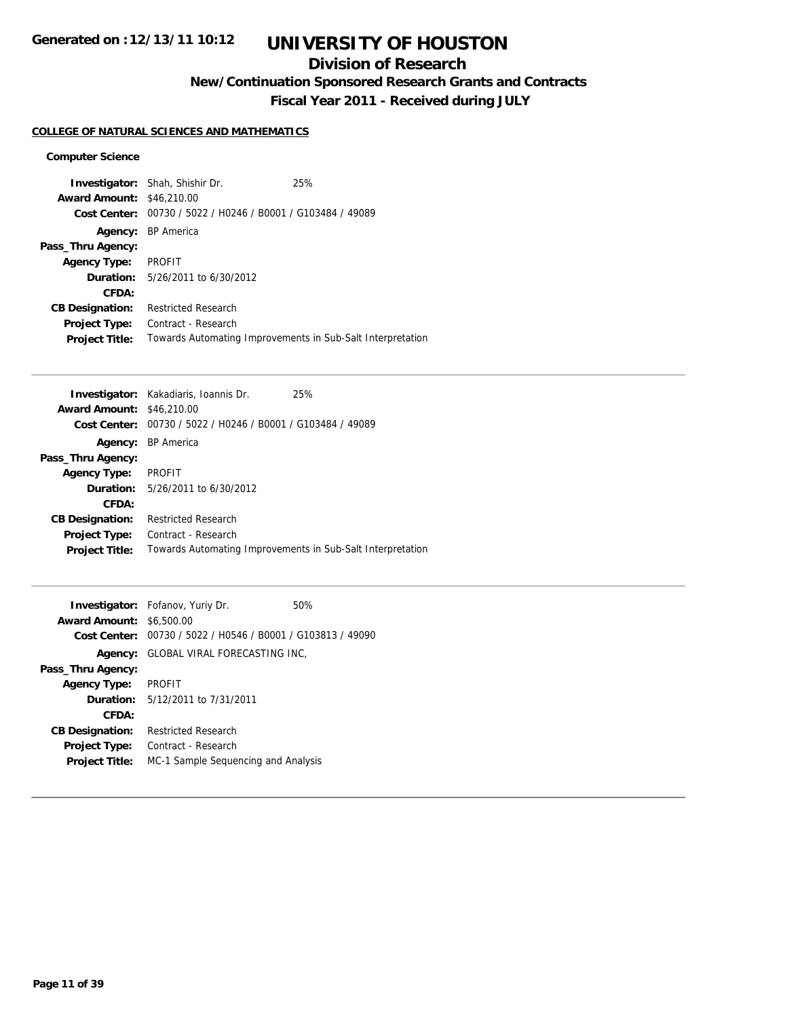# **UNIVERSITY OF HOUSTON**

## **Division of Research**

**New/Continuation Sponsored Research Grants and Contracts**

**Fiscal Year 2011 - Received during JULY**

## **COLLEGE OF NATURAL SCIENCES AND MATHEMATICS**

### **Computer Science**

| <b>Award Amount:</b>   | <b>Investigator:</b> Shah, Shishir Dr.<br>\$46,210.00      | 25% |
|------------------------|------------------------------------------------------------|-----|
| Cost Center:           | 00730 / 5022 / H0246 / B0001 / G103484 / 49089             |     |
| Agency:                | <b>BP</b> America                                          |     |
| Pass_Thru Agency:      |                                                            |     |
| <b>Agency Type:</b>    | <b>PROFIT</b>                                              |     |
|                        | <b>Duration:</b> 5/26/2011 to 6/30/2012                    |     |
| CFDA:                  |                                                            |     |
| <b>CB Designation:</b> | <b>Restricted Research</b>                                 |     |
| <b>Project Type:</b>   | Contract - Research                                        |     |
| <b>Project Title:</b>  | Towards Automating Improvements in Sub-Salt Interpretation |     |

|                                  | <b>Investigator:</b> Kakadiaris, Ioannis Dr.                | 25% |
|----------------------------------|-------------------------------------------------------------|-----|
| <b>Award Amount: \$46,210.00</b> |                                                             |     |
|                                  | Cost Center: 00730 / 5022 / H0246 / B0001 / G103484 / 49089 |     |
|                                  | Agency: BP America                                          |     |
| Pass_Thru Agency:                |                                                             |     |
| <b>Agency Type:</b>              | <b>PROFIT</b>                                               |     |
|                                  | <b>Duration:</b> 5/26/2011 to 6/30/2012                     |     |
| CFDA:                            |                                                             |     |
| <b>CB Designation:</b>           | <b>Restricted Research</b>                                  |     |
| Project Type:                    | Contract - Research                                         |     |
| <b>Project Title:</b>            | Towards Automating Improvements in Sub-Salt Interpretation  |     |
|                                  |                                                             |     |

|                                 | <b>Investigator:</b> Fofanov, Yuriy Dr.                     | 50% |
|---------------------------------|-------------------------------------------------------------|-----|
| <b>Award Amount: \$6,500.00</b> |                                                             |     |
|                                 | Cost Center: 00730 / 5022 / H0546 / B0001 / G103813 / 49090 |     |
|                                 | Agency: GLOBAL VIRAL FORECASTING INC.                       |     |
| Pass_Thru Agency:               |                                                             |     |
| <b>Agency Type:</b>             | <b>PROFIT</b>                                               |     |
|                                 | <b>Duration:</b> 5/12/2011 to 7/31/2011                     |     |
| CFDA:                           |                                                             |     |
| <b>CB Designation:</b>          | <b>Restricted Research</b>                                  |     |
| <b>Project Type:</b>            | Contract - Research                                         |     |
| <b>Project Title:</b>           | MC-1 Sample Sequencing and Analysis                         |     |
|                                 |                                                             |     |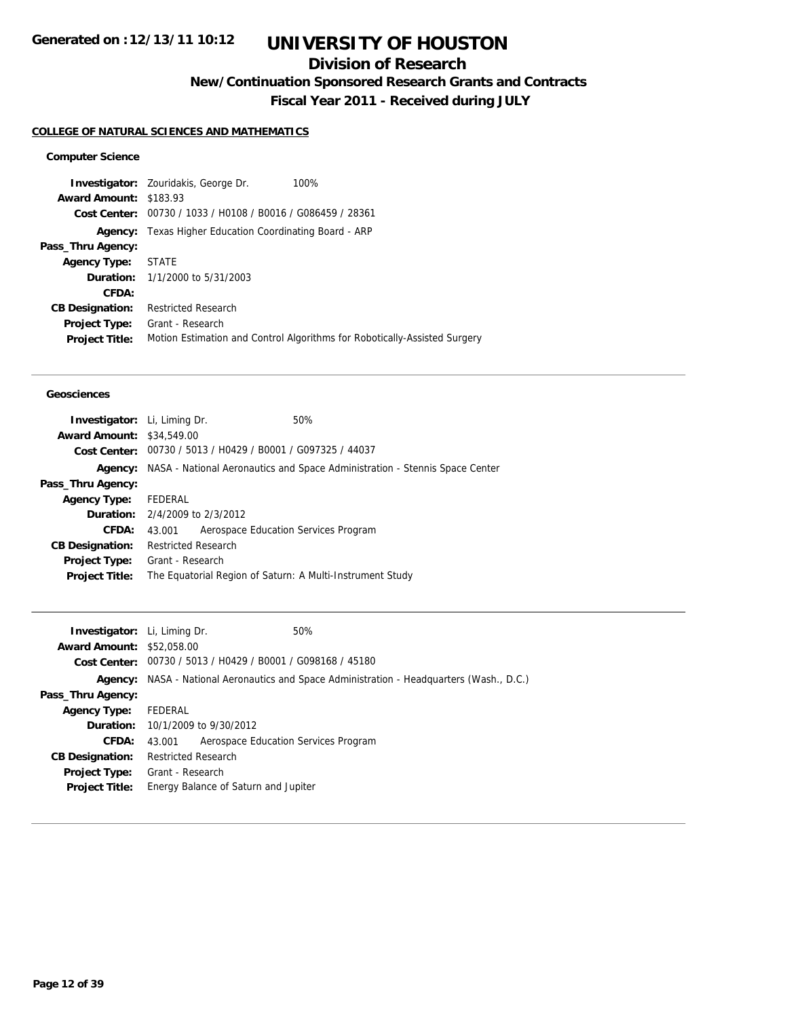## **Division of Research**

**New/Continuation Sponsored Research Grants and Contracts**

**Fiscal Year 2011 - Received during JULY**

## **COLLEGE OF NATURAL SCIENCES AND MATHEMATICS**

## **Computer Science**

|                               | 100%<br><b>Investigator:</b> Zouridakis, George Dr.                       |
|-------------------------------|---------------------------------------------------------------------------|
| <b>Award Amount: \$183.93</b> |                                                                           |
|                               | Cost Center: 00730 / 1033 / H0108 / B0016 / G086459 / 28361               |
|                               | <b>Agency:</b> Texas Higher Education Coordinating Board - ARP            |
| Pass_Thru Agency:             |                                                                           |
| <b>Agency Type:</b>           | STATE                                                                     |
|                               | <b>Duration:</b> 1/1/2000 to 5/31/2003                                    |
| CFDA:                         |                                                                           |
| <b>CB Designation:</b>        | <b>Restricted Research</b>                                                |
| <b>Project Type:</b>          | Grant - Research                                                          |
| <b>Project Title:</b>         | Motion Estimation and Control Algorithms for Robotically-Assisted Surgery |
|                               |                                                                           |

#### **Geosciences**

| <b>Investigator:</b> Li, Liming Dr.   |                            |                                                             | 50%                                                                         |
|---------------------------------------|----------------------------|-------------------------------------------------------------|-----------------------------------------------------------------------------|
| <b>Award Amount: \$34,549.00</b>      |                            |                                                             |                                                                             |
|                                       |                            | Cost Center: 00730 / 5013 / H0429 / B0001 / G097325 / 44037 |                                                                             |
| Agency:                               |                            |                                                             | NASA - National Aeronautics and Space Administration - Stennis Space Center |
| Pass_Thru Agency:                     |                            |                                                             |                                                                             |
| <b>Agency Type:</b>                   | FEDERAL                    |                                                             |                                                                             |
| <b>Duration:</b> 2/4/2009 to 2/3/2012 |                            |                                                             |                                                                             |
| CFDA:                                 | 43.001                     | Aerospace Education Services Program                        |                                                                             |
| <b>CB Designation:</b>                | <b>Restricted Research</b> |                                                             |                                                                             |
| <b>Project Type:</b>                  | Grant - Research           |                                                             |                                                                             |
| <b>Project Title:</b>                 |                            |                                                             | The Equatorial Region of Saturn: A Multi-Instrument Study                   |
|                                       |                            |                                                             |                                                                             |

| <b>Investigator:</b> Li, Liming Dr. |                            |                                                             | 50%                                                                                              |
|-------------------------------------|----------------------------|-------------------------------------------------------------|--------------------------------------------------------------------------------------------------|
| <b>Award Amount: \$52,058,00</b>    |                            |                                                             |                                                                                                  |
|                                     |                            | Cost Center: 00730 / 5013 / H0429 / B0001 / G098168 / 45180 |                                                                                                  |
|                                     |                            |                                                             | <b>Agency:</b> NASA - National Aeronautics and Space Administration - Headquarters (Wash., D.C.) |
| Pass_Thru Agency:                   |                            |                                                             |                                                                                                  |
| <b>Agency Type:</b>                 | FEDERAL                    |                                                             |                                                                                                  |
|                                     |                            | <b>Duration:</b> $10/1/2009$ to $9/30/2012$                 |                                                                                                  |
| <b>CFDA:</b>                        | 43.001                     | Aerospace Education Services Program                        |                                                                                                  |
| <b>CB Designation:</b>              | <b>Restricted Research</b> |                                                             |                                                                                                  |
| <b>Project Type:</b>                | Grant - Research           |                                                             |                                                                                                  |
| <b>Project Title:</b>               |                            | Energy Balance of Saturn and Jupiter                        |                                                                                                  |
|                                     |                            |                                                             |                                                                                                  |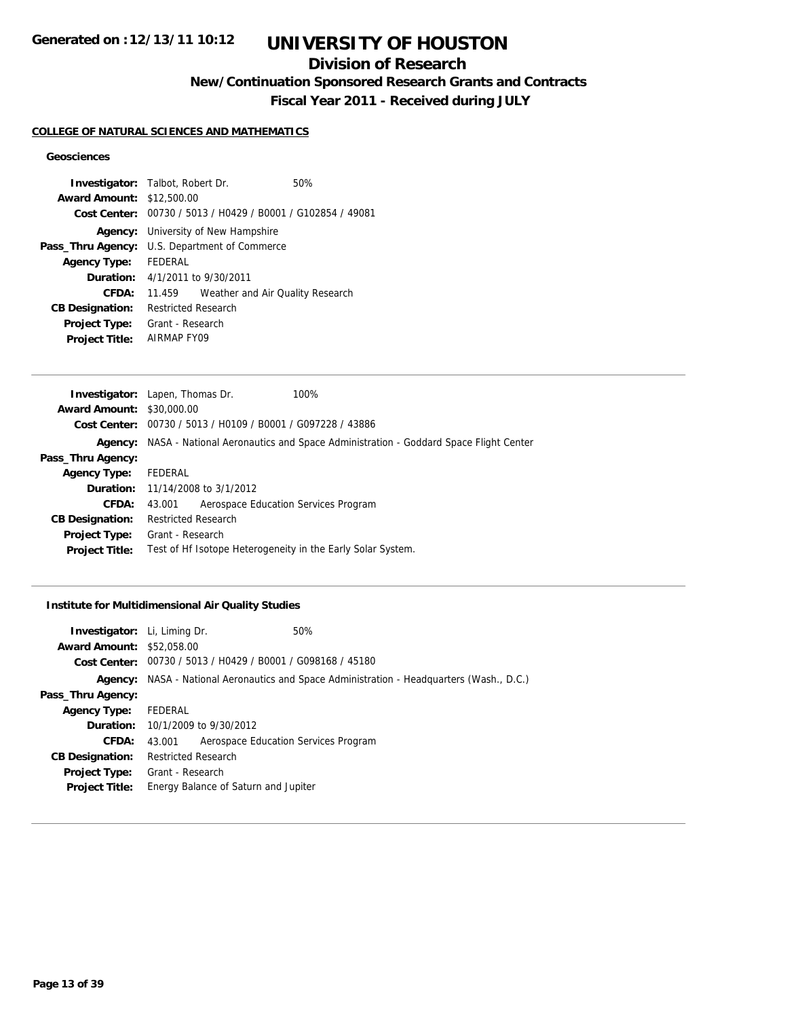## **Division of Research**

**New/Continuation Sponsored Research Grants and Contracts**

**Fiscal Year 2011 - Received during JULY**

### **COLLEGE OF NATURAL SCIENCES AND MATHEMATICS**

## **Geosciences**

| <b>Investigator:</b> Talbot, Robert Dr.              |                                            |                                                             | 50% |
|------------------------------------------------------|--------------------------------------------|-------------------------------------------------------------|-----|
| <b>Award Amount: \$12,500.00</b>                     |                                            |                                                             |     |
|                                                      |                                            | Cost Center: 00730 / 5013 / H0429 / B0001 / G102854 / 49081 |     |
|                                                      | <b>Agency:</b> University of New Hampshire |                                                             |     |
| <b>Pass_Thru Agency:</b> U.S. Department of Commerce |                                            |                                                             |     |
| <b>Agency Type:</b>                                  | <b>FFDFRAL</b>                             |                                                             |     |
| <b>Duration:</b> 4/1/2011 to 9/30/2011               |                                            |                                                             |     |
| CFDA:                                                | 11.459                                     | Weather and Air Quality Research                            |     |
| <b>CB Designation:</b>                               | <b>Restricted Research</b>                 |                                                             |     |
| <b>Project Type:</b>                                 | Grant - Research                           |                                                             |     |
| <b>Project Title:</b>                                | AIRMAP FY09                                |                                                             |     |

|                                  | <b>Investigator:</b> Lapen, Thomas Dr.                      | 100%                                                                                              |
|----------------------------------|-------------------------------------------------------------|---------------------------------------------------------------------------------------------------|
| <b>Award Amount: \$30,000.00</b> |                                                             |                                                                                                   |
|                                  | Cost Center: 00730 / 5013 / H0109 / B0001 / G097228 / 43886 |                                                                                                   |
|                                  |                                                             | <b>Agency:</b> NASA - National Aeronautics and Space Administration - Goddard Space Flight Center |
| Pass_Thru Agency:                |                                                             |                                                                                                   |
| <b>Agency Type:</b>              | FEDERAL                                                     |                                                                                                   |
|                                  | <b>Duration:</b> 11/14/2008 to 3/1/2012                     |                                                                                                   |
| CFDA:                            | Aerospace Education Services Program<br>43.001              |                                                                                                   |
| <b>CB Designation:</b>           | <b>Restricted Research</b>                                  |                                                                                                   |
| <b>Project Type:</b>             | Grant - Research                                            |                                                                                                   |
| <b>Project Title:</b>            | Test of Hf Isotope Heterogeneity in the Early Solar System. |                                                                                                   |
|                                  |                                                             |                                                                                                   |

## **Institute for Multidimensional Air Quality Studies**

| <b>Investigator:</b> Li, Liming Dr. |                                                             | 50%                                                                                       |
|-------------------------------------|-------------------------------------------------------------|-------------------------------------------------------------------------------------------|
| <b>Award Amount: \$52,058.00</b>    |                                                             |                                                                                           |
|                                     | Cost Center: 00730 / 5013 / H0429 / B0001 / G098168 / 45180 |                                                                                           |
|                                     |                                                             | Agency: NASA - National Aeronautics and Space Administration - Headquarters (Wash., D.C.) |
| Pass_Thru Agency:                   |                                                             |                                                                                           |
| <b>Agency Type:</b>                 | FEDERAL                                                     |                                                                                           |
|                                     | <b>Duration:</b> $10/1/2009$ to $9/30/2012$                 |                                                                                           |
| CFDA:                               | Aerospace Education Services Program<br>43.001              |                                                                                           |
| <b>CB Designation:</b>              | <b>Restricted Research</b>                                  |                                                                                           |
|                                     | <b>Project Type:</b> Grant - Research                       |                                                                                           |
| <b>Project Title:</b>               | Energy Balance of Saturn and Jupiter                        |                                                                                           |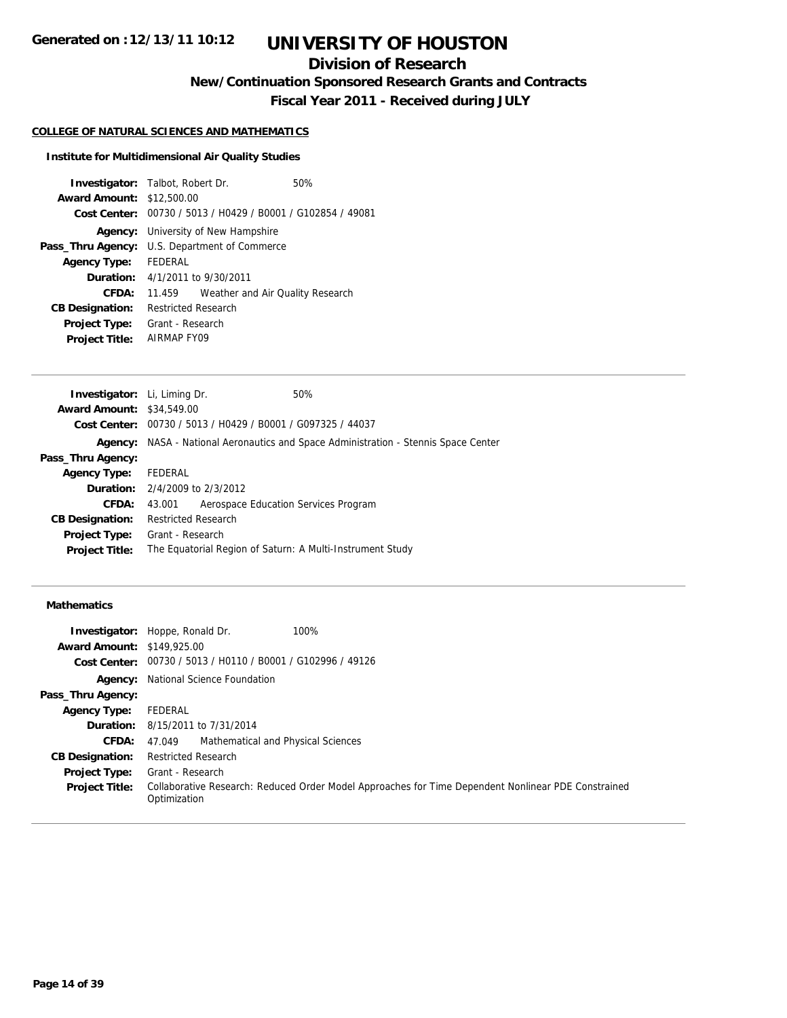# **UNIVERSITY OF HOUSTON**

## **Division of Research**

**New/Continuation Sponsored Research Grants and Contracts**

**Fiscal Year 2011 - Received during JULY**

#### **COLLEGE OF NATURAL SCIENCES AND MATHEMATICS**

#### **Institute for Multidimensional Air Quality Studies**

| <b>Investigator:</b> Talbot, Robert Dr. |                            |                                                             | 50% |
|-----------------------------------------|----------------------------|-------------------------------------------------------------|-----|
| <b>Award Amount: \$12,500.00</b>        |                            |                                                             |     |
|                                         |                            | Cost Center: 00730 / 5013 / H0429 / B0001 / G102854 / 49081 |     |
|                                         |                            | <b>Agency:</b> University of New Hampshire                  |     |
| Pass_Thru Agency:                       |                            | U.S. Department of Commerce                                 |     |
| <b>Agency Type:</b>                     | FEDERAL                    |                                                             |     |
|                                         |                            | <b>Duration:</b> $4/1/2011$ to $9/30/2011$                  |     |
| CFDA:                                   | 11.459                     | Weather and Air Quality Research                            |     |
| <b>CB Designation:</b>                  | <b>Restricted Research</b> |                                                             |     |
| <b>Project Type:</b>                    | Grant - Research           |                                                             |     |
| <b>Project Title:</b>                   | AIRMAP FY09                |                                                             |     |

| <b>Investigator:</b> Li, Liming Dr.   |                            |                                                             | 50%                                                                                        |
|---------------------------------------|----------------------------|-------------------------------------------------------------|--------------------------------------------------------------------------------------------|
| <b>Award Amount: \$34,549.00</b>      |                            |                                                             |                                                                                            |
|                                       |                            | Cost Center: 00730 / 5013 / H0429 / B0001 / G097325 / 44037 |                                                                                            |
|                                       |                            |                                                             | <b>Agency:</b> NASA - National Aeronautics and Space Administration - Stennis Space Center |
| Pass_Thru Agency:                     |                            |                                                             |                                                                                            |
| <b>Agency Type:</b>                   | FEDERAL                    |                                                             |                                                                                            |
| <b>Duration:</b> 2/4/2009 to 2/3/2012 |                            |                                                             |                                                                                            |
| CFDA:                                 | 43.001                     | Aerospace Education Services Program                        |                                                                                            |
| <b>CB Designation:</b>                | <b>Restricted Research</b> |                                                             |                                                                                            |
| <b>Project Type:</b>                  | Grant - Research           |                                                             |                                                                                            |
| <b>Project Title:</b>                 |                            |                                                             | The Equatorial Region of Saturn: A Multi-Instrument Study                                  |
|                                       |                            |                                                             |                                                                                            |

## **Mathematics**

|                                   | 100%<br><b>Investigator:</b> Hoppe, Ronald Dr.                                                                      |
|-----------------------------------|---------------------------------------------------------------------------------------------------------------------|
| <b>Award Amount: \$149,925.00</b> |                                                                                                                     |
|                                   | Cost Center: 00730 / 5013 / H0110 / B0001 / G102996 / 49126                                                         |
|                                   | <b>Agency:</b> National Science Foundation                                                                          |
| Pass_Thru Agency:                 |                                                                                                                     |
| <b>Agency Type:</b>               | FEDERAL                                                                                                             |
|                                   | <b>Duration:</b> 8/15/2011 to 7/31/2014                                                                             |
| <b>CFDA:</b>                      | Mathematical and Physical Sciences<br>47.049                                                                        |
| <b>CB Designation:</b>            | <b>Restricted Research</b>                                                                                          |
| <b>Project Type:</b>              | Grant - Research                                                                                                    |
| <b>Project Title:</b>             | Collaborative Research: Reduced Order Model Approaches for Time Dependent Nonlinear PDE Constrained<br>Optimization |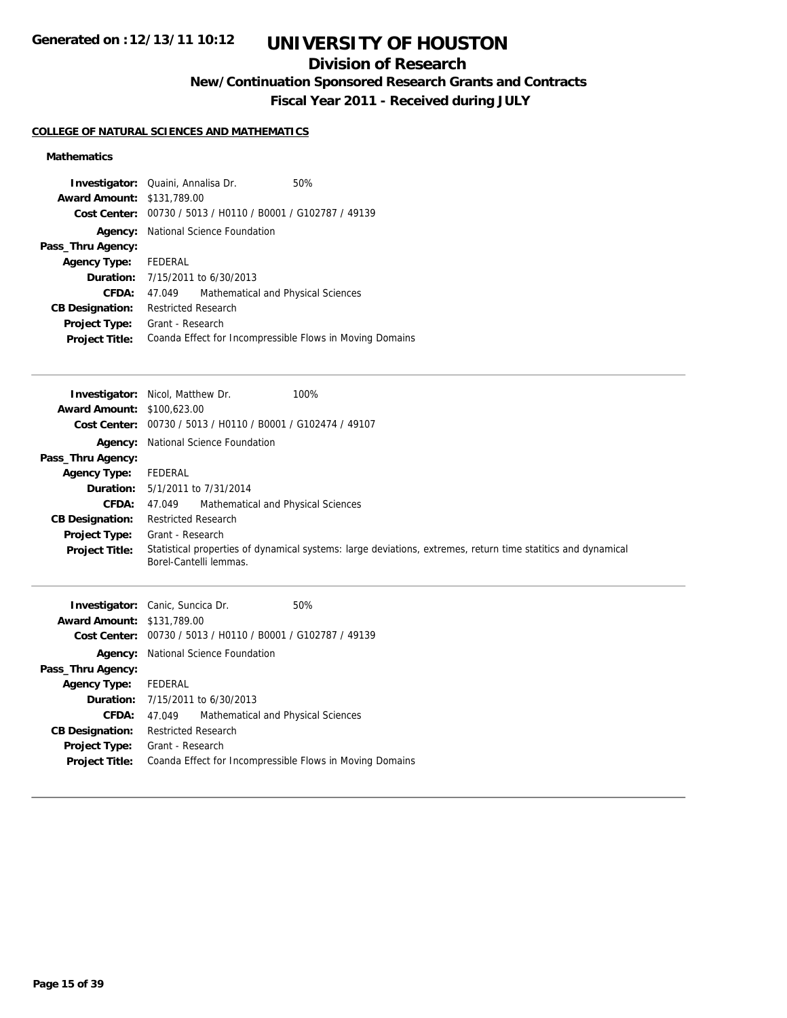# **UNIVERSITY OF HOUSTON**

## **Division of Research**

**New/Continuation Sponsored Research Grants and Contracts**

**Fiscal Year 2011 - Received during JULY**

## **COLLEGE OF NATURAL SCIENCES AND MATHEMATICS**

## **Mathematics**

| <b>Award Amount: \$131,789.00</b> | <b>Investigator:</b> Quaini, Annalisa Dr.<br>Cost Center: 00730 / 5013 / H0110 / B0001 / G102787 / 49139 | 50% |
|-----------------------------------|----------------------------------------------------------------------------------------------------------|-----|
| Agency:                           | National Science Foundation                                                                              |     |
| Pass_Thru Agency:                 |                                                                                                          |     |
| <b>Agency Type:</b>               | FEDERAL                                                                                                  |     |
|                                   | <b>Duration:</b> 7/15/2011 to 6/30/2013                                                                  |     |
| CFDA:                             | Mathematical and Physical Sciences<br>47.049                                                             |     |
| <b>CB Designation:</b>            | <b>Restricted Research</b>                                                                               |     |
| <b>Project Type:</b>              | Grant - Research                                                                                         |     |
| <b>Project Title:</b>             | Coanda Effect for Incompressible Flows in Moving Domains                                                 |     |

|                                   | 100%<br><b>Investigator:</b> Nicol, Matthew Dr.                                                                                        |  |  |
|-----------------------------------|----------------------------------------------------------------------------------------------------------------------------------------|--|--|
| <b>Award Amount: \$100,623.00</b> |                                                                                                                                        |  |  |
|                                   | Cost Center: 00730 / 5013 / H0110 / B0001 / G102474 / 49107                                                                            |  |  |
|                                   | <b>Agency:</b> National Science Foundation                                                                                             |  |  |
| Pass_Thru Agency:                 |                                                                                                                                        |  |  |
| <b>Agency Type:</b>               | FEDERAL                                                                                                                                |  |  |
|                                   | <b>Duration:</b> 5/1/2011 to 7/31/2014                                                                                                 |  |  |
| <b>CFDA:</b>                      | Mathematical and Physical Sciences<br>47.049                                                                                           |  |  |
| <b>CB Designation:</b>            | <b>Restricted Research</b>                                                                                                             |  |  |
|                                   | <b>Project Type:</b> Grant - Research                                                                                                  |  |  |
| <b>Project Title:</b>             | Statistical properties of dynamical systems: large deviations, extremes, return time statitics and dynamical<br>Borel-Cantelli lemmas. |  |  |
|                                   | <b>Investigator:</b> Canic, Suncica Dr.<br>50%                                                                                         |  |  |
| <b>Award Amount: \$131,789.00</b> |                                                                                                                                        |  |  |
|                                   | Cost Center: 00730 / 5013 / H0110 / B0001 / G102787 / 49139                                                                            |  |  |
|                                   | <b>Agency:</b> National Science Foundation                                                                                             |  |  |

|                             | <b>Agency:</b> National Science Foundation               |  |
|-----------------------------|----------------------------------------------------------|--|
| Pass_Thru Agency:           |                                                          |  |
| <b>Agency Type:</b> FEDERAL |                                                          |  |
|                             | <b>Duration:</b> 7/15/2011 to 6/30/2013                  |  |
| <b>CFDA:</b>                | Mathematical and Physical Sciences<br>47.049             |  |
|                             | <b>CB Designation:</b> Restricted Research               |  |
| <b>Project Type:</b>        | Grant - Research                                         |  |
| <b>Project Title:</b>       | Coanda Effect for Incompressible Flows in Moving Domains |  |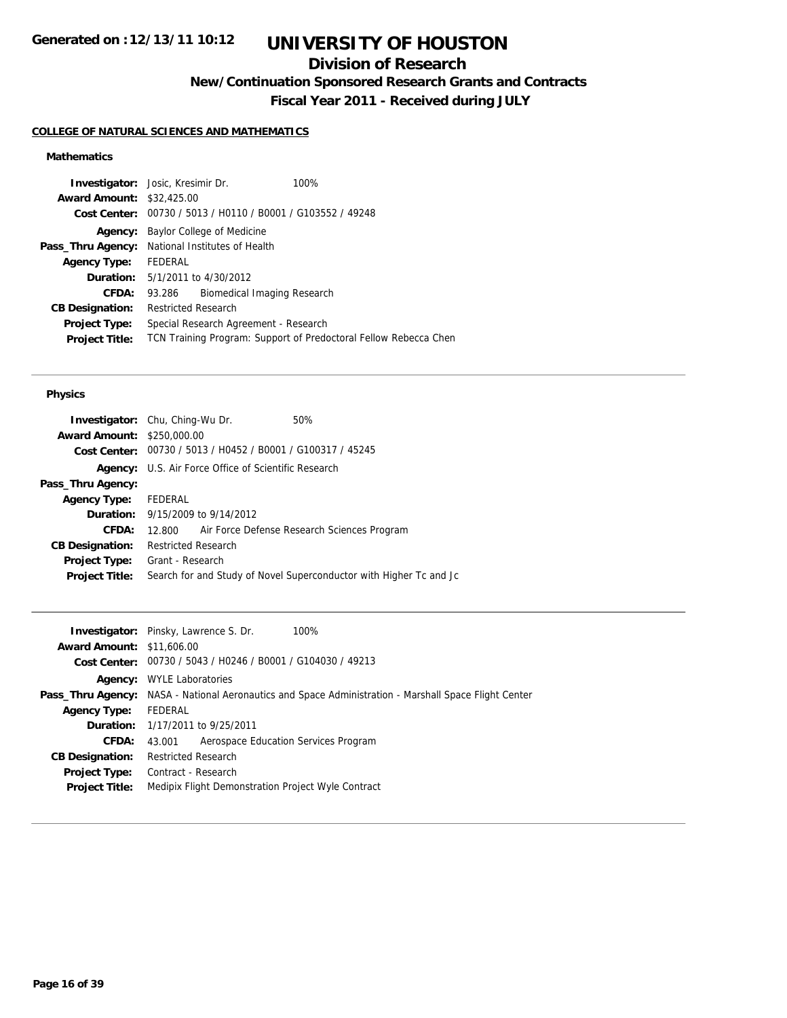## **Division of Research**

**New/Continuation Sponsored Research Grants and Contracts**

**Fiscal Year 2011 - Received during JULY**

## **COLLEGE OF NATURAL SCIENCES AND MATHEMATICS**

## **Mathematics**

| <b>Investigator:</b> Josic, Kresimir Dr.        |                                                                  |                             | 100% |
|-------------------------------------------------|------------------------------------------------------------------|-----------------------------|------|
| <b>Award Amount: \$32,425.00</b>                |                                                                  |                             |      |
|                                                 | Cost Center: 00730 / 5013 / H0110 / B0001 / G103552 / 49248      |                             |      |
| Agency:                                         | Baylor College of Medicine                                       |                             |      |
| Pass_Thru Agency: National Institutes of Health |                                                                  |                             |      |
| <b>Agency Type:</b>                             | FEDERAL                                                          |                             |      |
|                                                 | <b>Duration:</b> 5/1/2011 to 4/30/2012                           |                             |      |
| CFDA:                                           | 93.286                                                           | Biomedical Imaging Research |      |
| <b>CB Designation:</b>                          | <b>Restricted Research</b>                                       |                             |      |
| <b>Project Type:</b>                            | Special Research Agreement - Research                            |                             |      |
| <b>Project Title:</b>                           | TCN Training Program: Support of Predoctoral Fellow Rebecca Chen |                             |      |
|                                                 |                                                                  |                             |      |

#### **Physics**

| <b>Investigator:</b> Chu, Ching-Wu Dr. |                            |                                                             | 50%                                                                |
|----------------------------------------|----------------------------|-------------------------------------------------------------|--------------------------------------------------------------------|
| <b>Award Amount: \$250,000.00</b>      |                            |                                                             |                                                                    |
|                                        |                            | Cost Center: 00730 / 5013 / H0452 / B0001 / G100317 / 45245 |                                                                    |
|                                        |                            | <b>Agency:</b> U.S. Air Force Office of Scientific Research |                                                                    |
| Pass_Thru Agency:                      |                            |                                                             |                                                                    |
| Agency Type: FEDERAL                   |                            |                                                             |                                                                    |
|                                        |                            | <b>Duration:</b> $9/15/2009$ to $9/14/2012$                 |                                                                    |
| CFDA:                                  |                            |                                                             | 12.800 Air Force Defense Research Sciences Program                 |
| <b>CB Designation:</b>                 | <b>Restricted Research</b> |                                                             |                                                                    |
| <b>Project Type:</b>                   | Grant - Research           |                                                             |                                                                    |
| <b>Project Title:</b>                  |                            |                                                             | Search for and Study of Novel Superconductor with Higher Tc and Jc |
|                                        |                            |                                                             |                                                                    |

|                                  | <b>Investigator:</b> Pinsky, Lawrence S. Dr.<br>100%                                                         |
|----------------------------------|--------------------------------------------------------------------------------------------------------------|
| <b>Award Amount: \$11,606.00</b> |                                                                                                              |
|                                  | Cost Center: $00730 / 5043 / 40246 / 80001 / 6104030 / 49213$                                                |
|                                  | <b>Agency:</b> WYLE Laboratories                                                                             |
|                                  | <b>Pass_Thru Agency:</b> NASA - National Aeronautics and Space Administration - Marshall Space Flight Center |
| <b>Agency Type:</b>              | FEDERAL                                                                                                      |
|                                  | <b>Duration:</b> 1/17/2011 to 9/25/2011                                                                      |
| CFDA:                            | Aerospace Education Services Program<br>43.001                                                               |
| <b>CB Designation:</b>           | <b>Restricted Research</b>                                                                                   |
| <b>Project Type:</b>             | Contract - Research                                                                                          |
| <b>Project Title:</b>            | Medipix Flight Demonstration Project Wyle Contract                                                           |
|                                  |                                                                                                              |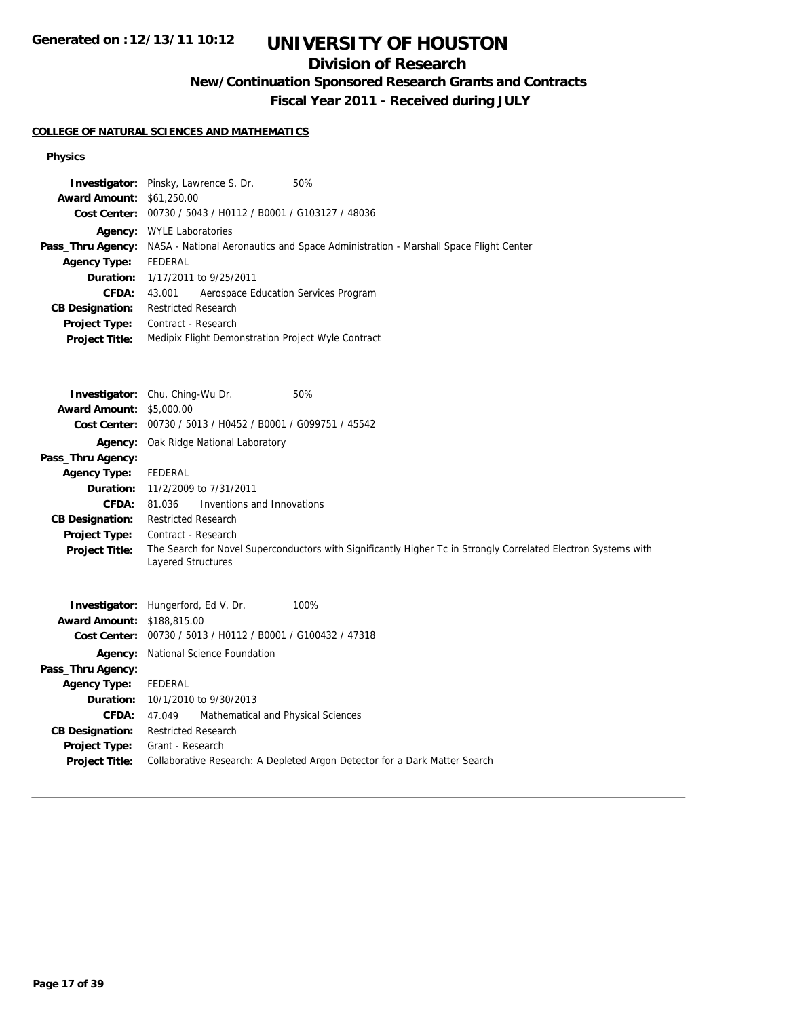# **UNIVERSITY OF HOUSTON**

## **Division of Research**

**New/Continuation Sponsored Research Grants and Contracts**

**Fiscal Year 2011 - Received during JULY**

## **COLLEGE OF NATURAL SCIENCES AND MATHEMATICS**

## **Physics**

| <b>Award Amount: \$61,250.00</b><br>Cost Center: 00730 / 5043 / H0112 / B0001 / G103127 / 48036<br>Agency: WYLE Laboratories<br>Pass_Thru Agency: NASA - National Aeronautics and Space Administration - Marshall Space Flight Center<br><b>FEDERAL</b><br><b>Agency Type:</b><br>1/17/2011 to 9/25/2011<br>Duration:<br><b>CFDA:</b><br>43.001<br>Aerospace Education Services Program<br><b>CB Designation:</b><br><b>Restricted Research</b><br>Project Type:<br>Contract - Research<br>Medipix Flight Demonstration Project Wyle Contract<br><b>Project Title:</b>                                          |  |
|-----------------------------------------------------------------------------------------------------------------------------------------------------------------------------------------------------------------------------------------------------------------------------------------------------------------------------------------------------------------------------------------------------------------------------------------------------------------------------------------------------------------------------------------------------------------------------------------------------------------|--|
| Investigator: Chu, Ching-Wu Dr.<br>50%<br><b>Award Amount: \$5,000.00</b><br>Cost Center: 00730 / 5013 / H0452 / B0001 / G099751 / 45542<br>Agency: Oak Ridge National Laboratory<br>Pass_Thru Agency:<br><b>Agency Type:</b><br><b>FEDERAL</b><br>Duration:<br>11/2/2009 to 7/31/2011<br><b>CFDA:</b><br>Inventions and Innovations<br>81.036<br><b>CB Designation:</b><br><b>Restricted Research</b><br>Project Type:<br>Contract - Research<br>The Search for Novel Superconductors with Significantly Higher Tc in Strongly Correlated Electron Systems with<br><b>Project Title:</b><br>Layered Structures |  |
| Investigator: Hungerford, Ed V. Dr.<br>100%<br><b>Award Amount: \$188,815.00</b><br>Cost Center: 00730 / 5013 / H0112 / B0001 / G100432 / 47318<br>National Science Foundation<br>Agency:<br>Pass_Thru Agency:<br><b>Agency Type:</b><br><b>FEDERAL</b><br>Duration:<br>10/1/2010 to 9/30/2013<br>CFDA:<br>Mathematical and Physical Sciences<br>47.049<br><b>CB Designation:</b><br><b>Restricted Research</b><br>Project Type:<br>Grant - Research<br>Collaborative Research: A Depleted Argon Detector for a Dark Matter Search<br><b>Project Title:</b>                                                     |  |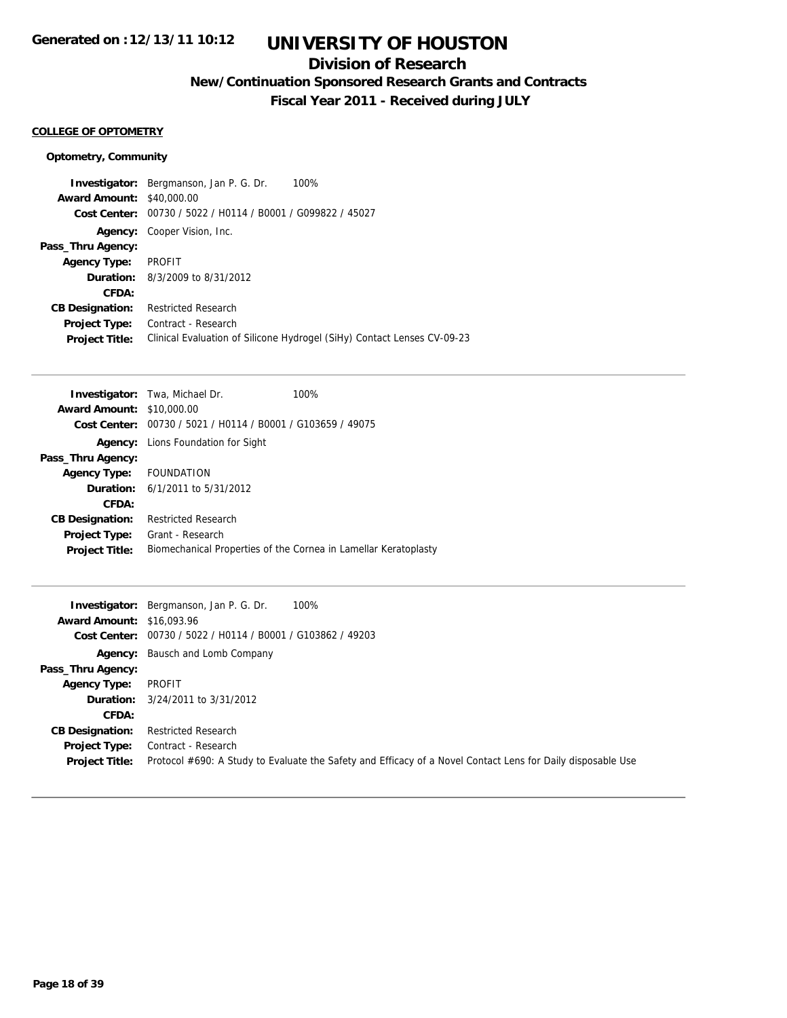## **Division of Research**

**New/Continuation Sponsored Research Grants and Contracts**

**Fiscal Year 2011 - Received during JULY**

#### **COLLEGE OF OPTOMETRY**

## **Optometry, Community**

|                                  | 100%<br><b>Investigator:</b> Bergmanson, Jan P. G. Dr.                  |
|----------------------------------|-------------------------------------------------------------------------|
| <b>Award Amount: \$40,000.00</b> |                                                                         |
| Cost Center:                     | 00730 / 5022 / H0114 / B0001 / G099822 / 45027                          |
| Agency:                          | Cooper Vision, Inc.                                                     |
| Pass_Thru Agency:                |                                                                         |
| <b>Agency Type:</b>              | <b>PROFIT</b>                                                           |
|                                  | <b>Duration:</b> 8/3/2009 to 8/31/2012                                  |
| CFDA:                            |                                                                         |
| <b>CB Designation:</b>           | <b>Restricted Research</b>                                              |
| <b>Project Type:</b>             | Contract - Research                                                     |
| <b>Project Title:</b>            | Clinical Evaluation of Silicone Hydrogel (SiHy) Contact Lenses CV-09-23 |

| <b>Award Amount:</b><br>\$10,000.00<br><b>Cost Center:</b> 00730 / 5021 / H0114 / B0001 / G103659 / 49075<br><b>Agency:</b> Lions Foundation for Sight<br>Pass_Thru Agency:<br>FOUNDATION<br><b>Agency Type:</b><br><b>Duration:</b> $6/1/2011$ to $5/31/2012$<br>CFDA:<br><b>Restricted Research</b><br><b>CB Designation:</b><br>Grant - Research<br><b>Project Type:</b><br>Biomechanical Properties of the Cornea in Lamellar Keratoplasty<br><b>Project Title:</b> | <b>Investigator:</b> Twa, Michael Dr. | 100% |  |
|-------------------------------------------------------------------------------------------------------------------------------------------------------------------------------------------------------------------------------------------------------------------------------------------------------------------------------------------------------------------------------------------------------------------------------------------------------------------------|---------------------------------------|------|--|
|                                                                                                                                                                                                                                                                                                                                                                                                                                                                         |                                       |      |  |
|                                                                                                                                                                                                                                                                                                                                                                                                                                                                         |                                       |      |  |
|                                                                                                                                                                                                                                                                                                                                                                                                                                                                         |                                       |      |  |
|                                                                                                                                                                                                                                                                                                                                                                                                                                                                         |                                       |      |  |
|                                                                                                                                                                                                                                                                                                                                                                                                                                                                         |                                       |      |  |
|                                                                                                                                                                                                                                                                                                                                                                                                                                                                         |                                       |      |  |
|                                                                                                                                                                                                                                                                                                                                                                                                                                                                         |                                       |      |  |
|                                                                                                                                                                                                                                                                                                                                                                                                                                                                         |                                       |      |  |
|                                                                                                                                                                                                                                                                                                                                                                                                                                                                         |                                       |      |  |
|                                                                                                                                                                                                                                                                                                                                                                                                                                                                         |                                       |      |  |

|                                  | 100%<br><b>Investigator:</b> Bergmanson, Jan P. G. Dr.                                                      |
|----------------------------------|-------------------------------------------------------------------------------------------------------------|
| <b>Award Amount: \$16,093.96</b> |                                                                                                             |
|                                  | Cost Center: 00730 / 5022 / H0114 / B0001 / G103862 / 49203                                                 |
|                                  | <b>Agency:</b> Bausch and Lomb Company                                                                      |
| Pass_Thru Agency:                |                                                                                                             |
| <b>Agency Type:</b>              | PROFIT                                                                                                      |
|                                  | <b>Duration:</b> 3/24/2011 to 3/31/2012                                                                     |
| CFDA:                            |                                                                                                             |
| <b>CB Designation:</b>           | <b>Restricted Research</b>                                                                                  |
| Project Type:                    | Contract - Research                                                                                         |
| <b>Project Title:</b>            | Protocol #690: A Study to Evaluate the Safety and Efficacy of a Novel Contact Lens for Daily disposable Use |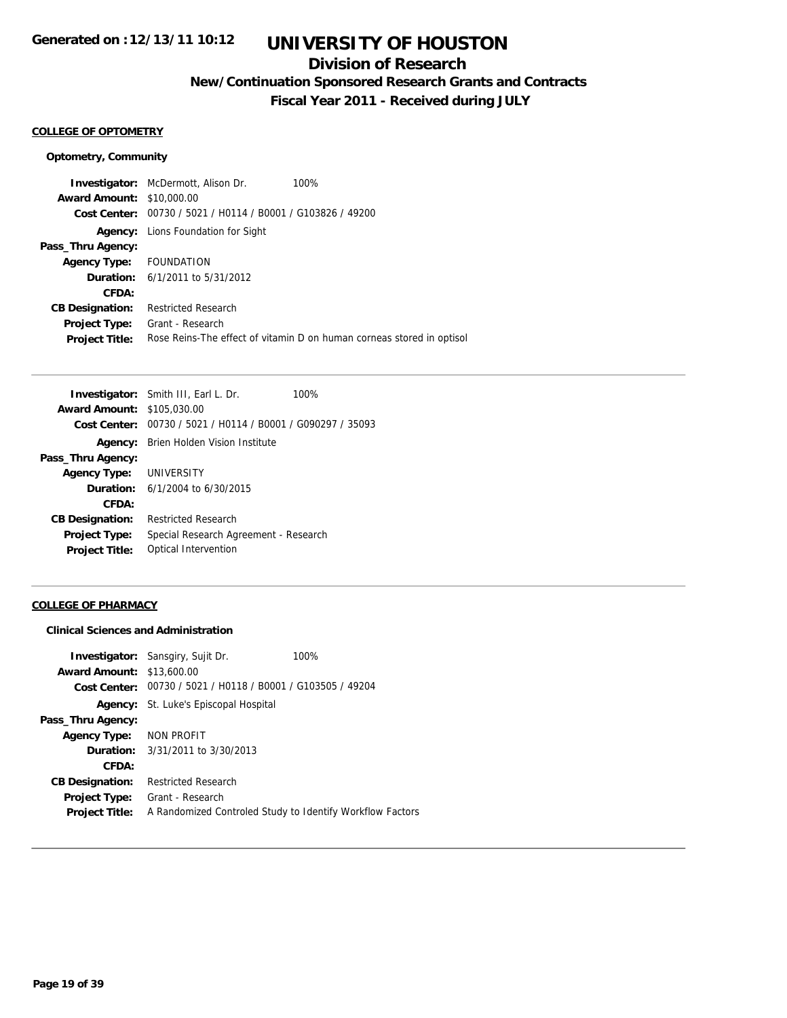## **Division of Research**

**New/Continuation Sponsored Research Grants and Contracts**

**Fiscal Year 2011 - Received during JULY**

### **COLLEGE OF OPTOMETRY**

#### **Optometry, Community**

**Investigator:** McDermott, Alison Dr. 100% **Award Amount:** \$10,000.00 **Cost Center:** 00730 / 5021 / H0114 / B0001 / G103826 / 49200 **Agency:** Lions Foundation for Sight **Pass\_Thru Agency: Agency Type:** FOUNDATION **Duration:** 6/1/2011 to 5/31/2012 **CFDA: CB Designation:** Restricted Research **Project Type:** Grant - Research **Project Title:** Rose Reins-The effect of vitamin D on human corneas stored in optisol

|                                   | <b>Investigator:</b> Smith III, Earl L. Dr.                 | 100% |
|-----------------------------------|-------------------------------------------------------------|------|
| <b>Award Amount: \$105,030.00</b> |                                                             |      |
|                                   | Cost Center: 00730 / 5021 / H0114 / B0001 / G090297 / 35093 |      |
| Agency:                           | Brien Holden Vision Institute                               |      |
| Pass_Thru Agency:                 |                                                             |      |
| <b>Agency Type: UNIVERSITY</b>    |                                                             |      |
|                                   | <b>Duration:</b> $6/1/2004$ to $6/30/2015$                  |      |
| CFDA:                             |                                                             |      |
| <b>CB Designation:</b>            | <b>Restricted Research</b>                                  |      |
| <b>Project Type:</b>              | Special Research Agreement - Research                       |      |
| <b>Project Title:</b>             | Optical Intervention                                        |      |

#### **COLLEGE OF PHARMACY**

#### **Clinical Sciences and Administration**

|                                  | <b>Investigator:</b> Sansgiry, Sujit Dr.                    | 100% |
|----------------------------------|-------------------------------------------------------------|------|
| <b>Award Amount: \$13,600.00</b> |                                                             |      |
|                                  | Cost Center: 00730 / 5021 / H0118 / B0001 / G103505 / 49204 |      |
|                                  | Agency: St. Luke's Episcopal Hospital                       |      |
| Pass_Thru Agency:                |                                                             |      |
| Agency Type: NON PROFIT          |                                                             |      |
|                                  | <b>Duration:</b> $3/31/2011$ to $3/30/2013$                 |      |
| CFDA:                            |                                                             |      |
| <b>CB Designation:</b>           | <b>Restricted Research</b>                                  |      |
| Project Type:                    | Grant - Research                                            |      |
| <b>Project Title:</b>            | A Randomized Controled Study to Identify Workflow Factors   |      |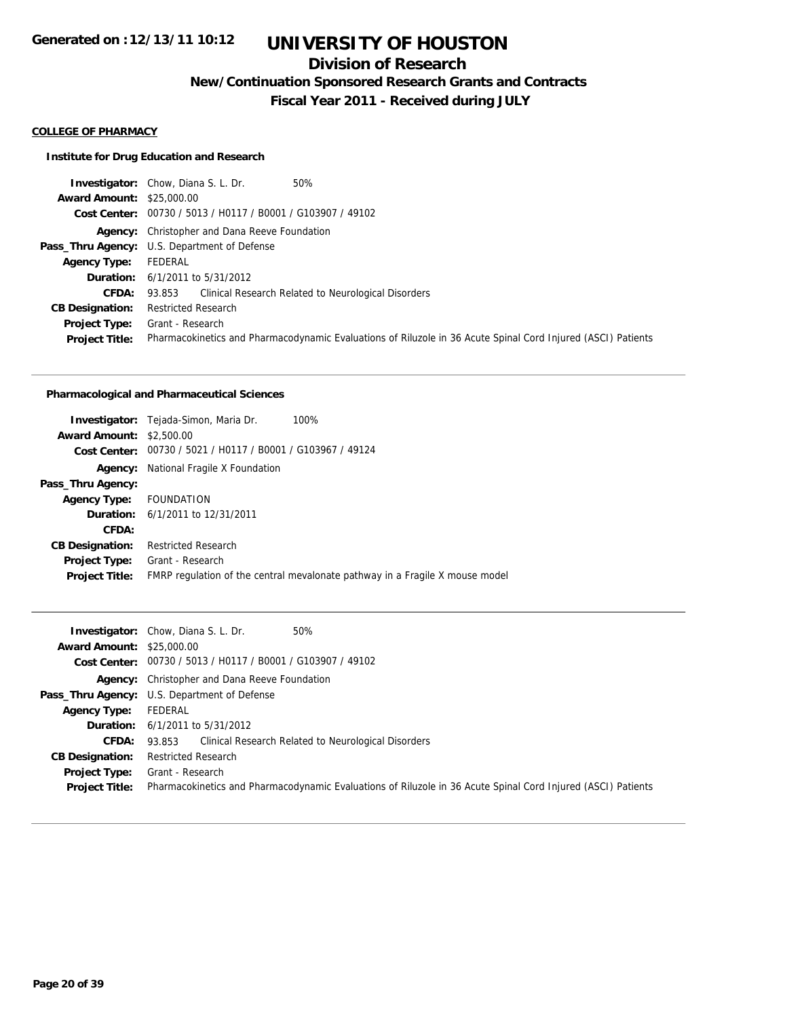## **Division of Research**

**New/Continuation Sponsored Research Grants and Contracts**

**Fiscal Year 2011 - Received during JULY**

#### **COLLEGE OF PHARMACY**

## **Institute for Drug Education and Research**

|                                  | <b>Investigator:</b> Chow, Diana S. L. Dr.<br>50%                                                            |
|----------------------------------|--------------------------------------------------------------------------------------------------------------|
| <b>Award Amount: \$25,000.00</b> |                                                                                                              |
|                                  | Cost Center: 00730 / 5013 / H0117 / B0001 / G103907 / 49102                                                  |
|                                  | <b>Agency:</b> Christopher and Dana Reeve Foundation                                                         |
|                                  | Pass_Thru Agency: U.S. Department of Defense                                                                 |
| <b>Agency Type:</b>              | FEDERAL                                                                                                      |
|                                  | <b>Duration:</b> $6/1/2011$ to $5/31/2012$                                                                   |
| <b>CFDA:</b>                     | 93.853 Clinical Research Related to Neurological Disorders                                                   |
| <b>CB Designation:</b>           | <b>Restricted Research</b>                                                                                   |
| <b>Project Type:</b>             | Grant - Research                                                                                             |
| <b>Project Title:</b>            | Pharmacokinetics and Pharmacodynamic Evaluations of Riluzole in 36 Acute Spinal Cord Injured (ASCI) Patients |

#### **Pharmacological and Pharmaceutical Sciences**

|                                 | 100%<br><b>Investigator:</b> Tejada-Simon, Maria Dr.                         |  |
|---------------------------------|------------------------------------------------------------------------------|--|
| <b>Award Amount: \$2,500.00</b> |                                                                              |  |
|                                 | Cost Center: 00730 / 5021 / H0117 / B0001 / G103967 / 49124                  |  |
| Agency:                         | National Fragile X Foundation                                                |  |
| Pass_Thru Agency:               |                                                                              |  |
| <b>Agency Type:</b>             | FOUNDATION                                                                   |  |
|                                 | <b>Duration:</b> 6/1/2011 to 12/31/2011                                      |  |
| CFDA:                           |                                                                              |  |
| <b>CB Designation:</b>          | <b>Restricted Research</b>                                                   |  |
| <b>Project Type:</b>            | Grant - Research                                                             |  |
| <b>Project Title:</b>           | FMRP regulation of the central mevalonate pathway in a Fragile X mouse model |  |

|                                  | 50%<br><b>Investigator:</b> Chow, Diana S. L. Dr.                                                            |
|----------------------------------|--------------------------------------------------------------------------------------------------------------|
| <b>Award Amount: \$25,000.00</b> |                                                                                                              |
|                                  | Cost Center: 00730 / 5013 / H0117 / B0001 / G103907 / 49102                                                  |
|                                  | <b>Agency:</b> Christopher and Dana Reeve Foundation                                                         |
|                                  | Pass_Thru Agency: U.S. Department of Defense                                                                 |
| <b>Agency Type:</b>              | FEDERAL                                                                                                      |
|                                  | <b>Duration:</b> $6/1/2011$ to $5/31/2012$                                                                   |
| <b>CFDA:</b>                     | 93.853 Clinical Research Related to Neurological Disorders                                                   |
| <b>CB Designation:</b>           | <b>Restricted Research</b>                                                                                   |
| <b>Project Type:</b>             | Grant - Research                                                                                             |
| <b>Project Title:</b>            | Pharmacokinetics and Pharmacodynamic Evaluations of Riluzole in 36 Acute Spinal Cord Injured (ASCI) Patients |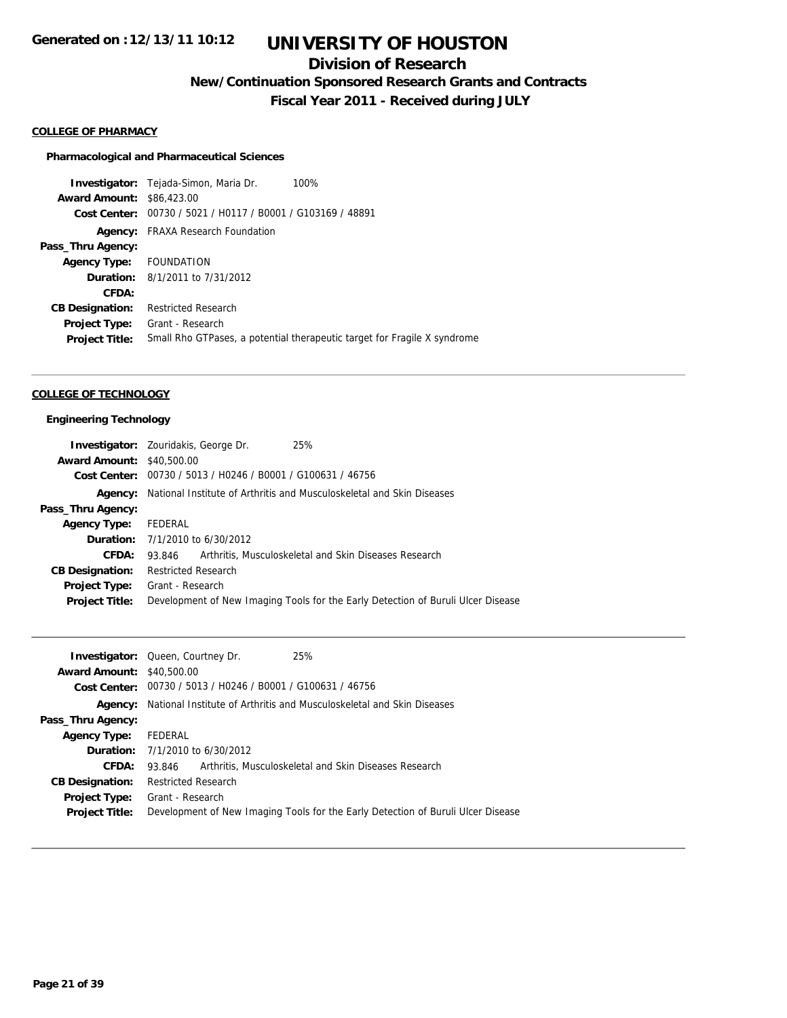## **Division of Research**

**New/Continuation Sponsored Research Grants and Contracts**

**Fiscal Year 2011 - Received during JULY**

### **COLLEGE OF PHARMACY**

#### **Pharmacological and Pharmaceutical Sciences**

**Investigator:** Tejada-Simon, Maria Dr. 100% **Award Amount:** \$86,423.00 **Cost Center:** 00730 / 5021 / H0117 / B0001 / G103169 / 48891 **Agency:** FRAXA Research Foundation **Pass\_Thru Agency: Agency Type:** FOUNDATION **Duration:** 8/1/2011 to 7/31/2012 **CFDA: CB Designation:** Restricted Research **Project Type:** Grant - Research **Project Title:** Small Rho GTPases, a potential therapeutic target for Fragile X syndrome

#### **COLLEGE OF TECHNOLOGY**

#### **Engineering Technology**

|                                  | <b>Investigator:</b> Zouridakis, George Dr.                           | 25%                                                                              |  |
|----------------------------------|-----------------------------------------------------------------------|----------------------------------------------------------------------------------|--|
| <b>Award Amount: \$40,500.00</b> |                                                                       |                                                                                  |  |
|                                  |                                                                       | Cost Center: 00730 / 5013 / H0246 / B0001 / G100631 / 46756                      |  |
| Agency:                          | National Institute of Arthritis and Musculoskeletal and Skin Diseases |                                                                                  |  |
| Pass_Thru Agency:                |                                                                       |                                                                                  |  |
| <b>Agency Type:</b>              | FEDERAL                                                               |                                                                                  |  |
|                                  | <b>Duration:</b> 7/1/2010 to 6/30/2012                                |                                                                                  |  |
| CFDA:                            | 93.846                                                                | Arthritis, Musculoskeletal and Skin Diseases Research                            |  |
| <b>CB Designation:</b>           | <b>Restricted Research</b>                                            |                                                                                  |  |
| <b>Project Type:</b>             | Grant - Research                                                      |                                                                                  |  |
| <b>Project Title:</b>            |                                                                       | Development of New Imaging Tools for the Early Detection of Buruli Ulcer Disease |  |
|                                  |                                                                       |                                                                                  |  |

|                                  | 25%<br><b>Investigator:</b> Queen, Courtney Dr.                                  |
|----------------------------------|----------------------------------------------------------------------------------|
| <b>Award Amount: \$40,500.00</b> |                                                                                  |
|                                  | Cost Center: 00730 / 5013 / H0246 / B0001 / G100631 / 46756                      |
| Agency:                          | National Institute of Arthritis and Musculoskeletal and Skin Diseases            |
| Pass_Thru Agency:                |                                                                                  |
| <b>Agency Type:</b>              | FEDERAL                                                                          |
|                                  | <b>Duration:</b> $7/1/2010$ to $6/30/2012$                                       |
| CFDA:                            | Arthritis, Musculoskeletal and Skin Diseases Research<br>93.846                  |
| <b>CB Designation:</b>           | <b>Restricted Research</b>                                                       |
| <b>Project Type:</b>             | Grant - Research                                                                 |
| <b>Project Title:</b>            | Development of New Imaging Tools for the Early Detection of Buruli Ulcer Disease |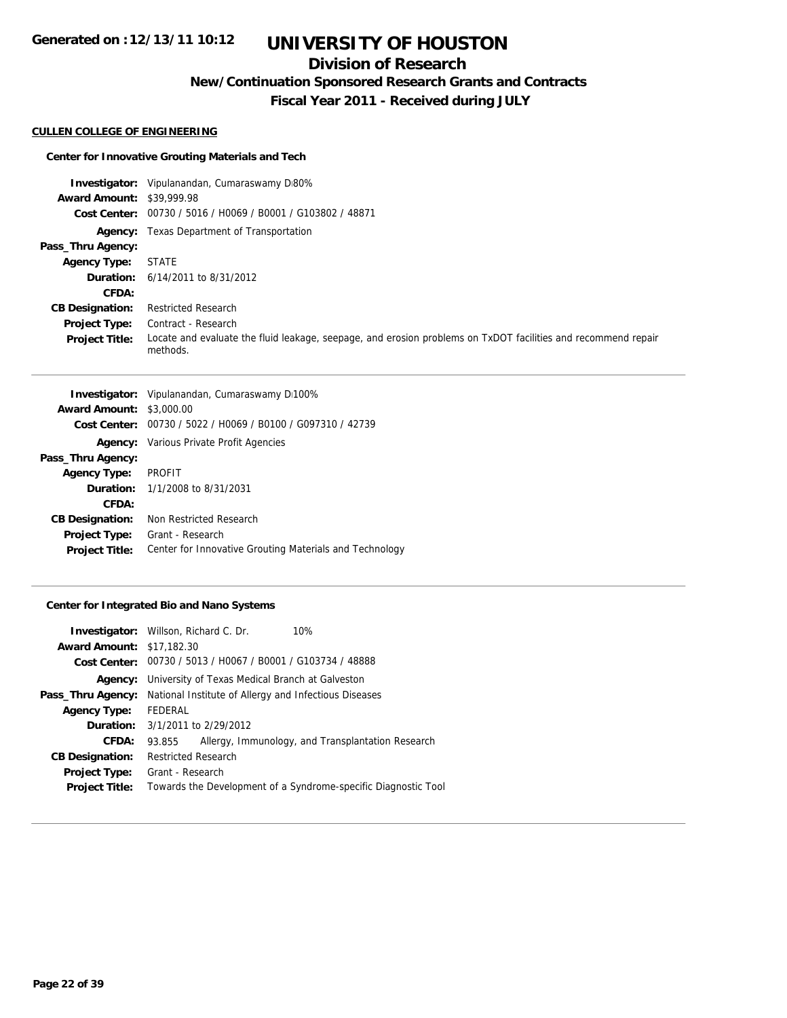## **Division of Research**

**New/Continuation Sponsored Research Grants and Contracts**

**Fiscal Year 2011 - Received during JULY**

#### **CULLEN COLLEGE OF ENGINEERING**

## **Center for Innovative Grouting Materials and Tech**

|                                  | <b>Investigator:</b> Vipulanandan, Cumaraswamy D80%                                                                       |
|----------------------------------|---------------------------------------------------------------------------------------------------------------------------|
| <b>Award Amount: \$39,999.98</b> |                                                                                                                           |
|                                  | Cost Center: 00730 / 5016 / H0069 / B0001 / G103802 / 48871                                                               |
|                                  | <b>Agency:</b> Texas Department of Transportation                                                                         |
| Pass_Thru Agency:                |                                                                                                                           |
| <b>Agency Type:</b>              | <b>STATE</b>                                                                                                              |
|                                  | <b>Duration:</b> $6/14/2011$ to $8/31/2012$                                                                               |
| <b>CFDA:</b>                     |                                                                                                                           |
| <b>CB Designation:</b>           | <b>Restricted Research</b>                                                                                                |
| <b>Project Type:</b>             | Contract - Research                                                                                                       |
| <b>Project Title:</b>            | Locate and evaluate the fluid leakage, seepage, and erosion problems on TxDOT facilities and recommend repair<br>methods. |

|                                 | <b>Investigator:</b> Vipulanandan, Cumaraswamy D100%        |  |
|---------------------------------|-------------------------------------------------------------|--|
| <b>Award Amount: \$3,000.00</b> |                                                             |  |
|                                 | Cost Center: 00730 / 5022 / H0069 / B0100 / G097310 / 42739 |  |
|                                 | <b>Agency:</b> Various Private Profit Agencies              |  |
| Pass_Thru Agency:               |                                                             |  |
| <b>Agency Type:</b>             | PROFIT                                                      |  |
|                                 | <b>Duration:</b> $1/1/2008$ to $8/31/2031$                  |  |
| CFDA:                           |                                                             |  |
| <b>CB Designation:</b>          | Non Restricted Research                                     |  |
| <b>Project Type:</b>            | Grant - Research                                            |  |
| <b>Project Title:</b>           | Center for Innovative Grouting Materials and Technology     |  |
|                                 |                                                             |  |

## **Center for Integrated Bio and Nano Systems**

|                                  | <b>Investigator:</b> Willson, Richard C. Dr.                   | 10%                                                            |  |
|----------------------------------|----------------------------------------------------------------|----------------------------------------------------------------|--|
| <b>Award Amount: \$17,182.30</b> |                                                                |                                                                |  |
|                                  | Cost Center: 00730 / 5013 / H0067 / B0001 / G103734 / 48888    |                                                                |  |
|                                  | <b>Agency:</b> University of Texas Medical Branch at Galveston |                                                                |  |
| Pass_Thru Agency:                | National Institute of Allergy and Infectious Diseases          |                                                                |  |
| <b>Agency Type:</b>              | FEDERAL                                                        |                                                                |  |
|                                  | <b>Duration:</b> 3/1/2011 to 2/29/2012                         |                                                                |  |
| CFDA:                            | 93.855                                                         | Allergy, Immunology, and Transplantation Research              |  |
| <b>CB Designation:</b>           | <b>Restricted Research</b>                                     |                                                                |  |
| <b>Project Type:</b>             | Grant - Research                                               |                                                                |  |
| <b>Project Title:</b>            |                                                                | Towards the Development of a Syndrome-specific Diagnostic Tool |  |
|                                  |                                                                |                                                                |  |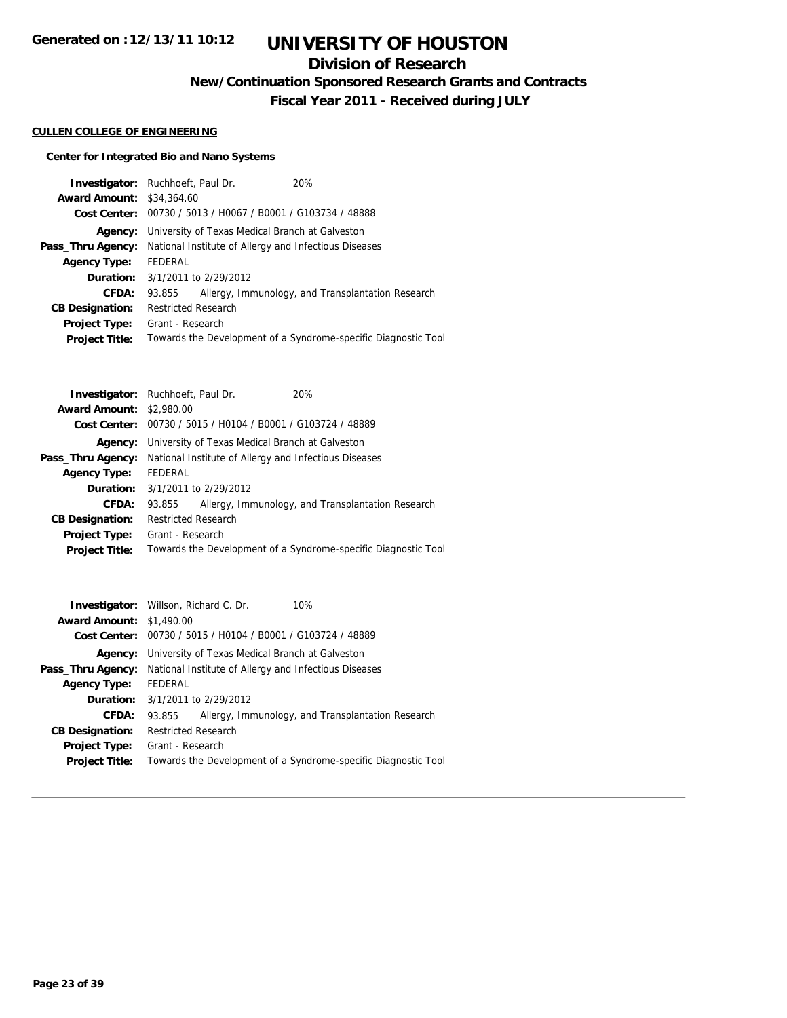## **Division of Research**

**New/Continuation Sponsored Research Grants and Contracts**

**Fiscal Year 2011 - Received during JULY**

## **CULLEN COLLEGE OF ENGINEERING**

## **Center for Integrated Bio and Nano Systems**

|                                  | <b>Investigator:</b> Ruchhoeft, Paul Dr.                       | 20%                                                            |  |
|----------------------------------|----------------------------------------------------------------|----------------------------------------------------------------|--|
| <b>Award Amount: \$34,364.60</b> |                                                                |                                                                |  |
|                                  | Cost Center: 00730 / 5013 / H0067 / B0001 / G103734 / 48888    |                                                                |  |
|                                  | <b>Agency:</b> University of Texas Medical Branch at Galveston |                                                                |  |
| Pass_Thru Agency:                | National Institute of Allergy and Infectious Diseases          |                                                                |  |
| <b>Agency Type:</b>              | FEDERAL                                                        |                                                                |  |
|                                  | <b>Duration:</b> $3/1/2011$ to $2/29/2012$                     |                                                                |  |
| <b>CFDA:</b>                     | 93.855                                                         | Allergy, Immunology, and Transplantation Research              |  |
| <b>CB Designation:</b>           | <b>Restricted Research</b>                                     |                                                                |  |
| <b>Project Type:</b>             | Grant - Research                                               |                                                                |  |
| <b>Project Title:</b>            |                                                                | Towards the Development of a Syndrome-specific Diagnostic Tool |  |

|                                 | <b>Investigator:</b> Ruchhoeft, Paul Dr.                                       | 20%                                                            |  |
|---------------------------------|--------------------------------------------------------------------------------|----------------------------------------------------------------|--|
| <b>Award Amount: \$2,980.00</b> |                                                                                |                                                                |  |
|                                 | Cost Center: 00730 / 5015 / H0104 / B0001 / G103724 / 48889                    |                                                                |  |
| Agency:                         | University of Texas Medical Branch at Galveston                                |                                                                |  |
|                                 | <b>Pass_Thru Agency:</b> National Institute of Allergy and Infectious Diseases |                                                                |  |
| <b>Agency Type:</b>             | FEDERAL                                                                        |                                                                |  |
|                                 | <b>Duration:</b> 3/1/2011 to 2/29/2012                                         |                                                                |  |
| CFDA:                           | 93.855                                                                         | Allergy, Immunology, and Transplantation Research              |  |
| <b>CB Designation:</b>          | <b>Restricted Research</b>                                                     |                                                                |  |
| <b>Project Type:</b>            | Grant - Research                                                               |                                                                |  |
| <b>Project Title:</b>           |                                                                                | Towards the Development of a Syndrome-specific Diagnostic Tool |  |
|                                 |                                                                                |                                                                |  |

|                                 | <b>Investigator:</b> Willson, Richard C. Dr.                | 10%                                                            |  |  |
|---------------------------------|-------------------------------------------------------------|----------------------------------------------------------------|--|--|
| <b>Award Amount: \$1,490.00</b> |                                                             |                                                                |  |  |
|                                 | Cost Center: 00730 / 5015 / H0104 / B0001 / G103724 / 48889 |                                                                |  |  |
| Agency:                         | University of Texas Medical Branch at Galveston             |                                                                |  |  |
| Pass_Thru Agency:               | National Institute of Allergy and Infectious Diseases       |                                                                |  |  |
| <b>Agency Type:</b>             | FEDERAL                                                     |                                                                |  |  |
|                                 | <b>Duration:</b> 3/1/2011 to 2/29/2012                      |                                                                |  |  |
| CFDA:                           | 93.855                                                      | Allergy, Immunology, and Transplantation Research              |  |  |
| <b>CB Designation:</b>          | Restricted Research                                         |                                                                |  |  |
| <b>Project Type:</b>            | Grant - Research                                            |                                                                |  |  |
| <b>Project Title:</b>           |                                                             | Towards the Development of a Syndrome-specific Diagnostic Tool |  |  |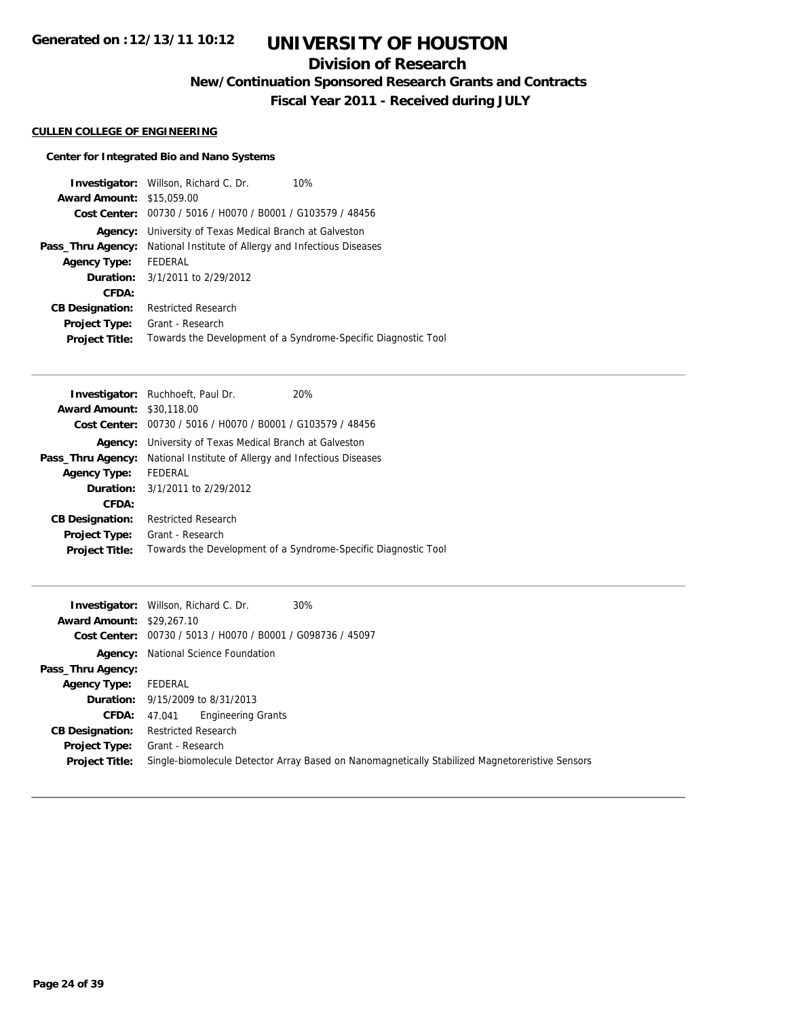## **Division of Research**

**New/Continuation Sponsored Research Grants and Contracts**

**Fiscal Year 2011 - Received during JULY**

## **CULLEN COLLEGE OF ENGINEERING**

## **Center for Integrated Bio and Nano Systems**

|                                  | <b>Investigator:</b> Willson, Richard C. Dr.<br>10%            |
|----------------------------------|----------------------------------------------------------------|
| <b>Award Amount: \$15,059.00</b> |                                                                |
|                                  | Cost Center: 00730 / 5016 / H0070 / B0001 / G103579 / 48456    |
| Agency:                          | University of Texas Medical Branch at Galveston                |
| Pass_Thru Agency:                | National Institute of Allergy and Infectious Diseases          |
| <b>Agency Type:</b>              | FEDERAL                                                        |
|                                  | <b>Duration:</b> 3/1/2011 to 2/29/2012                         |
| CFDA:                            |                                                                |
| <b>CB Designation:</b>           | <b>Restricted Research</b>                                     |
| <b>Project Type:</b>             | Grant - Research                                               |
| <b>Project Title:</b>            | Towards the Development of a Syndrome-Specific Diagnostic Tool |

|                                  | <b>Investigator:</b> Ruchhoeft, Paul Dr.                    | 20%                                                            |
|----------------------------------|-------------------------------------------------------------|----------------------------------------------------------------|
| <b>Award Amount: \$30,118,00</b> |                                                             |                                                                |
|                                  | Cost Center: 00730 / 5016 / H0070 / B0001 / G103579 / 48456 |                                                                |
| Agency:                          | University of Texas Medical Branch at Galveston             |                                                                |
| Pass_Thru Agency:                | National Institute of Allergy and Infectious Diseases       |                                                                |
| <b>Agency Type:</b>              | FEDERAL                                                     |                                                                |
|                                  | <b>Duration:</b> 3/1/2011 to 2/29/2012                      |                                                                |
| CFDA:                            |                                                             |                                                                |
| <b>CB Designation:</b>           | <b>Restricted Research</b>                                  |                                                                |
| Project Type:                    | Grant - Research                                            |                                                                |
| <b>Project Title:</b>            |                                                             | Towards the Development of a Syndrome-Specific Diagnostic Tool |

|                                  | <b>Investigator:</b> Willson, Richard C. Dr.<br>30%                                             |
|----------------------------------|-------------------------------------------------------------------------------------------------|
| <b>Award Amount: \$29,267.10</b> |                                                                                                 |
|                                  | Cost Center: 00730 / 5013 / H0070 / B0001 / G098736 / 45097                                     |
|                                  | <b>Agency:</b> National Science Foundation                                                      |
| Pass_Thru Agency:                |                                                                                                 |
| Agency Type:                     | FEDERAL                                                                                         |
|                                  | <b>Duration:</b> 9/15/2009 to 8/31/2013                                                         |
| CFDA:                            | <b>Engineering Grants</b><br>47.041                                                             |
| <b>CB Designation:</b>           | <b>Restricted Research</b>                                                                      |
| Project Type:                    | Grant - Research                                                                                |
| <b>Project Title:</b>            | Single-biomolecule Detector Array Based on Nanomagnetically Stabilized Magnetoreristive Sensors |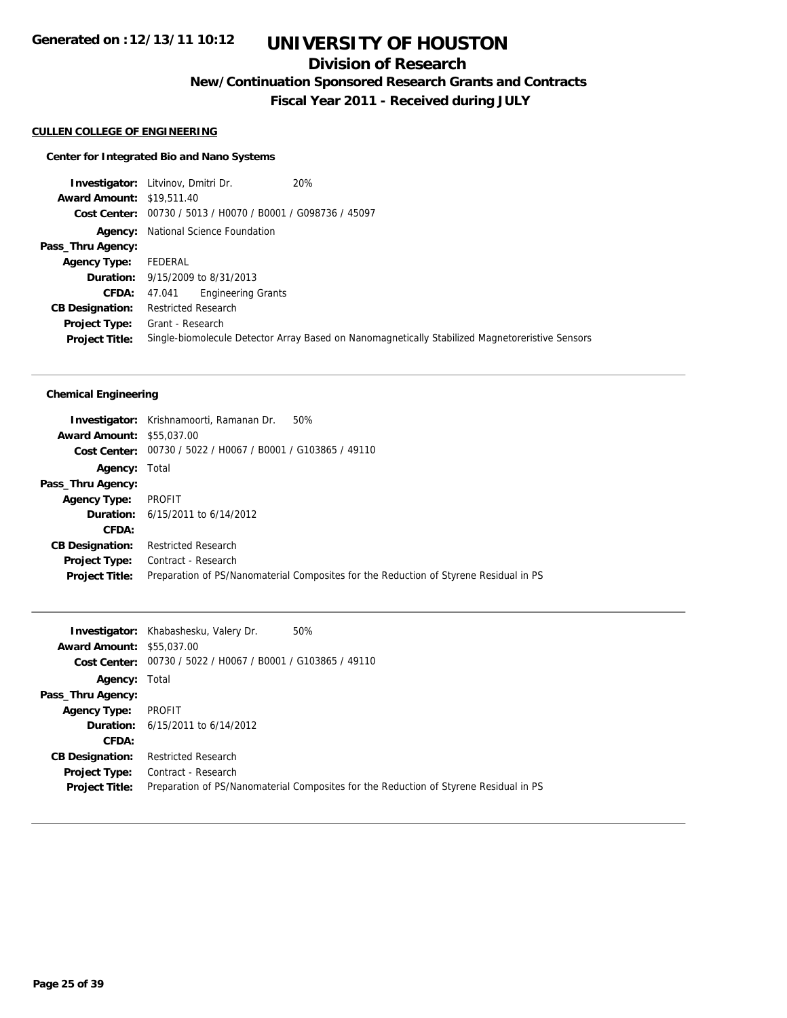## **Division of Research**

**New/Continuation Sponsored Research Grants and Contracts**

**Fiscal Year 2011 - Received during JULY**

## **CULLEN COLLEGE OF ENGINEERING**

#### **Center for Integrated Bio and Nano Systems**

**Investigator:** Litvinov, Dmitri Dr. 20% **Award Amount:** \$19,511.40 **Cost Center:** 00730 / 5013 / H0070 / B0001 / G098736 / 45097 **Agency:** National Science Foundation **Pass\_Thru Agency: Agency Type:** FEDERAL **Duration:** 9/15/2009 to 8/31/2013 **CFDA:** 47.041 Engineering Grants **CB Designation:** Restricted Research **Project Type:** Grant - Research **Project Title:** Single-biomolecule Detector Array Based on Nanomagnetically Stabilized Magnetoreristive Sensors

#### **Chemical Engineering**

|                                  | 50%<br><b>Investigator:</b> Krishnamoorti, Ramanan Dr.                                |
|----------------------------------|---------------------------------------------------------------------------------------|
| <b>Award Amount: \$55,037,00</b> |                                                                                       |
|                                  | Cost Center: 00730 / 5022 / H0067 / B0001 / G103865 / 49110                           |
| <b>Agency: Total</b>             |                                                                                       |
| Pass_Thru Agency:                |                                                                                       |
| <b>Agency Type:</b>              | PROFIT                                                                                |
|                                  | <b>Duration:</b> $6/15/2011$ to $6/14/2012$                                           |
| CFDA:                            |                                                                                       |
| <b>CB Designation:</b>           | <b>Restricted Research</b>                                                            |
| Project Type:                    | Contract - Research                                                                   |
| <b>Project Title:</b>            | Preparation of PS/Nanomaterial Composites for the Reduction of Styrene Residual in PS |

|                                  | Investigator: Khabashesku, Valery Dr.                         | 50%                                                                                   |
|----------------------------------|---------------------------------------------------------------|---------------------------------------------------------------------------------------|
| <b>Award Amount: \$55,037,00</b> |                                                               |                                                                                       |
|                                  | Cost Center: $00730 / 5022 / 10067 / 80001 / 6103865 / 49110$ |                                                                                       |
| <b>Agency: Total</b>             |                                                               |                                                                                       |
| Pass_Thru Agency:                |                                                               |                                                                                       |
| <b>Agency Type:</b>              | PROFIT                                                        |                                                                                       |
|                                  | <b>Duration:</b> $6/15/2011$ to $6/14/2012$                   |                                                                                       |
| CFDA:                            |                                                               |                                                                                       |
| <b>CB Designation:</b>           | <b>Restricted Research</b>                                    |                                                                                       |
| <b>Project Type:</b>             | Contract - Research                                           |                                                                                       |
| <b>Project Title:</b>            |                                                               | Preparation of PS/Nanomaterial Composites for the Reduction of Styrene Residual in PS |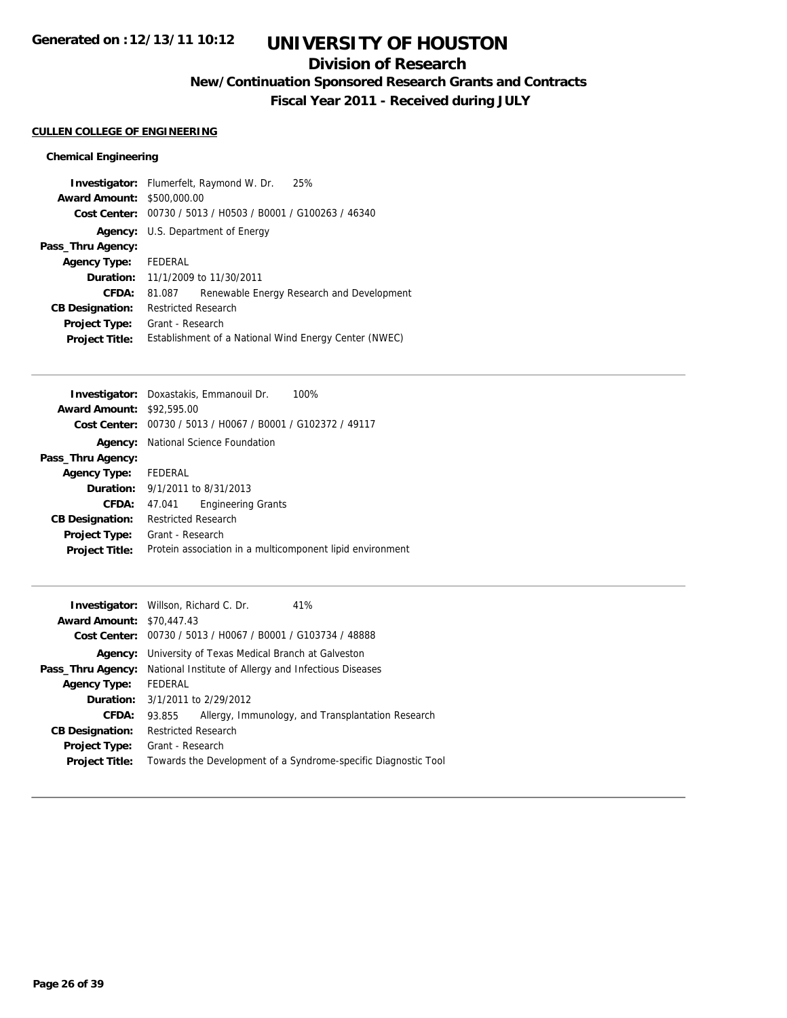# **UNIVERSITY OF HOUSTON**

## **Division of Research**

**New/Continuation Sponsored Research Grants and Contracts**

**Fiscal Year 2011 - Received during JULY**

## **CULLEN COLLEGE OF ENGINEERING**

## **Chemical Engineering**

|                                   | 25%<br><b>Investigator:</b> Flumerfelt, Raymond W. Dr.      |  |  |
|-----------------------------------|-------------------------------------------------------------|--|--|
| <b>Award Amount: \$500,000.00</b> |                                                             |  |  |
|                                   | Cost Center: 00730 / 5013 / H0503 / B0001 / G100263 / 46340 |  |  |
|                                   | <b>Agency:</b> U.S. Department of Energy                    |  |  |
| Pass_Thru Agency:                 |                                                             |  |  |
| <b>Agency Type:</b>               | FEDERAL                                                     |  |  |
|                                   | <b>Duration:</b> 11/1/2009 to 11/30/2011                    |  |  |
| CFDA:                             | Renewable Energy Research and Development<br>81.087         |  |  |
| <b>CB Designation:</b>            | <b>Restricted Research</b>                                  |  |  |
| <b>Project Type:</b>              | Grant - Research                                            |  |  |
| <b>Project Title:</b>             | Establishment of a National Wind Energy Center (NWEC)       |  |  |

|                                  | <b>Investigator:</b> Doxastakis, Emmanouil Dr.<br>100%      |  |  |
|----------------------------------|-------------------------------------------------------------|--|--|
| <b>Award Amount: \$92,595.00</b> |                                                             |  |  |
|                                  | Cost Center: 00730 / 5013 / H0067 / B0001 / G102372 / 49117 |  |  |
|                                  | <b>Agency:</b> National Science Foundation                  |  |  |
| Pass_Thru Agency:                |                                                             |  |  |
| Agency Type: FEDERAL             |                                                             |  |  |
|                                  | <b>Duration:</b> 9/1/2011 to 8/31/2013                      |  |  |
| CFDA:                            | <b>Engineering Grants</b><br>47.041                         |  |  |
| <b>CB Designation:</b>           | <b>Restricted Research</b>                                  |  |  |
| Project Type:                    | Grant - Research                                            |  |  |
| <b>Project Title:</b>            | Protein association in a multicomponent lipid environment   |  |  |
|                                  |                                                             |  |  |

|                                  | <b>Investigator:</b> Willson, Richard C. Dr.                   | 41%                                                            |
|----------------------------------|----------------------------------------------------------------|----------------------------------------------------------------|
| <b>Award Amount: \$70,447.43</b> |                                                                |                                                                |
|                                  | Cost Center: 00730 / 5013 / H0067 / B0001 / G103734 / 48888    |                                                                |
|                                  | <b>Agency:</b> University of Texas Medical Branch at Galveston |                                                                |
| Pass_Thru Agency:                | National Institute of Allergy and Infectious Diseases          |                                                                |
| <b>Agency Type:</b>              | FEDERAL                                                        |                                                                |
|                                  | <b>Duration:</b> 3/1/2011 to 2/29/2012                         |                                                                |
| CFDA:                            | 93.855                                                         | Allergy, Immunology, and Transplantation Research              |
| <b>CB Designation:</b>           | <b>Restricted Research</b>                                     |                                                                |
| <b>Project Type:</b>             | Grant - Research                                               |                                                                |
| <b>Project Title:</b>            |                                                                | Towards the Development of a Syndrome-specific Diagnostic Tool |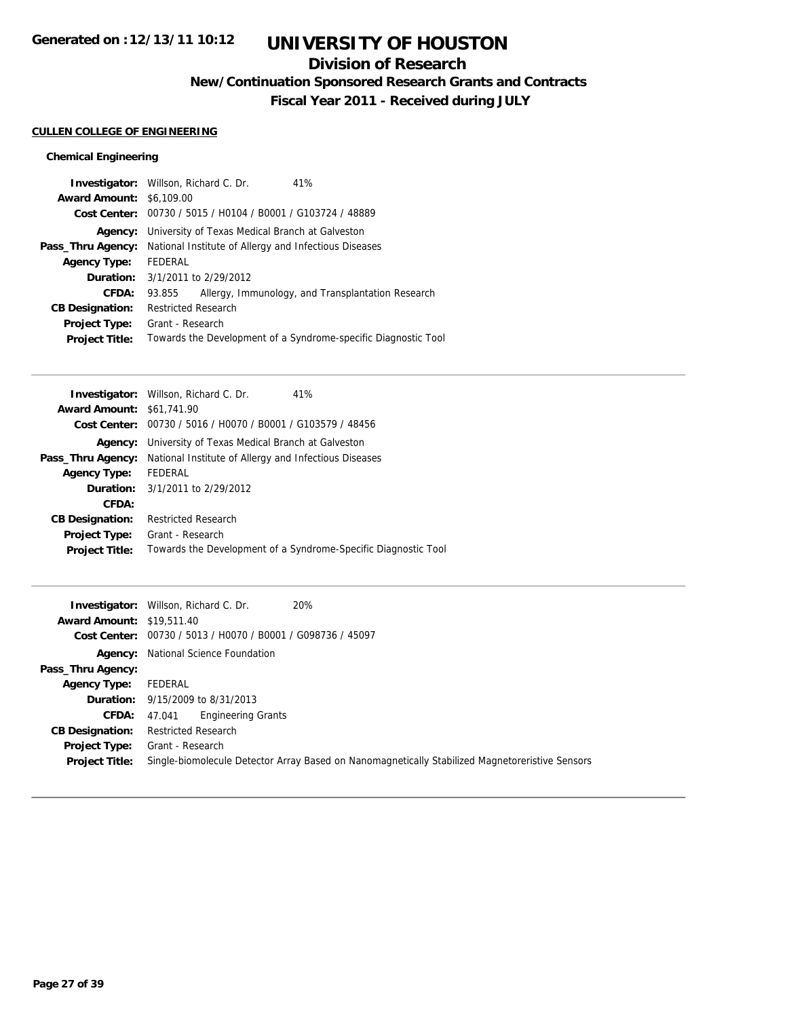## **Division of Research**

**New/Continuation Sponsored Research Grants and Contracts**

**Fiscal Year 2011 - Received during JULY**

## **CULLEN COLLEGE OF ENGINEERING**

## **Chemical Engineering**

|                                 | 41%                                                                                                                                                                                                                                                                                                                                |
|---------------------------------|------------------------------------------------------------------------------------------------------------------------------------------------------------------------------------------------------------------------------------------------------------------------------------------------------------------------------------|
| <b>Award Amount: \$6,109.00</b> |                                                                                                                                                                                                                                                                                                                                    |
|                                 |                                                                                                                                                                                                                                                                                                                                    |
|                                 |                                                                                                                                                                                                                                                                                                                                    |
|                                 |                                                                                                                                                                                                                                                                                                                                    |
| FEDERAL                         |                                                                                                                                                                                                                                                                                                                                    |
|                                 |                                                                                                                                                                                                                                                                                                                                    |
| 93.855                          | Allergy, Immunology, and Transplantation Research                                                                                                                                                                                                                                                                                  |
|                                 |                                                                                                                                                                                                                                                                                                                                    |
|                                 |                                                                                                                                                                                                                                                                                                                                    |
|                                 | Towards the Development of a Syndrome-specific Diagnostic Tool                                                                                                                                                                                                                                                                     |
|                                 | <b>Investigator:</b> Willson, Richard C. Dr.<br>Cost Center: 00730 / 5015 / H0104 / B0001 / G103724 / 48889<br><b>Agency:</b> University of Texas Medical Branch at Galveston<br>National Institute of Allergy and Infectious Diseases<br><b>Duration:</b> 3/1/2011 to 2/29/2012<br><b>Restricted Research</b><br>Grant - Research |

|                                  | <b>Investigator:</b> Willson, Richard C. Dr.<br>41%            |
|----------------------------------|----------------------------------------------------------------|
| <b>Award Amount: \$61,741.90</b> |                                                                |
|                                  | Cost Center: 00730 / 5016 / H0070 / B0001 / G103579 / 48456    |
| Agency:                          | University of Texas Medical Branch at Galveston                |
| Pass_Thru Agency:                | National Institute of Allergy and Infectious Diseases          |
| <b>Agency Type:</b>              | FEDERAL                                                        |
|                                  | <b>Duration:</b> 3/1/2011 to 2/29/2012                         |
| CFDA:                            |                                                                |
| <b>CB Designation:</b>           | <b>Restricted Research</b>                                     |
| <b>Project Type:</b>             | Grant - Research                                               |
| <b>Project Title:</b>            | Towards the Development of a Syndrome-Specific Diagnostic Tool |
|                                  |                                                                |

|                                  | 20%<br><b>Investigator:</b> Willson, Richard C. Dr.                                             |
|----------------------------------|-------------------------------------------------------------------------------------------------|
| <b>Award Amount: \$19,511.40</b> |                                                                                                 |
|                                  | Cost Center: 00730 / 5013 / H0070 / B0001 / G098736 / 45097                                     |
|                                  | <b>Agency:</b> National Science Foundation                                                      |
| Pass_Thru Agency:                |                                                                                                 |
| <b>Agency Type:</b>              | FEDERAL                                                                                         |
|                                  | <b>Duration:</b> 9/15/2009 to 8/31/2013                                                         |
| CFDA:                            | <b>Engineering Grants</b><br>47.041                                                             |
| <b>CB Designation:</b>           | <b>Restricted Research</b>                                                                      |
| Project Type:                    | Grant - Research                                                                                |
| <b>Project Title:</b>            | Single-biomolecule Detector Array Based on Nanomagnetically Stabilized Magnetoreristive Sensors |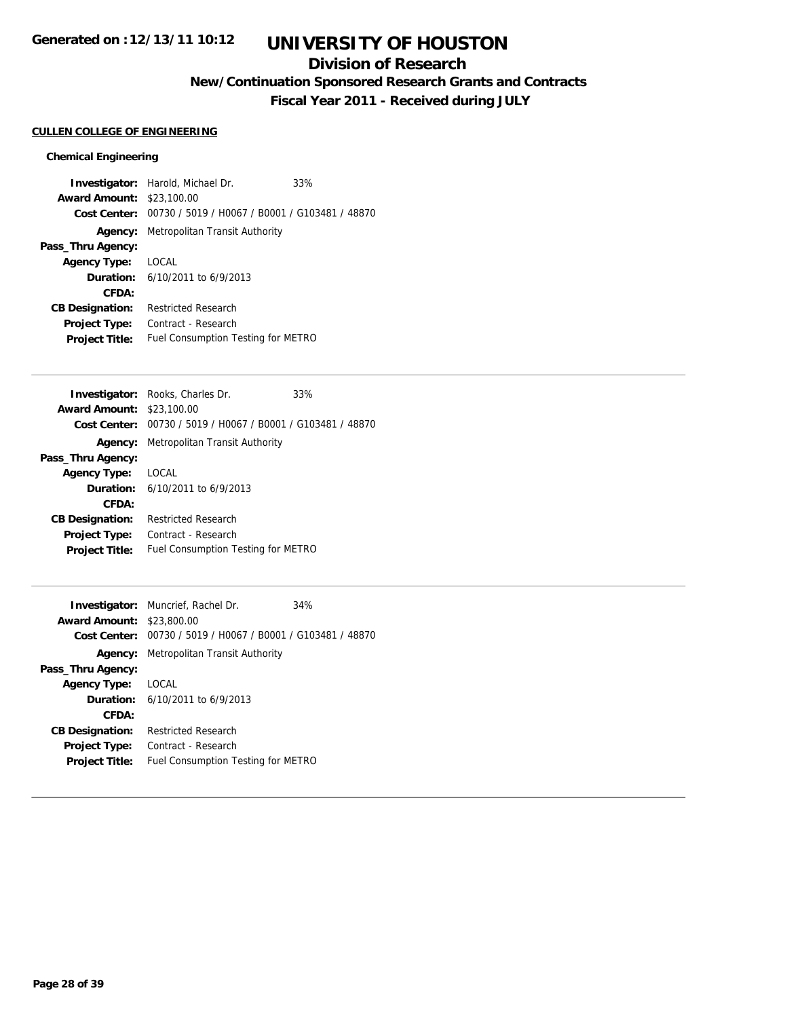## **Division of Research**

**New/Continuation Sponsored Research Grants and Contracts**

**Fiscal Year 2011 - Received during JULY**

#### **CULLEN COLLEGE OF ENGINEERING**

#### **Chemical Engineering**

**Investigator:** Harold, Michael Dr. 33% **Award Amount:** \$23,100.00 **Cost Center:** 00730 / 5019 / H0067 / B0001 / G103481 / 48870 **Agency:** Metropolitan Transit Authority **Pass\_Thru Agency: Agency Type:** LOCAL **Duration:** 6/10/2011 to 6/9/2013 **CFDA: CB Designation:** Restricted Research **Project Type:** Contract - Research **Project Title:** Fuel Consumption Testing for METRO

|                                  | <b>Investigator:</b> Rooks, Charles Dr.                     | 33% |
|----------------------------------|-------------------------------------------------------------|-----|
| <b>Award Amount: \$23,100.00</b> |                                                             |     |
|                                  | Cost Center: 00730 / 5019 / H0067 / B0001 / G103481 / 48870 |     |
|                                  | <b>Agency:</b> Metropolitan Transit Authority               |     |
| Pass_Thru Agency:                |                                                             |     |
| <b>Agency Type:</b>              | LOCAL                                                       |     |
|                                  | <b>Duration:</b> $6/10/2011$ to $6/9/2013$                  |     |
| CFDA:                            |                                                             |     |
| <b>CB Designation:</b>           | <b>Restricted Research</b>                                  |     |
| <b>Project Type:</b>             | Contract - Research                                         |     |
| <b>Project Title:</b>            | Fuel Consumption Testing for METRO                          |     |
|                                  |                                                             |     |

|                                  | <b>Investigator:</b> Muncrief, Rachel Dr.      | 34% |
|----------------------------------|------------------------------------------------|-----|
| <b>Award Amount: \$23,800.00</b> |                                                |     |
| Cost Center:                     | 00730 / 5019 / H0067 / B0001 / G103481 / 48870 |     |
|                                  | <b>Agency:</b> Metropolitan Transit Authority  |     |
| Pass_Thru Agency:                |                                                |     |
| <b>Agency Type:</b>              | LOCAL                                          |     |
|                                  | <b>Duration:</b> $6/10/2011$ to $6/9/2013$     |     |
| CFDA:                            |                                                |     |
| <b>CB Designation:</b>           | <b>Restricted Research</b>                     |     |
| <b>Project Type:</b>             | Contract - Research                            |     |
| <b>Project Title:</b>            | Fuel Consumption Testing for METRO             |     |
|                                  |                                                |     |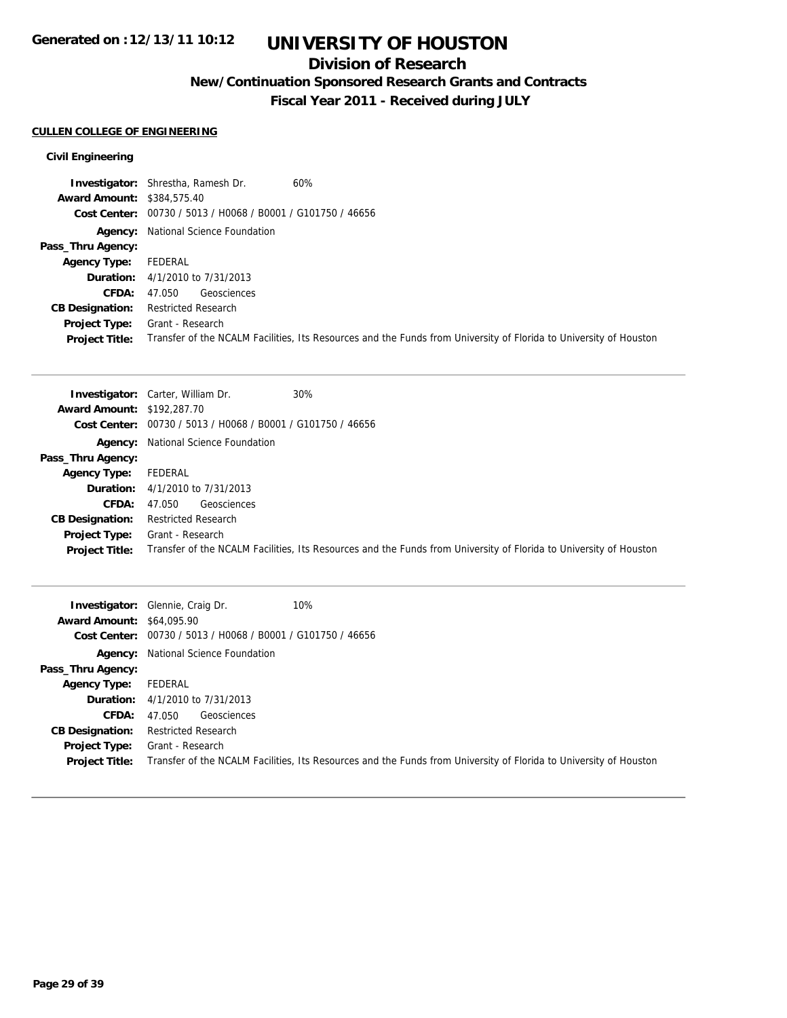# **UNIVERSITY OF HOUSTON**

## **Division of Research**

**New/Continuation Sponsored Research Grants and Contracts**

**Fiscal Year 2011 - Received during JULY**

## **CULLEN COLLEGE OF ENGINEERING**

## **Civil Engineering**

|                                   | <b>Investigator:</b> Shrestha, Ramesh Dr.<br>60%                                                                  |
|-----------------------------------|-------------------------------------------------------------------------------------------------------------------|
| <b>Award Amount: \$384,575.40</b> |                                                                                                                   |
|                                   | Cost Center: 00730 / 5013 / H0068 / B0001 / G101750 / 46656                                                       |
|                                   | <b>Agency:</b> National Science Foundation                                                                        |
| Pass_Thru Agency:                 |                                                                                                                   |
| <b>Agency Type:</b>               | FEDERAL                                                                                                           |
|                                   | <b>Duration:</b> 4/1/2010 to 7/31/2013                                                                            |
| <b>CFDA:</b>                      | Geosciences<br>47.050                                                                                             |
| <b>CB Designation:</b>            | <b>Restricted Research</b>                                                                                        |
| <b>Project Type:</b>              | Grant - Research                                                                                                  |
| <b>Project Title:</b>             | Transfer of the NCALM Facilities, Its Resources and the Funds from University of Florida to University of Houston |

|                                   | 30%<br><b>Investigator:</b> Carter, William Dr.                                                                   |
|-----------------------------------|-------------------------------------------------------------------------------------------------------------------|
| <b>Award Amount: \$192,287.70</b> |                                                                                                                   |
|                                   | Cost Center: 00730 / 5013 / H0068 / B0001 / G101750 / 46656                                                       |
|                                   | <b>Agency:</b> National Science Foundation                                                                        |
| Pass_Thru Agency:                 |                                                                                                                   |
| <b>Agency Type:</b>               | FEDERAL                                                                                                           |
|                                   | <b>Duration:</b> 4/1/2010 to 7/31/2013                                                                            |
| <b>CFDA:</b>                      | Geosciences<br>47.050                                                                                             |
| <b>CB Designation:</b>            | <b>Restricted Research</b>                                                                                        |
| Project Type:                     | Grant - Research                                                                                                  |
| <b>Project Title:</b>             | Transfer of the NCALM Facilities, Its Resources and the Funds from University of Florida to University of Houston |

| <b>Award Amount: \$64,095.90</b> | 10%<br><b>Investigator:</b> Glennie, Craig Dr.<br>Cost Center: 00730 / 5013 / H0068 / B0001 / G101750 / 46656     |
|----------------------------------|-------------------------------------------------------------------------------------------------------------------|
|                                  | <b>Agency:</b> National Science Foundation                                                                        |
| Pass_Thru Agency:                |                                                                                                                   |
| Agency Type:                     | FEDERAL                                                                                                           |
|                                  | <b>Duration:</b> 4/1/2010 to 7/31/2013                                                                            |
| <b>CFDA:</b>                     | Geosciences<br>47.050                                                                                             |
| <b>CB Designation:</b>           | <b>Restricted Research</b>                                                                                        |
| <b>Project Type:</b>             | Grant - Research                                                                                                  |
| <b>Project Title:</b>            | Transfer of the NCALM Facilities, Its Resources and the Funds from University of Florida to University of Houston |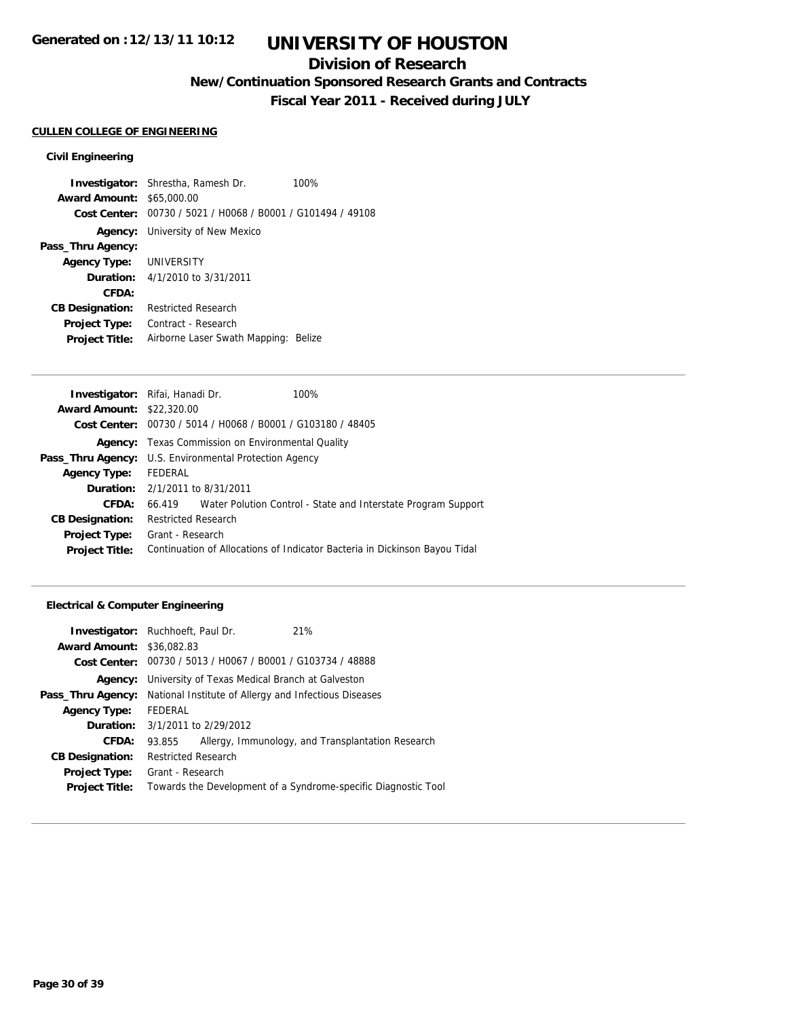## **Division of Research**

**New/Continuation Sponsored Research Grants and Contracts**

**Fiscal Year 2011 - Received during JULY**

## **CULLEN COLLEGE OF ENGINEERING**

#### **Civil Engineering**

**Investigator:** Shrestha, Ramesh Dr. 100% **Award Amount:** \$65,000.00 **Cost Center:** 00730 / 5021 / H0068 / B0001 / G101494 / 49108 **Agency:** University of New Mexico **Pass\_Thru Agency: Agency Type:** UNIVERSITY **Duration:** 4/1/2010 to 3/31/2011 **CFDA: CB Designation:** Restricted Research **Project Type:** Contract - Research **Project Title:** Airborne Laser Swath Mapping: Belize

| <b>Investigator:</b> Rifai, Hanadi Dr. |                                                             |  | 100%                                                                       |
|----------------------------------------|-------------------------------------------------------------|--|----------------------------------------------------------------------------|
| <b>Award Amount: \$22,320.00</b>       |                                                             |  |                                                                            |
|                                        | Cost Center: 00730 / 5014 / H0068 / B0001 / G103180 / 48405 |  |                                                                            |
| Agency:                                | Texas Commission on Environmental Quality                   |  |                                                                            |
|                                        | Pass_Thru Agency: U.S. Environmental Protection Agency      |  |                                                                            |
| <b>Agency Type:</b>                    | FEDERAL                                                     |  |                                                                            |
|                                        | <b>Duration:</b> 2/1/2011 to 8/31/2011                      |  |                                                                            |
| <b>CFDA:</b>                           |                                                             |  | 66.419 Water Polution Control - State and Interstate Program Support       |
| <b>CB Designation:</b>                 | <b>Restricted Research</b>                                  |  |                                                                            |
| <b>Project Type:</b>                   | Grant - Research                                            |  |                                                                            |
| <b>Project Title:</b>                  |                                                             |  | Continuation of Allocations of Indicator Bacteria in Dickinson Bayou Tidal |
|                                        |                                                             |  |                                                                            |

#### **Electrical & Computer Engineering**

| <b>Investigator:</b> Ruchhoeft, Paul Dr. |                                                                |                                                             | 21%                                                            |
|------------------------------------------|----------------------------------------------------------------|-------------------------------------------------------------|----------------------------------------------------------------|
| <b>Award Amount: \$36,082.83</b>         |                                                                |                                                             |                                                                |
|                                          |                                                                | Cost Center: 00730 / 5013 / H0067 / B0001 / G103734 / 48888 |                                                                |
|                                          | <b>Agency:</b> University of Texas Medical Branch at Galveston |                                                             |                                                                |
| Pass_Thru Agency:                        | National Institute of Allergy and Infectious Diseases          |                                                             |                                                                |
| <b>Agency Type:</b>                      | FEDERAL                                                        |                                                             |                                                                |
| <b>Duration:</b> 3/1/2011 to 2/29/2012   |                                                                |                                                             |                                                                |
| CFDA:                                    | 93.855                                                         |                                                             | Allergy, Immunology, and Transplantation Research              |
| <b>CB Designation:</b>                   | Restricted Research                                            |                                                             |                                                                |
| <b>Project Type:</b>                     | Grant - Research                                               |                                                             |                                                                |
| <b>Project Title:</b>                    |                                                                |                                                             | Towards the Development of a Syndrome-specific Diagnostic Tool |
|                                          |                                                                |                                                             |                                                                |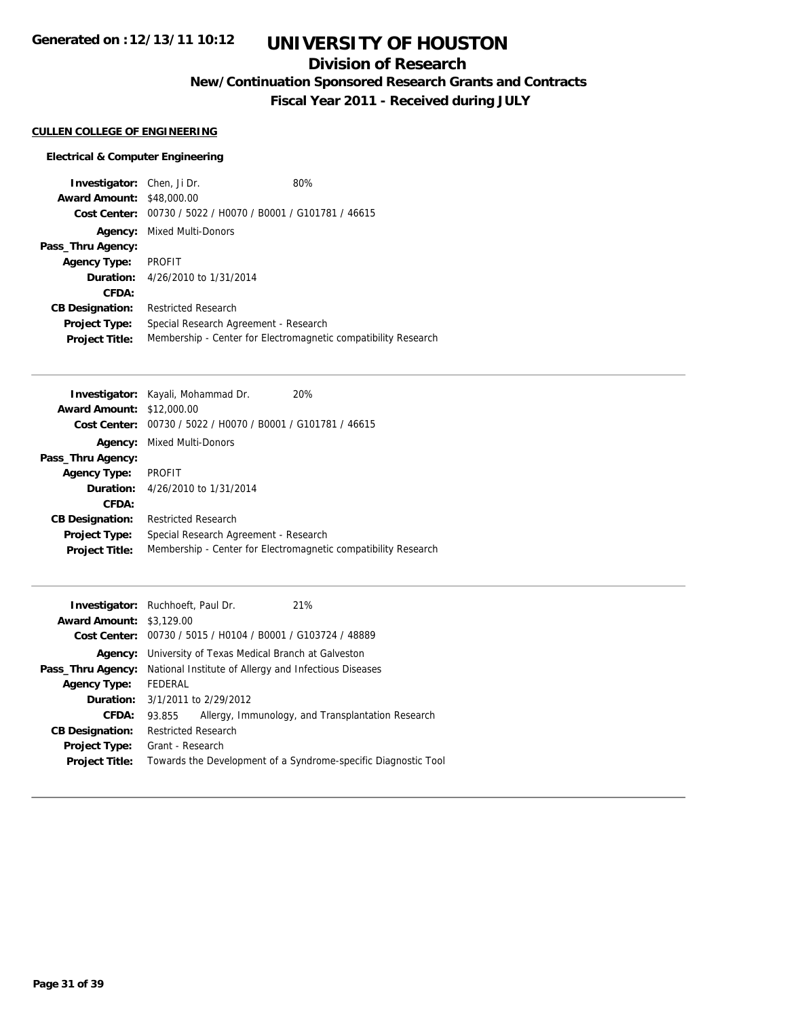# **UNIVERSITY OF HOUSTON**

## **Division of Research**

**New/Continuation Sponsored Research Grants and Contracts**

**Fiscal Year 2011 - Received during JULY**

## **CULLEN COLLEGE OF ENGINEERING**

## **Electrical & Computer Engineering**

| <b>Investigator:</b> Chen, Ji Dr. |                                                             | 80%                                                            |
|-----------------------------------|-------------------------------------------------------------|----------------------------------------------------------------|
| <b>Award Amount: \$48,000.00</b>  |                                                             |                                                                |
|                                   | Cost Center: 00730 / 5022 / H0070 / B0001 / G101781 / 46615 |                                                                |
| Agency:                           | Mixed Multi-Donors                                          |                                                                |
| Pass_Thru Agency:                 |                                                             |                                                                |
| <b>Agency Type:</b>               | <b>PROFIT</b>                                               |                                                                |
|                                   | <b>Duration:</b> 4/26/2010 to 1/31/2014                     |                                                                |
| CFDA:                             |                                                             |                                                                |
| <b>CB Designation:</b>            | <b>Restricted Research</b>                                  |                                                                |
| <b>Project Type:</b>              | Special Research Agreement - Research                       |                                                                |
| <b>Project Title:</b>             |                                                             | Membership - Center for Electromagnetic compatibility Research |

| Investigator: Kayali, Mohammad Dr.                          | 20%                                                            |
|-------------------------------------------------------------|----------------------------------------------------------------|
| <b>Award Amount: \$12,000.00</b>                            |                                                                |
| Cost Center: 00730 / 5022 / H0070 / B0001 / G101781 / 46615 |                                                                |
| Mixed Multi-Donors                                          |                                                                |
|                                                             |                                                                |
| PROFIT                                                      |                                                                |
| <b>Duration:</b> 4/26/2010 to 1/31/2014                     |                                                                |
|                                                             |                                                                |
| Restricted Research                                         |                                                                |
| Special Research Agreement - Research                       |                                                                |
|                                                             | Membership - Center for Electromagnetic compatibility Research |
|                                                             |                                                                |

|                                 | <b>Investigator:</b> Ruchhoeft, Paul Dr.                       | 21%                                                            |  |
|---------------------------------|----------------------------------------------------------------|----------------------------------------------------------------|--|
| <b>Award Amount: \$3,129.00</b> |                                                                |                                                                |  |
|                                 | Cost Center: 00730 / 5015 / H0104 / B0001 / G103724 / 48889    |                                                                |  |
|                                 | <b>Agency:</b> University of Texas Medical Branch at Galveston |                                                                |  |
| Pass_Thru Agency:               | National Institute of Allergy and Infectious Diseases          |                                                                |  |
| <b>Agency Type:</b>             | FEDERAL                                                        |                                                                |  |
|                                 | <b>Duration:</b> 3/1/2011 to 2/29/2012                         |                                                                |  |
| CFDA:                           | 93.855                                                         | Allergy, Immunology, and Transplantation Research              |  |
| <b>CB Designation:</b>          | <b>Restricted Research</b>                                     |                                                                |  |
| <b>Project Type:</b>            | Grant - Research                                               |                                                                |  |
| <b>Project Title:</b>           |                                                                | Towards the Development of a Syndrome-specific Diagnostic Tool |  |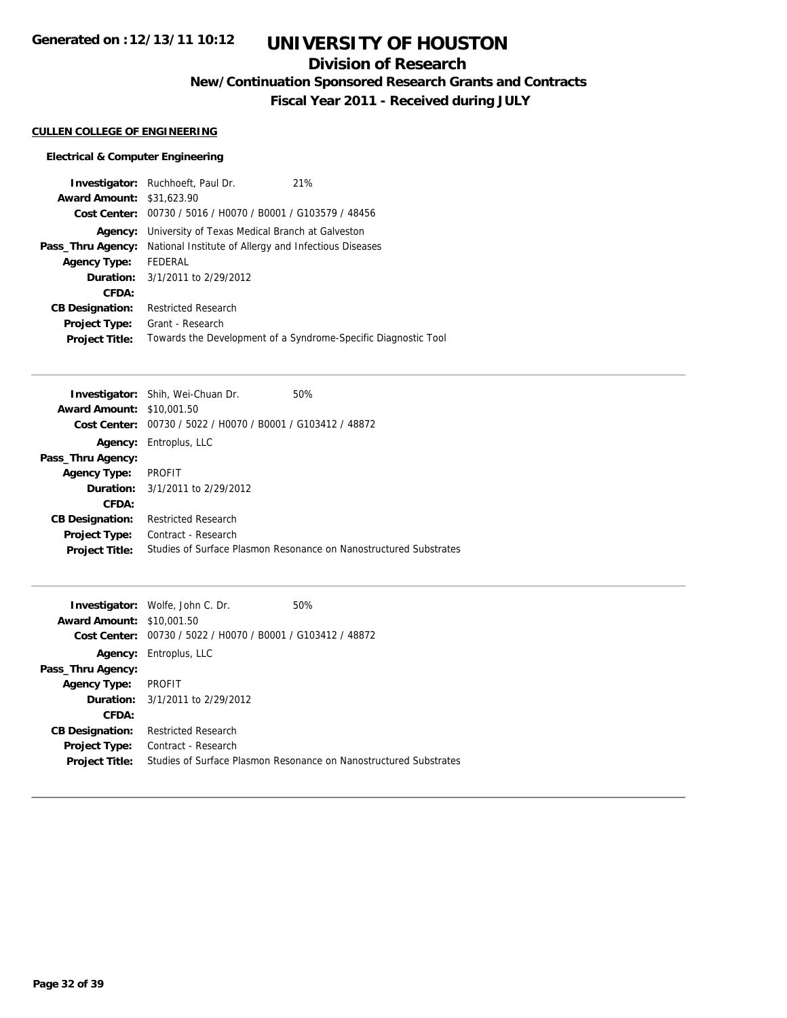# **UNIVERSITY OF HOUSTON**

## **Division of Research**

**New/Continuation Sponsored Research Grants and Contracts**

**Fiscal Year 2011 - Received during JULY**

## **CULLEN COLLEGE OF ENGINEERING**

## **Electrical & Computer Engineering**

| <b>Award Amount: \$31,623.90</b> | <b>Investigator:</b> Ruchhoeft, Paul Dr.<br>Cost Center: 00730 / 5016 / H0070 / B0001 / G103579 / 48456 | 21%                                                            |
|----------------------------------|---------------------------------------------------------------------------------------------------------|----------------------------------------------------------------|
|                                  | <b>Agency:</b> University of Texas Medical Branch at Galveston                                          |                                                                |
| Pass_Thru Agency:                | National Institute of Allergy and Infectious Diseases                                                   |                                                                |
| <b>Agency Type:</b>              | FEDERAL                                                                                                 |                                                                |
|                                  | <b>Duration:</b> 3/1/2011 to 2/29/2012                                                                  |                                                                |
| CFDA:                            |                                                                                                         |                                                                |
| <b>CB Designation:</b>           | <b>Restricted Research</b>                                                                              |                                                                |
| <b>Project Type:</b>             | Grant - Research                                                                                        |                                                                |
| <b>Project Title:</b>            |                                                                                                         | Towards the Development of a Syndrome-Specific Diagnostic Tool |

|                                                             | 50%                                                                                                                                                     |
|-------------------------------------------------------------|---------------------------------------------------------------------------------------------------------------------------------------------------------|
|                                                             |                                                                                                                                                         |
| Cost Center: 00730 / 5022 / H0070 / B0001 / G103412 / 48872 |                                                                                                                                                         |
|                                                             |                                                                                                                                                         |
|                                                             |                                                                                                                                                         |
| <b>PROFIT</b>                                               |                                                                                                                                                         |
|                                                             |                                                                                                                                                         |
|                                                             |                                                                                                                                                         |
| <b>Restricted Research</b>                                  |                                                                                                                                                         |
| Contract - Research                                         |                                                                                                                                                         |
|                                                             | Studies of Surface Plasmon Resonance on Nanostructured Substrates                                                                                       |
|                                                             | <b>Investigator:</b> Shih, Wei-Chuan Dr.<br><b>Award Amount: \$10,001.50</b><br><b>Agency:</b> Entroplus, LLC<br><b>Duration:</b> 3/1/2011 to 2/29/2012 |

|                                  | <b>Investigator:</b> Wolfe, John C. Dr.        | 50%                                                               |
|----------------------------------|------------------------------------------------|-------------------------------------------------------------------|
| <b>Award Amount: \$10,001.50</b> |                                                |                                                                   |
| Cost Center:                     | 00730 / 5022 / H0070 / B0001 / G103412 / 48872 |                                                                   |
|                                  | <b>Agency:</b> Entroplus, LLC                  |                                                                   |
| Pass_Thru Agency:                |                                                |                                                                   |
| <b>Agency Type:</b>              | PROFIT                                         |                                                                   |
|                                  | <b>Duration:</b> 3/1/2011 to 2/29/2012         |                                                                   |
| CFDA:                            |                                                |                                                                   |
| <b>CB Designation:</b>           | <b>Restricted Research</b>                     |                                                                   |
| <b>Project Type:</b>             | Contract - Research                            |                                                                   |
| <b>Project Title:</b>            |                                                | Studies of Surface Plasmon Resonance on Nanostructured Substrates |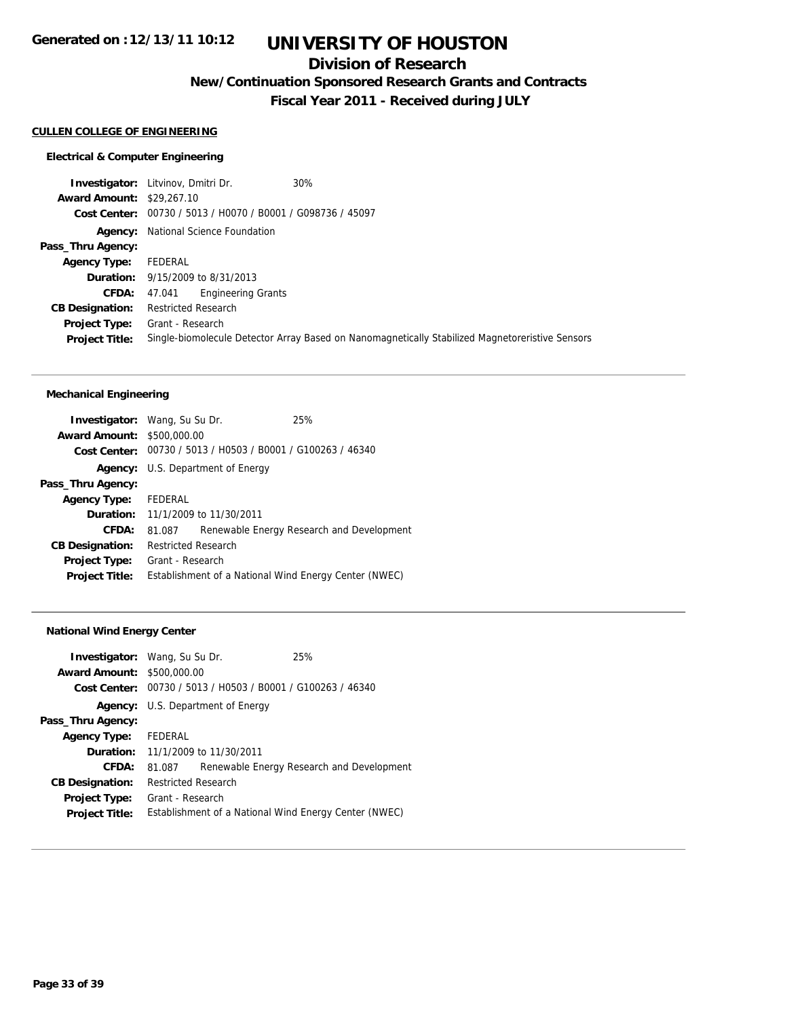## **Division of Research**

**New/Continuation Sponsored Research Grants and Contracts**

**Fiscal Year 2011 - Received during JULY**

## **CULLEN COLLEGE OF ENGINEERING**

#### **Electrical & Computer Engineering**

**Investigator:** Litvinov, Dmitri Dr. 30% **Award Amount:** \$29,267.10 **Cost Center:** 00730 / 5013 / H0070 / B0001 / G098736 / 45097 **Agency:** National Science Foundation **Pass\_Thru Agency: Agency Type:** FEDERAL **Duration:** 9/15/2009 to 8/31/2013 **CFDA:** 47.041 Engineering Grants **CB Designation:** Restricted Research **Project Type:** Grant - Research **Project Title:** Single-biomolecule Detector Array Based on Nanomagnetically Stabilized Magnetoreristive Sensors

#### **Mechanical Engineering**

| <b>Investigator:</b> Wang, Su Su Dr. |                            |                                                             | 25%                                                   |
|--------------------------------------|----------------------------|-------------------------------------------------------------|-------------------------------------------------------|
| <b>Award Amount: \$500,000.00</b>    |                            |                                                             |                                                       |
|                                      |                            | Cost Center: 00730 / 5013 / H0503 / B0001 / G100263 / 46340 |                                                       |
|                                      |                            | <b>Agency:</b> U.S. Department of Energy                    |                                                       |
| Pass_Thru Agency:                    |                            |                                                             |                                                       |
| <b>Agency Type:</b>                  | FEDERAL                    |                                                             |                                                       |
|                                      |                            | <b>Duration:</b> 11/1/2009 to 11/30/2011                    |                                                       |
| CFDA:                                | 81.087                     |                                                             | Renewable Energy Research and Development             |
| <b>CB Designation:</b>               | <b>Restricted Research</b> |                                                             |                                                       |
| <b>Project Type:</b>                 | Grant - Research           |                                                             |                                                       |
| <b>Project Title:</b>                |                            |                                                             | Establishment of a National Wind Energy Center (NWEC) |
|                                      |                            |                                                             |                                                       |

#### **National Wind Energy Center**

| <b>Investigator:</b> Wang, Su Su Dr. |                                          |                                                             | 25%                                                   |
|--------------------------------------|------------------------------------------|-------------------------------------------------------------|-------------------------------------------------------|
| <b>Award Amount: \$500,000.00</b>    |                                          |                                                             |                                                       |
|                                      |                                          | Cost Center: 00730 / 5013 / H0503 / B0001 / G100263 / 46340 |                                                       |
|                                      |                                          | <b>Agency:</b> U.S. Department of Energy                    |                                                       |
| Pass_Thru Agency:                    |                                          |                                                             |                                                       |
| <b>Agency Type:</b>                  | FEDERAL                                  |                                                             |                                                       |
|                                      | <b>Duration:</b> 11/1/2009 to 11/30/2011 |                                                             |                                                       |
| CFDA:                                | 81.087                                   |                                                             | Renewable Energy Research and Development             |
| <b>CB Designation:</b>               | Restricted Research                      |                                                             |                                                       |
| <b>Project Type:</b>                 | Grant - Research                         |                                                             |                                                       |
| <b>Project Title:</b>                |                                          |                                                             | Establishment of a National Wind Energy Center (NWEC) |
|                                      |                                          |                                                             |                                                       |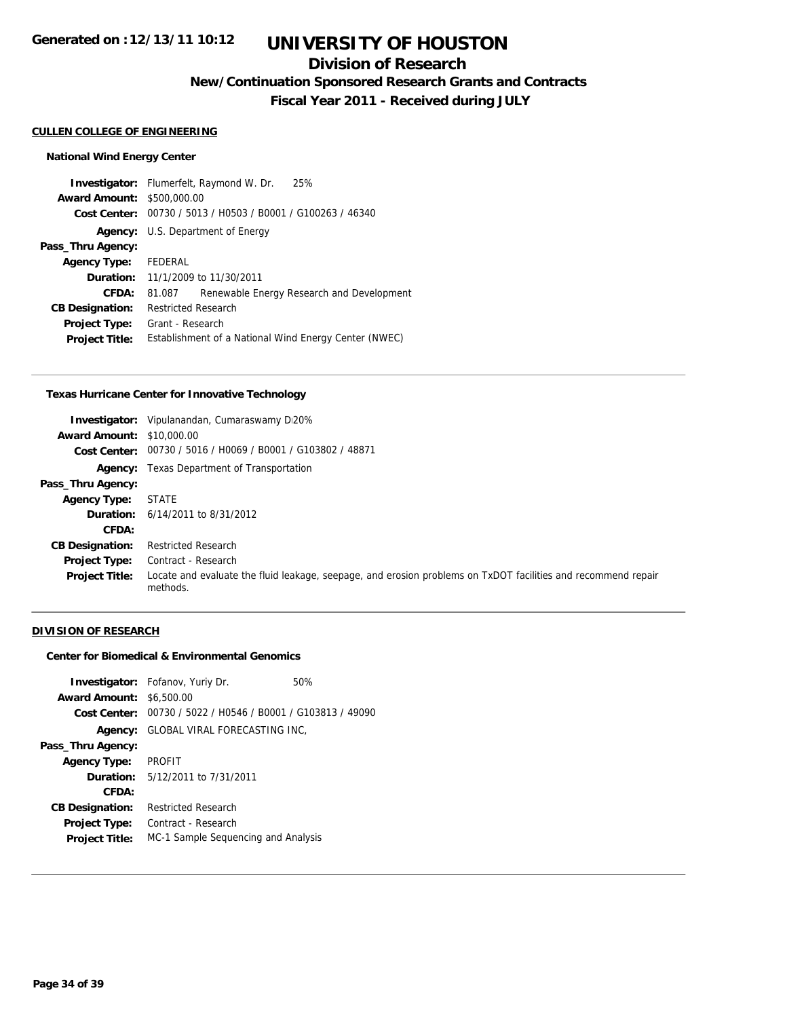# **UNIVERSITY OF HOUSTON**

## **Division of Research**

**New/Continuation Sponsored Research Grants and Contracts**

**Fiscal Year 2011 - Received during JULY**

#### **CULLEN COLLEGE OF ENGINEERING**

#### **National Wind Energy Center**

**Investigator:** Flumerfelt, Raymond W. Dr. 25% **Award Amount:** \$500,000.00 **Cost Center:** 00730 / 5013 / H0503 / B0001 / G100263 / 46340 **Agency:** U.S. Department of Energy **Pass\_Thru Agency: Agency Type:** FEDERAL **Duration:** 11/1/2009 to 11/30/2011 **CFDA:** 81.087 Renewable Energy Research and Development **CB Designation:** Restricted Research **Project Type:** Grant - Research **Project Title:** Establishment of a National Wind Energy Center (NWEC)

#### **Texas Hurricane Center for Innovative Technology**

| Investigator:                    | Vipulanandan, Cumaraswamy D <sub>1</sub> 20%                                                                              |
|----------------------------------|---------------------------------------------------------------------------------------------------------------------------|
| <b>Award Amount: \$10,000.00</b> |                                                                                                                           |
|                                  | Cost Center: 00730 / 5016 / H0069 / B0001 / G103802 / 48871                                                               |
|                                  | <b>Agency:</b> Texas Department of Transportation                                                                         |
| Pass_Thru Agency:                |                                                                                                                           |
| <b>Agency Type:</b>              | <b>STATE</b>                                                                                                              |
|                                  | <b>Duration:</b> 6/14/2011 to 8/31/2012                                                                                   |
| CFDA:                            |                                                                                                                           |
| <b>CB Designation:</b>           | <b>Restricted Research</b>                                                                                                |
| <b>Project Type:</b>             | Contract - Research                                                                                                       |
| <b>Project Title:</b>            | Locate and evaluate the fluid leakage, seepage, and erosion problems on TxDOT facilities and recommend repair<br>methods. |

### **DIVISION OF RESEARCH**

### **Center for Biomedical & Environmental Genomics**

|                                 | <b>Investigator:</b> Fofanov, Yuriy Dr.                     | 50% |
|---------------------------------|-------------------------------------------------------------|-----|
| <b>Award Amount: \$6,500.00</b> |                                                             |     |
|                                 | Cost Center: 00730 / 5022 / H0546 / B0001 / G103813 / 49090 |     |
| Agency:                         | GLOBAL VIRAL FORECASTING INC,                               |     |
| Pass_Thru Agency:               |                                                             |     |
| <b>Agency Type:</b>             | <b>PROFIT</b>                                               |     |
|                                 | <b>Duration:</b> 5/12/2011 to 7/31/2011                     |     |
| CFDA:                           |                                                             |     |
| <b>CB Designation:</b>          | <b>Restricted Research</b>                                  |     |
| <b>Project Type:</b>            | Contract - Research                                         |     |
| <b>Project Title:</b>           | MC-1 Sample Sequencing and Analysis                         |     |
|                                 |                                                             |     |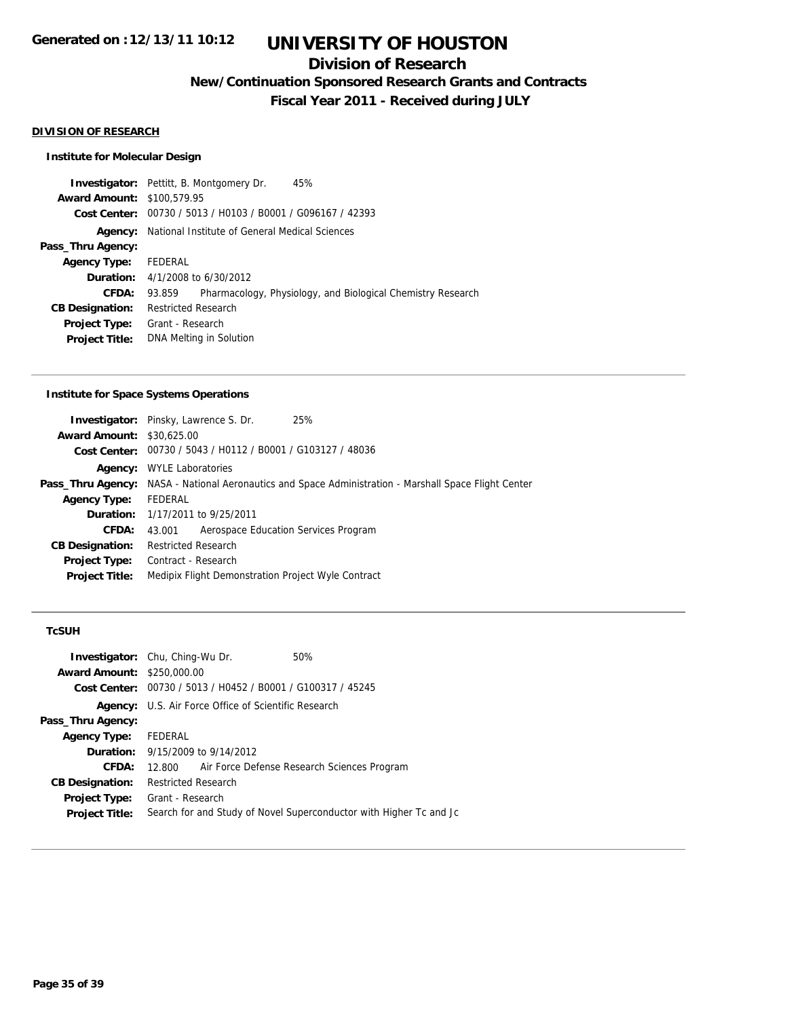## **Division of Research**

**New/Continuation Sponsored Research Grants and Contracts**

**Fiscal Year 2011 - Received during JULY**

### **DIVISION OF RESEARCH**

#### **Institute for Molecular Design**

**Investigator:** Pettitt, B. Montgomery Dr. 45% **Award Amount:** \$100,579.95 **Cost Center:** 00730 / 5013 / H0103 / B0001 / G096167 / 42393 **Agency:** National Institute of General Medical Sciences **Pass\_Thru Agency: Agency Type:** FEDERAL **Duration:** 4/1/2008 to 6/30/2012 **CFDA:** 93.859 Pharmacology, Physiology, and Biological Chemistry Research **CB Designation:** Restricted Research **Project Type:** Grant - Research **Project Title:** DNA Melting in Solution

#### **Institute for Space Systems Operations**

|                                  | <b>Investigator:</b> Pinsky, Lawrence S. Dr.<br>25%                                                   |
|----------------------------------|-------------------------------------------------------------------------------------------------------|
| <b>Award Amount: \$30,625,00</b> |                                                                                                       |
|                                  | Cost Center: 00730 / 5043 / H0112 / B0001 / G103127 / 48036                                           |
| Agency:                          | <b>WYLE Laboratories</b>                                                                              |
|                                  | Pass_Thru Agency: NASA - National Aeronautics and Space Administration - Marshall Space Flight Center |
| <b>Agency Type:</b>              | FEDERAL                                                                                               |
|                                  | <b>Duration:</b> 1/17/2011 to 9/25/2011                                                               |
| CFDA:                            | Aerospace Education Services Program<br>43.001                                                        |
| <b>CB Designation:</b>           | <b>Restricted Research</b>                                                                            |
| <b>Project Type:</b>             | Contract - Research                                                                                   |
| <b>Project Title:</b>            | Medipix Flight Demonstration Project Wyle Contract                                                    |
|                                  |                                                                                                       |

#### **TcSUH**

| <b>Investigator:</b> Chu, Ching-Wu Dr. |                            |                                                             | 50%                                                                |
|----------------------------------------|----------------------------|-------------------------------------------------------------|--------------------------------------------------------------------|
| <b>Award Amount: \$250,000.00</b>      |                            |                                                             |                                                                    |
|                                        |                            | Cost Center: 00730 / 5013 / H0452 / B0001 / G100317 / 45245 |                                                                    |
|                                        |                            | <b>Agency:</b> U.S. Air Force Office of Scientific Research |                                                                    |
| Pass_Thru Agency:                      |                            |                                                             |                                                                    |
| <b>Agency Type:</b>                    | FEDERAL                    |                                                             |                                                                    |
|                                        |                            | <b>Duration:</b> 9/15/2009 to 9/14/2012                     |                                                                    |
| CFDA:                                  |                            |                                                             | 12.800 Air Force Defense Research Sciences Program                 |
| <b>CB Designation:</b>                 | <b>Restricted Research</b> |                                                             |                                                                    |
| <b>Project Type:</b>                   | Grant - Research           |                                                             |                                                                    |
| <b>Project Title:</b>                  |                            |                                                             | Search for and Study of Novel Superconductor with Higher Tc and Jc |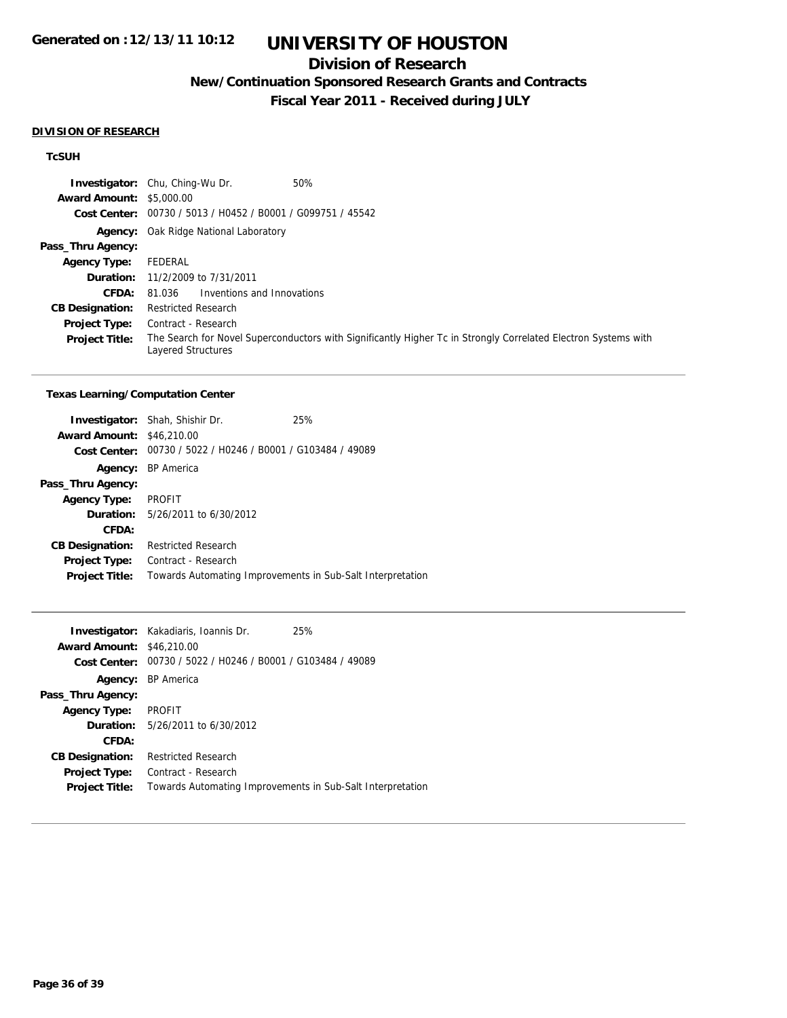## **Division of Research**

**New/Continuation Sponsored Research Grants and Contracts**

**Fiscal Year 2011 - Received during JULY**

#### **DIVISION OF RESEARCH**

### **TcSUH**

|                                 | 50%<br><b>Investigator:</b> Chu, Ching-Wu Dr.                                                                                        |
|---------------------------------|--------------------------------------------------------------------------------------------------------------------------------------|
| <b>Award Amount: \$5,000.00</b> |                                                                                                                                      |
|                                 | Cost Center: 00730 / 5013 / H0452 / B0001 / G099751 / 45542                                                                          |
|                                 | <b>Agency:</b> Oak Ridge National Laboratory                                                                                         |
| Pass_Thru Agency:               |                                                                                                                                      |
| <b>Agency Type:</b>             | FEDERAL                                                                                                                              |
|                                 | <b>Duration:</b> 11/2/2009 to 7/31/2011                                                                                              |
| CFDA:                           | Inventions and Innovations<br>81.036                                                                                                 |
| <b>CB Designation:</b>          | <b>Restricted Research</b>                                                                                                           |
| <b>Project Type:</b>            | Contract - Research                                                                                                                  |
| <b>Project Title:</b>           | The Search for Novel Superconductors with Significantly Higher Tc in Strongly Correlated Electron Systems with<br>Layered Structures |

#### **Texas Learning/Computation Center**

| <b>Award Amount: \$46,210.00</b> | <b>Investigator:</b> Shah, Shishir Dr.                     | 25% |
|----------------------------------|------------------------------------------------------------|-----|
| Cost Center:                     | 00730 / 5022 / H0246 / B0001 / G103484 / 49089             |     |
|                                  | Agency: BP America                                         |     |
| Pass_Thru Agency:                |                                                            |     |
| <b>Agency Type:</b>              | <b>PROFIT</b>                                              |     |
|                                  | <b>Duration:</b> 5/26/2011 to 6/30/2012                    |     |
| CFDA:                            |                                                            |     |
| <b>CB Designation:</b>           | <b>Restricted Research</b>                                 |     |
| <b>Project Type:</b>             | Contract - Research                                        |     |
| <b>Project Title:</b>            | Towards Automating Improvements in Sub-Salt Interpretation |     |

|                                  | <b>Investigator:</b> Kakadiaris, Ioannis Dr.                | 25% |
|----------------------------------|-------------------------------------------------------------|-----|
| <b>Award Amount: \$46,210.00</b> |                                                             |     |
|                                  | Cost Center: 00730 / 5022 / H0246 / B0001 / G103484 / 49089 |     |
|                                  | <b>Agency: BP America</b>                                   |     |
| Pass_Thru Agency:                |                                                             |     |
| Agency Type: PROFIT              |                                                             |     |
|                                  | <b>Duration:</b> 5/26/2011 to 6/30/2012                     |     |
| CFDA:                            |                                                             |     |
| <b>CB Designation:</b>           | <b>Restricted Research</b>                                  |     |
| <b>Project Type:</b>             | Contract - Research                                         |     |
| <b>Project Title:</b>            | Towards Automating Improvements in Sub-Salt Interpretation  |     |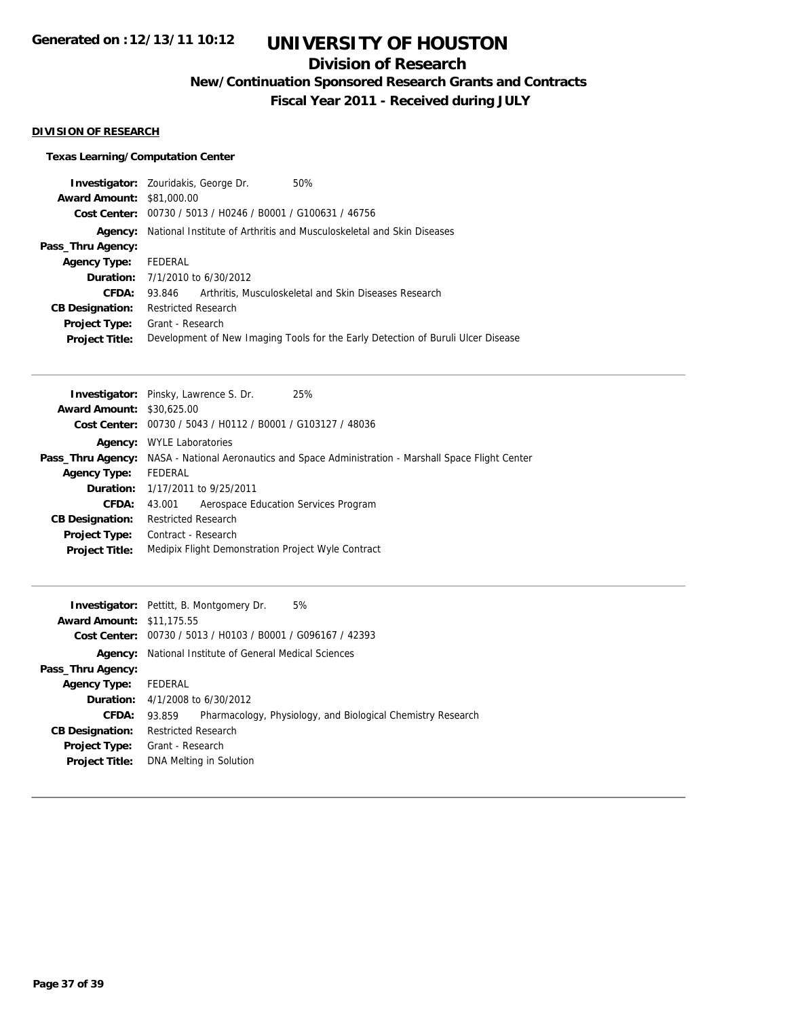## **Division of Research**

**New/Continuation Sponsored Research Grants and Contracts**

**Fiscal Year 2011 - Received during JULY**

### **DIVISION OF RESEARCH**

## **Texas Learning/Computation Center**

| <b>Investigator:</b> Zouridakis, George Dr. |                                                                                  |  | 50%                                                   |  |  |
|---------------------------------------------|----------------------------------------------------------------------------------|--|-------------------------------------------------------|--|--|
| <b>Award Amount: \$81,000.00</b>            |                                                                                  |  |                                                       |  |  |
|                                             | Cost Center: 00730 / 5013 / H0246 / B0001 / G100631 / 46756                      |  |                                                       |  |  |
| Agency:                                     | National Institute of Arthritis and Musculoskeletal and Skin Diseases            |  |                                                       |  |  |
| Pass_Thru Agency:                           |                                                                                  |  |                                                       |  |  |
| <b>Agency Type:</b>                         | FEDERAL                                                                          |  |                                                       |  |  |
|                                             | <b>Duration:</b> 7/1/2010 to 6/30/2012                                           |  |                                                       |  |  |
| CFDA:                                       | 93.846                                                                           |  | Arthritis, Musculoskeletal and Skin Diseases Research |  |  |
| <b>CB Designation:</b>                      | <b>Restricted Research</b>                                                       |  |                                                       |  |  |
| <b>Project Type:</b>                        | Grant - Research                                                                 |  |                                                       |  |  |
| <b>Project Title:</b>                       | Development of New Imaging Tools for the Early Detection of Buruli Ulcer Disease |  |                                                       |  |  |
|                                             |                                                                                  |  |                                                       |  |  |

|                                  | <b>Investigator:</b> Pinsky, Lawrence S. Dr.<br>25%                                                          |  |  |  |  |
|----------------------------------|--------------------------------------------------------------------------------------------------------------|--|--|--|--|
| <b>Award Amount: \$30,625,00</b> |                                                                                                              |  |  |  |  |
|                                  | Cost Center: 00730 / 5043 / H0112 / B0001 / G103127 / 48036                                                  |  |  |  |  |
|                                  | <b>Agency:</b> WYLE Laboratories                                                                             |  |  |  |  |
|                                  | <b>Pass_Thru Agency:</b> NASA - National Aeronautics and Space Administration - Marshall Space Flight Center |  |  |  |  |
| <b>Agency Type:</b>              | FEDERAL                                                                                                      |  |  |  |  |
|                                  | <b>Duration:</b> 1/17/2011 to 9/25/2011                                                                      |  |  |  |  |
| CFDA:                            | Aerospace Education Services Program<br>43.001                                                               |  |  |  |  |
| <b>CB Designation:</b>           | <b>Restricted Research</b>                                                                                   |  |  |  |  |
| Project Type:                    | Contract - Research                                                                                          |  |  |  |  |
| <b>Project Title:</b>            | Medipix Flight Demonstration Project Wyle Contract                                                           |  |  |  |  |

|                                  | 5%<br><b>Investigator:</b> Pettitt, B. Montgomery Dr.                 |  |  |  |
|----------------------------------|-----------------------------------------------------------------------|--|--|--|
| <b>Award Amount: \$11,175.55</b> |                                                                       |  |  |  |
|                                  | Cost Center: 00730 / 5013 / H0103 / B0001 / G096167 / 42393           |  |  |  |
| Agency:                          | National Institute of General Medical Sciences                        |  |  |  |
| Pass_Thru Agency:                |                                                                       |  |  |  |
| <b>Agency Type:</b>              | FEDERAL                                                               |  |  |  |
|                                  | <b>Duration:</b> $4/1/2008$ to $6/30/2012$                            |  |  |  |
| <b>CFDA:</b>                     | Pharmacology, Physiology, and Biological Chemistry Research<br>93.859 |  |  |  |
| <b>CB Designation:</b>           | <b>Restricted Research</b>                                            |  |  |  |
| <b>Project Type:</b>             | Grant - Research                                                      |  |  |  |
| <b>Project Title:</b>            | DNA Melting in Solution                                               |  |  |  |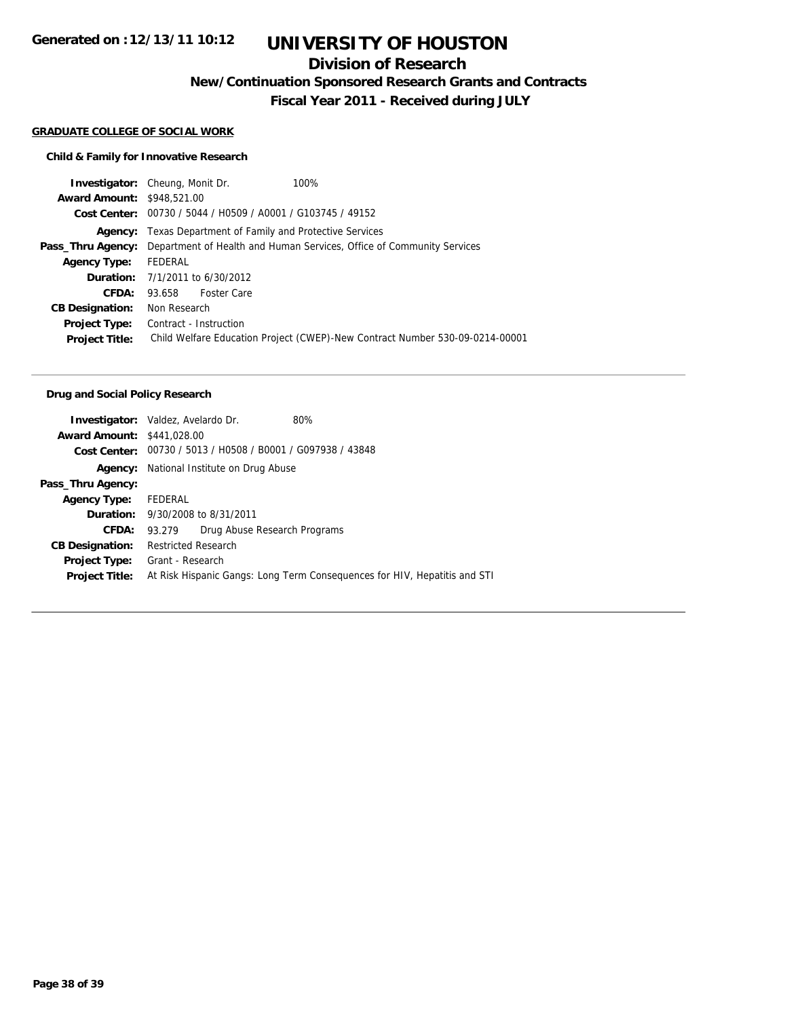# **UNIVERSITY OF HOUSTON**

## **Division of Research**

**New/Continuation Sponsored Research Grants and Contracts**

**Fiscal Year 2011 - Received during JULY**

#### **GRADUATE COLLEGE OF SOCIAL WORK**

## **Child & Family for Innovative Research**

|                                   | <b>Investigator:</b> Cheung, Monit Dr.<br>100%                               |  |  |  |  |  |
|-----------------------------------|------------------------------------------------------------------------------|--|--|--|--|--|
| <b>Award Amount: \$948.521.00</b> |                                                                              |  |  |  |  |  |
|                                   | Cost Center: 00730 / 5044 / H0509 / A0001 / G103745 / 49152                  |  |  |  |  |  |
|                                   | <b>Agency:</b> Texas Department of Family and Protective Services            |  |  |  |  |  |
| Pass_Thru Agency:                 | Department of Health and Human Services, Office of Community Services        |  |  |  |  |  |
| <b>Agency Type:</b>               | FEDERAL                                                                      |  |  |  |  |  |
|                                   | <b>Duration:</b> 7/1/2011 to 6/30/2012                                       |  |  |  |  |  |
| CFDA:                             | <b>Foster Care</b><br>93.658                                                 |  |  |  |  |  |
| <b>CB Designation:</b>            | Non Research                                                                 |  |  |  |  |  |
| <b>Project Type:</b>              | Contract - Instruction                                                       |  |  |  |  |  |
| <b>Project Title:</b>             | Child Welfare Education Project (CWEP)-New Contract Number 530-09-0214-00001 |  |  |  |  |  |
|                                   |                                                                              |  |  |  |  |  |

#### **Drug and Social Policy Research**

| <b>Investigator:</b> Valdez, Avelardo Dr. |                                                                           |                              | 80% |  |  |
|-------------------------------------------|---------------------------------------------------------------------------|------------------------------|-----|--|--|
| <b>Award Amount: \$441,028,00</b>         |                                                                           |                              |     |  |  |
| Cost Center:                              | 00730 / 5013 / H0508 / B0001 / G097938 / 43848                            |                              |     |  |  |
|                                           | <b>Agency:</b> National Institute on Drug Abuse                           |                              |     |  |  |
| Pass_Thru Agency:                         |                                                                           |                              |     |  |  |
| <b>Agency Type:</b>                       | FEDERAL                                                                   |                              |     |  |  |
|                                           | <b>Duration:</b> 9/30/2008 to 8/31/2011                                   |                              |     |  |  |
| <b>CFDA:</b>                              | 93.279                                                                    | Drug Abuse Research Programs |     |  |  |
| <b>CB Designation:</b>                    | <b>Restricted Research</b>                                                |                              |     |  |  |
| Project Type:                             | Grant - Research                                                          |                              |     |  |  |
| <b>Project Title:</b>                     | At Risk Hispanic Gangs: Long Term Consequences for HIV, Hepatitis and STI |                              |     |  |  |
|                                           |                                                                           |                              |     |  |  |